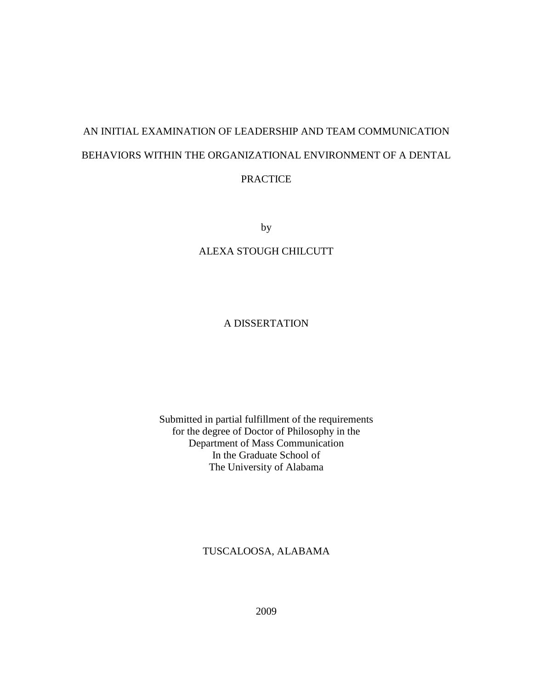# AN INITIAL EXAMINATION OF LEADERSHIP AND TEAM COMMUNICATION BEHAVIORS WITHIN THE ORGANIZATIONAL ENVIRONMENT OF A DENTAL PRACTICE

by

# ALEXA STOUGH CHILCUTT

# A DISSERTATION

# Submitted in partial fulfillment of the requirements for the degree of Doctor of Philosophy in the Department of Mass Communication In the Graduate School of The University of Alabama

# TUSCALOOSA, ALABAMA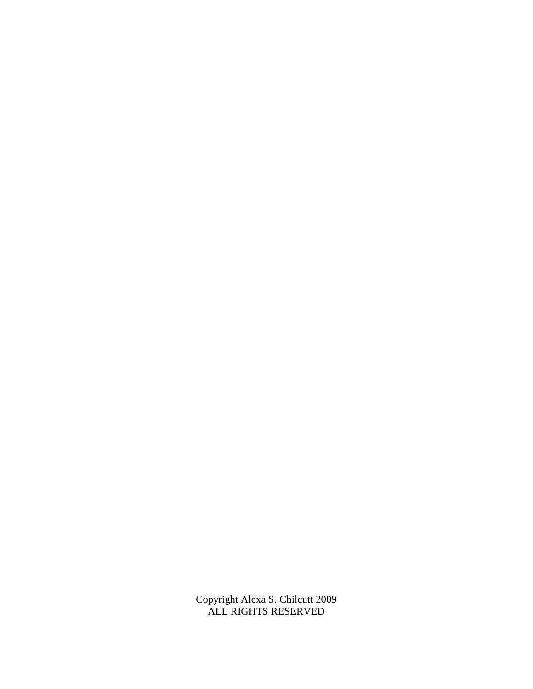Copyright Alexa S. Chilcutt 2009 ALL RIGHTS RESERVED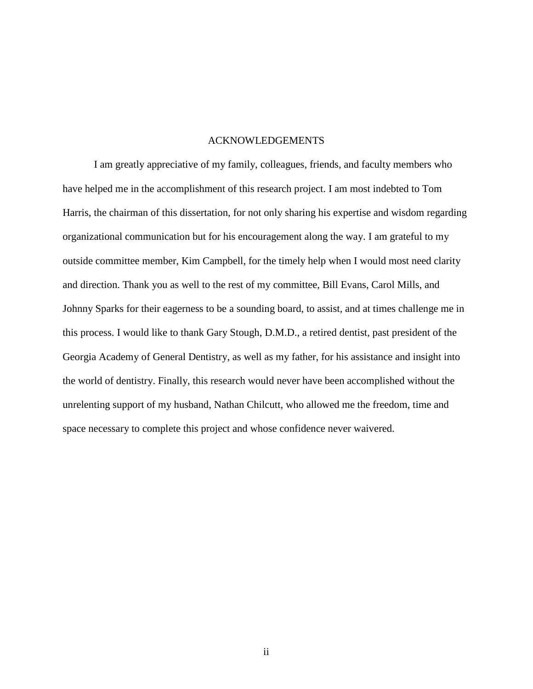#### ACKNOWLEDGEMENTS

 I am greatly appreciative of my family, colleagues, friends, and faculty members who have helped me in the accomplishment of this research project. I am most indebted to Tom Harris, the chairman of this dissertation, for not only sharing his expertise and wisdom regarding organizational communication but for his encouragement along the way. I am grateful to my outside committee member, Kim Campbell, for the timely help when I would most need clarity and direction. Thank you as well to the rest of my committee, Bill Evans, Carol Mills, and Johnny Sparks for their eagerness to be a sounding board, to assist, and at times challenge me in this process. I would like to thank Gary Stough, D.M.D., a retired dentist, past president of the Georgia Academy of General Dentistry, as well as my father, for his assistance and insight into the world of dentistry. Finally, this research would never have been accomplished without the unrelenting support of my husband, Nathan Chilcutt, who allowed me the freedom, time and space necessary to complete this project and whose confidence never waivered.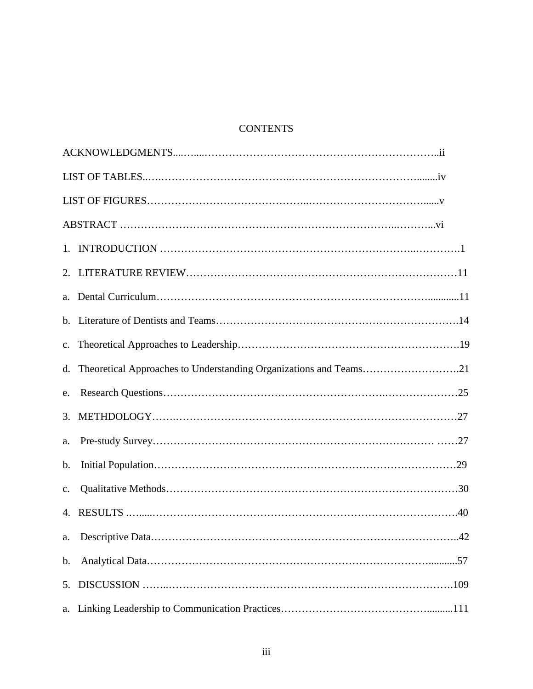# **CONTENTS**

| d.             | Theoretical Approaches to Understanding Organizations and Teams21 |
|----------------|-------------------------------------------------------------------|
| e.             |                                                                   |
| 3.             |                                                                   |
| a.             |                                                                   |
| $\mathbf b$ .  |                                                                   |
| $\mathbf{c}$ . |                                                                   |
|                |                                                                   |
|                |                                                                   |
| b.             |                                                                   |
| 5.             |                                                                   |
| a.             |                                                                   |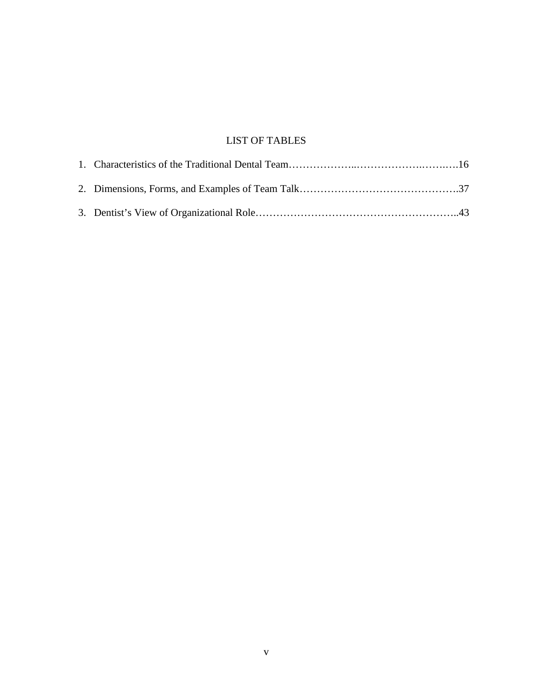# LIST OF TABLES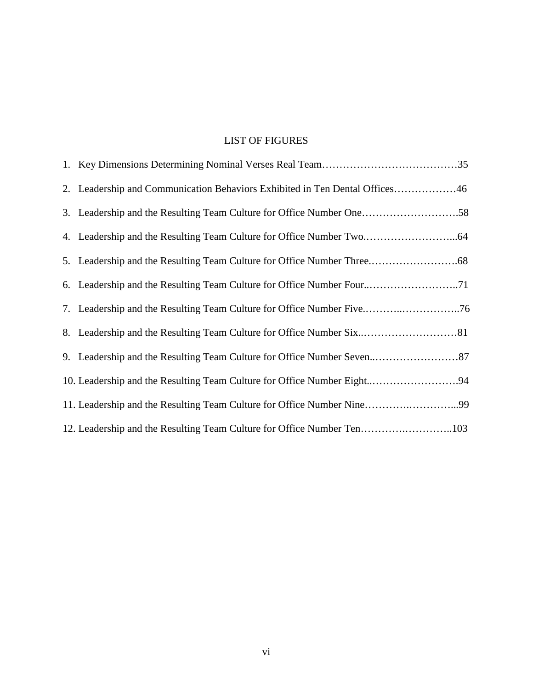# LIST OF FIGURES

| 2. Leadership and Communication Behaviors Exhibited in Ten Dental Offices46 |
|-----------------------------------------------------------------------------|
| 3. Leadership and the Resulting Team Culture for Office Number One58        |
|                                                                             |
|                                                                             |
|                                                                             |
| 7. Leadership and the Resulting Team Culture for Office Number Five76       |
| 8. Leadership and the Resulting Team Culture for Office Number Six81        |
|                                                                             |
| 10. Leadership and the Resulting Team Culture for Office Number Eight94     |
| 11. Leadership and the Resulting Team Culture for Office Number Nine99      |
| 12. Leadership and the Resulting Team Culture for Office Number Ten103      |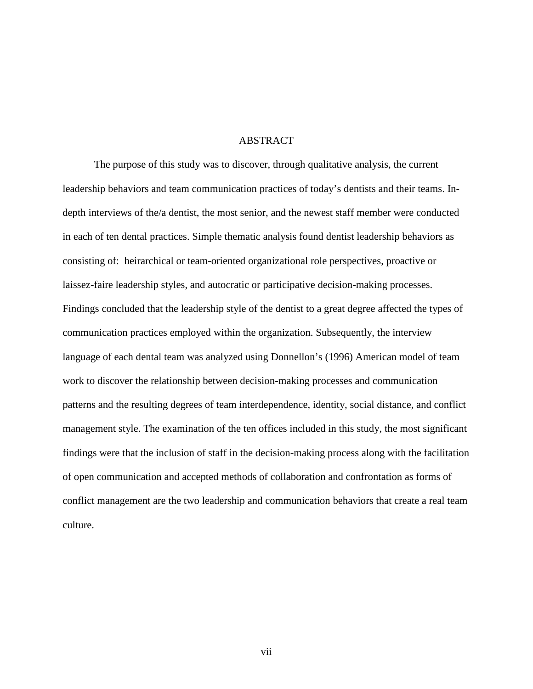#### ABSTRACT

The purpose of this study was to discover, through qualitative analysis, the current leadership behaviors and team communication practices of today's dentists and their teams. Indepth interviews of the/a dentist, the most senior, and the newest staff member were conducted in each of ten dental practices. Simple thematic analysis found dentist leadership behaviors as consisting of: heirarchical or team-oriented organizational role perspectives, proactive or laissez-faire leadership styles, and autocratic or participative decision-making processes. Findings concluded that the leadership style of the dentist to a great degree affected the types of communication practices employed within the organization. Subsequently, the interview language of each dental team was analyzed using Donnellon's (1996) American model of team work to discover the relationship between decision-making processes and communication patterns and the resulting degrees of team interdependence, identity, social distance, and conflict management style. The examination of the ten offices included in this study, the most significant findings were that the inclusion of staff in the decision-making process along with the facilitation of open communication and accepted methods of collaboration and confrontation as forms of conflict management are the two leadership and communication behaviors that create a real team culture.

vii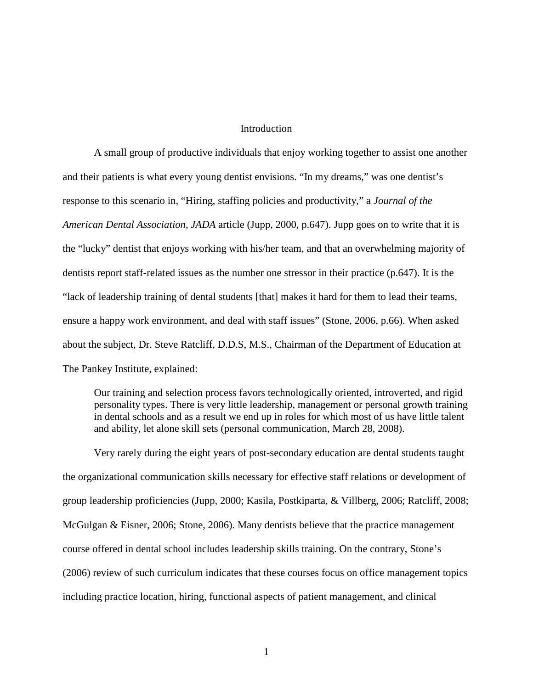#### **Introduction**

A small group of productive individuals that enjoy working together to assist one another and their patients is what every young dentist envisions. "In my dreams," was one dentist's response to this scenario in, "Hiring, staffing policies and productivity," a *Journal of the American Dental Association*, *JADA* article (Jupp, 2000, p.647). Jupp goes on to write that it is the "lucky" dentist that enjoys working with his/her team, and that an overwhelming majority of dentists report staff-related issues as the number one stressor in their practice (p.647). It is the "lack of leadership training of dental students [that] makes it hard for them to lead their teams, ensure a happy work environment, and deal with staff issues" (Stone, 2006, p.66). When asked about the subject, Dr. Steve Ratcliff, D.D.S, M.S., Chairman of the Department of Education at The Pankey Institute, explained:

Our training and selection process favors technologically oriented, introverted, and rigid personality types. There is very little leadership, management or personal growth training in dental schools and as a result we end up in roles for which most of us have little talent and ability, let alone skill sets (personal communication, March 28, 2008).

Very rarely during the eight years of post-secondary education are dental students taught the organizational communication skills necessary for effective staff relations or development of group leadership proficiencies (Jupp, 2000; Kasila, Postkiparta, & Villberg, 2006; Ratcliff, 2008; McGulgan & Eisner, 2006; Stone, 2006). Many dentists believe that the practice management course offered in dental school includes leadership skills training. On the contrary, Stone's (2006) review of such curriculum indicates that these courses focus on office management topics including practice location, hiring, functional aspects of patient management, and clinical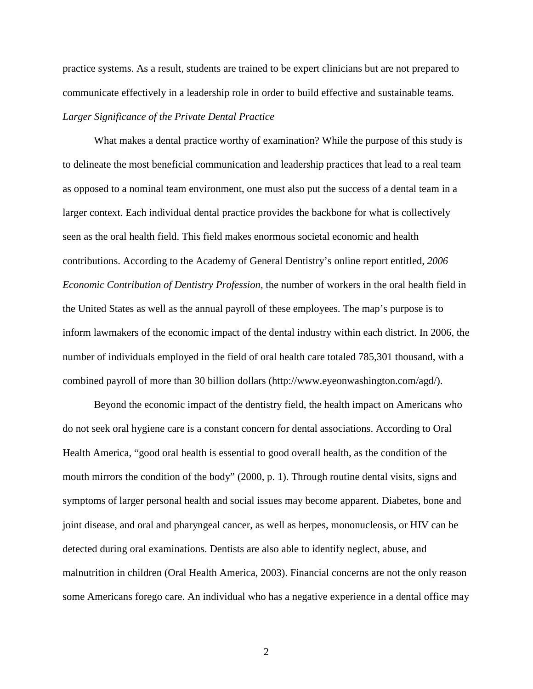practice systems. As a result, students are trained to be expert clinicians but are not prepared to communicate effectively in a leadership role in order to build effective and sustainable teams. *Larger Significance of the Private Dental Practice* 

What makes a dental practice worthy of examination? While the purpose of this study is to delineate the most beneficial communication and leadership practices that lead to a real team as opposed to a nominal team environment, one must also put the success of a dental team in a larger context. Each individual dental practice provides the backbone for what is collectively seen as the oral health field. This field makes enormous societal economic and health contributions. According to the Academy of General Dentistry's online report entitled, *2006 Economic Contribution of Dentistry Profession,* the number of workers in the oral health field in the United States as well as the annual payroll of these employees. The map's purpose is to inform lawmakers of the economic impact of the dental industry within each district. In 2006, the number of individuals employed in the field of oral health care totaled 785,301 thousand, with a combined payroll of more than 30 billion dollars (http://www.eyeonwashington.com/agd/).

Beyond the economic impact of the dentistry field, the health impact on Americans who do not seek oral hygiene care is a constant concern for dental associations. According to Oral Health America, "good oral health is essential to good overall health, as the condition of the mouth mirrors the condition of the body" (2000, p. 1). Through routine dental visits, signs and symptoms of larger personal health and social issues may become apparent. Diabetes, bone and joint disease, and oral and pharyngeal cancer, as well as herpes, mononucleosis, or HIV can be detected during oral examinations. Dentists are also able to identify neglect, abuse, and malnutrition in children (Oral Health America, 2003). Financial concerns are not the only reason some Americans forego care. An individual who has a negative experience in a dental office may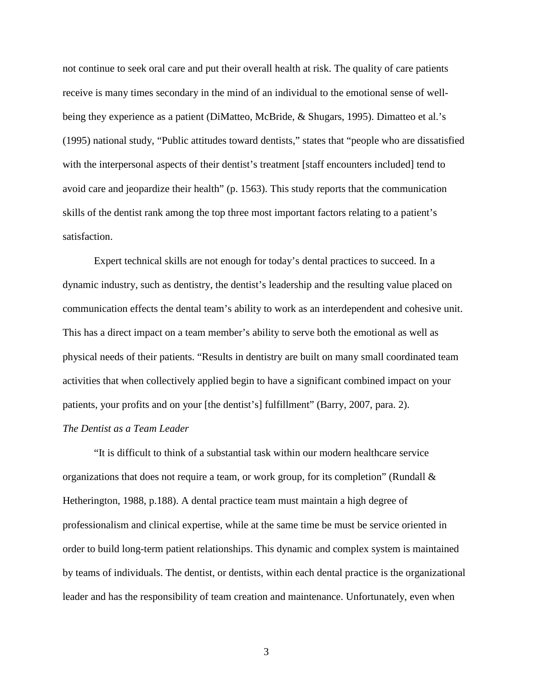not continue to seek oral care and put their overall health at risk. The quality of care patients receive is many times secondary in the mind of an individual to the emotional sense of wellbeing they experience as a patient (DiMatteo, McBride, & Shugars, 1995). Dimatteo et al.'s (1995) national study, "Public attitudes toward dentists," states that "people who are dissatisfied with the interpersonal aspects of their dentist's treatment [staff encounters included] tend to avoid care and jeopardize their health" (p. 1563). This study reports that the communication skills of the dentist rank among the top three most important factors relating to a patient's satisfaction.

Expert technical skills are not enough for today's dental practices to succeed. In a dynamic industry, such as dentistry, the dentist's leadership and the resulting value placed on communication effects the dental team's ability to work as an interdependent and cohesive unit. This has a direct impact on a team member's ability to serve both the emotional as well as physical needs of their patients. "Results in dentistry are built on many small coordinated team activities that when collectively applied begin to have a significant combined impact on your patients, your profits and on your [the dentist's] fulfillment" (Barry, 2007, para. 2).

### *The Dentist as a Team Leader*

"It is difficult to think of a substantial task within our modern healthcare service organizations that does not require a team, or work group, for its completion" (Rundall  $\&$ Hetherington, 1988, p.188). A dental practice team must maintain a high degree of professionalism and clinical expertise, while at the same time be must be service oriented in order to build long-term patient relationships. This dynamic and complex system is maintained by teams of individuals. The dentist, or dentists, within each dental practice is the organizational leader and has the responsibility of team creation and maintenance. Unfortunately, even when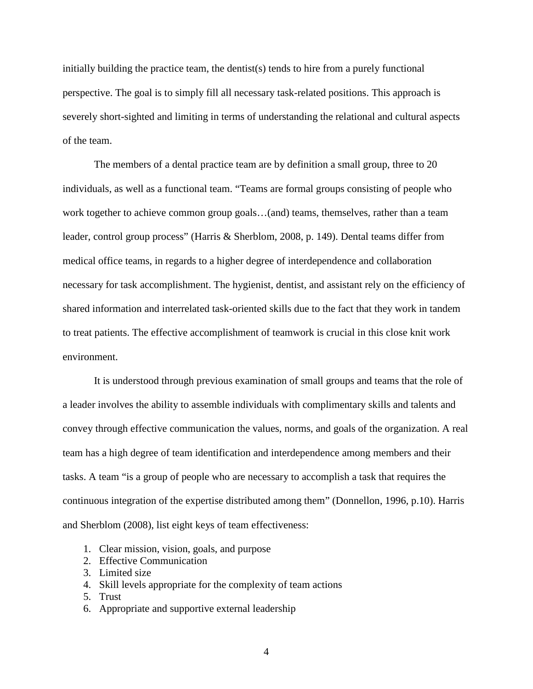initially building the practice team, the dentist(s) tends to hire from a purely functional perspective. The goal is to simply fill all necessary task-related positions. This approach is severely short-sighted and limiting in terms of understanding the relational and cultural aspects of the team.

The members of a dental practice team are by definition a small group, three to 20 individuals, as well as a functional team. "Teams are formal groups consisting of people who work together to achieve common group goals…(and) teams, themselves, rather than a team leader, control group process" (Harris & Sherblom, 2008, p. 149). Dental teams differ from medical office teams, in regards to a higher degree of interdependence and collaboration necessary for task accomplishment. The hygienist, dentist, and assistant rely on the efficiency of shared information and interrelated task-oriented skills due to the fact that they work in tandem to treat patients. The effective accomplishment of teamwork is crucial in this close knit work environment.

It is understood through previous examination of small groups and teams that the role of a leader involves the ability to assemble individuals with complimentary skills and talents and convey through effective communication the values, norms, and goals of the organization. A real team has a high degree of team identification and interdependence among members and their tasks. A team "is a group of people who are necessary to accomplish a task that requires the continuous integration of the expertise distributed among them" (Donnellon, 1996, p.10). Harris and Sherblom (2008), list eight keys of team effectiveness:

- 1. Clear mission, vision, goals, and purpose
- 2. Effective Communication
- 3. Limited size
- 4. Skill levels appropriate for the complexity of team actions
- 5. Trust
- 6. Appropriate and supportive external leadership
	- 4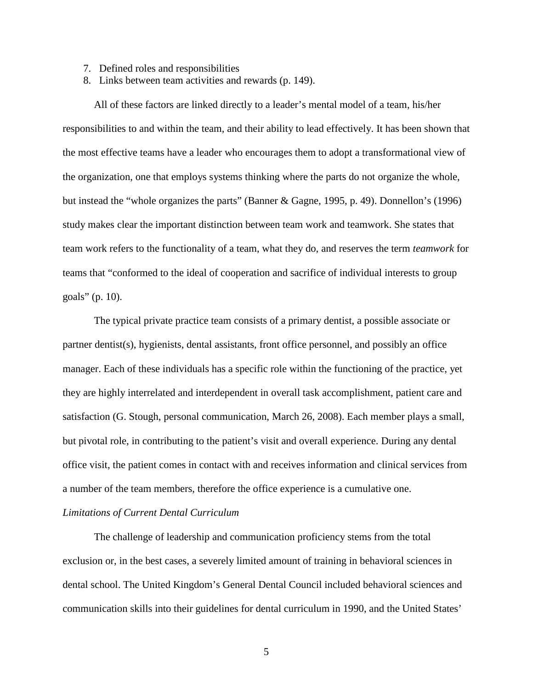- 7. Defined roles and responsibilities
- 8. Links between team activities and rewards (p. 149).

All of these factors are linked directly to a leader's mental model of a team, his/her responsibilities to and within the team, and their ability to lead effectively. It has been shown that the most effective teams have a leader who encourages them to adopt a transformational view of the organization, one that employs systems thinking where the parts do not organize the whole, but instead the "whole organizes the parts" (Banner & Gagne, 1995, p. 49). Donnellon's (1996) study makes clear the important distinction between team work and teamwork. She states that team work refers to the functionality of a team, what they do, and reserves the term *teamwork* for teams that "conformed to the ideal of cooperation and sacrifice of individual interests to group goals" (p. 10).

The typical private practice team consists of a primary dentist, a possible associate or partner dentist(s), hygienists, dental assistants, front office personnel, and possibly an office manager. Each of these individuals has a specific role within the functioning of the practice, yet they are highly interrelated and interdependent in overall task accomplishment, patient care and satisfaction (G. Stough, personal communication, March 26, 2008). Each member plays a small, but pivotal role, in contributing to the patient's visit and overall experience. During any dental office visit, the patient comes in contact with and receives information and clinical services from a number of the team members, therefore the office experience is a cumulative one.

### *Limitations of Current Dental Curriculum*

The challenge of leadership and communication proficiency stems from the total exclusion or, in the best cases, a severely limited amount of training in behavioral sciences in dental school. The United Kingdom's General Dental Council included behavioral sciences and communication skills into their guidelines for dental curriculum in 1990, and the United States'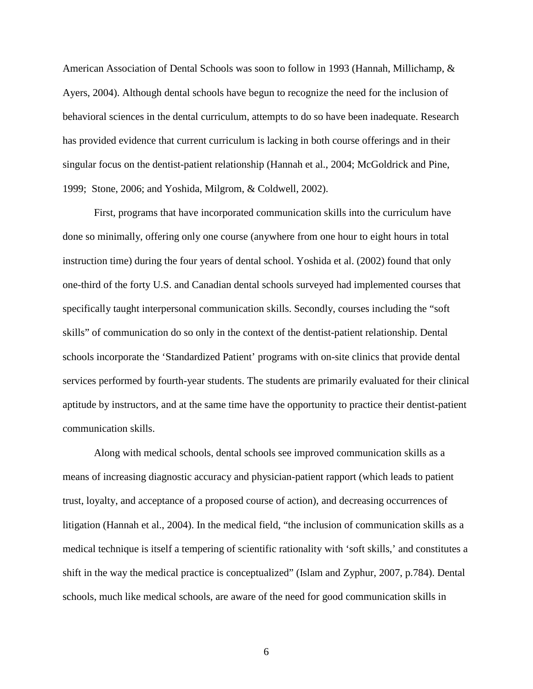American Association of Dental Schools was soon to follow in 1993 (Hannah, Millichamp, & Ayers, 2004). Although dental schools have begun to recognize the need for the inclusion of behavioral sciences in the dental curriculum, attempts to do so have been inadequate. Research has provided evidence that current curriculum is lacking in both course offerings and in their singular focus on the dentist-patient relationship (Hannah et al., 2004; McGoldrick and Pine, 1999; Stone, 2006; and Yoshida, Milgrom, & Coldwell, 2002).

First, programs that have incorporated communication skills into the curriculum have done so minimally, offering only one course (anywhere from one hour to eight hours in total instruction time) during the four years of dental school. Yoshida et al. (2002) found that only one-third of the forty U.S. and Canadian dental schools surveyed had implemented courses that specifically taught interpersonal communication skills. Secondly, courses including the "soft skills" of communication do so only in the context of the dentist-patient relationship. Dental schools incorporate the 'Standardized Patient' programs with on-site clinics that provide dental services performed by fourth-year students. The students are primarily evaluated for their clinical aptitude by instructors, and at the same time have the opportunity to practice their dentist-patient communication skills.

Along with medical schools, dental schools see improved communication skills as a means of increasing diagnostic accuracy and physician-patient rapport (which leads to patient trust, loyalty, and acceptance of a proposed course of action), and decreasing occurrences of litigation (Hannah et al., 2004). In the medical field, "the inclusion of communication skills as a medical technique is itself a tempering of scientific rationality with 'soft skills,' and constitutes a shift in the way the medical practice is conceptualized" (Islam and Zyphur, 2007, p.784). Dental schools, much like medical schools, are aware of the need for good communication skills in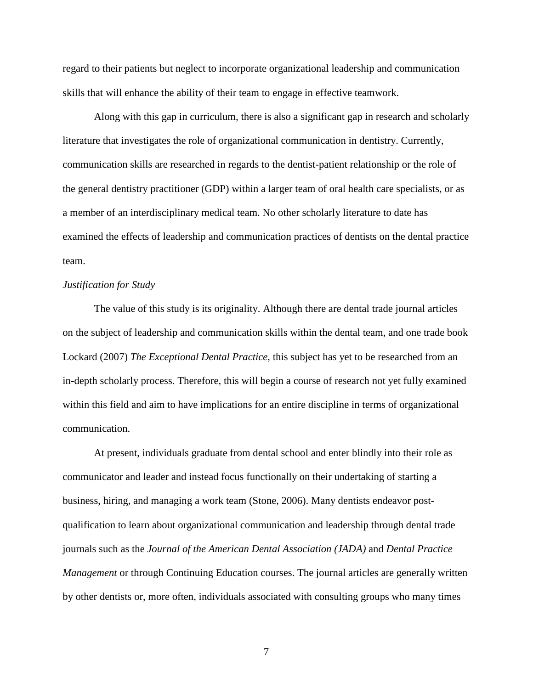regard to their patients but neglect to incorporate organizational leadership and communication skills that will enhance the ability of their team to engage in effective teamwork.

Along with this gap in curriculum, there is also a significant gap in research and scholarly literature that investigates the role of organizational communication in dentistry. Currently, communication skills are researched in regards to the dentist-patient relationship or the role of the general dentistry practitioner (GDP) within a larger team of oral health care specialists, or as a member of an interdisciplinary medical team. No other scholarly literature to date has examined the effects of leadership and communication practices of dentists on the dental practice team.

#### *Justification for Study*

The value of this study is its originality. Although there are dental trade journal articles on the subject of leadership and communication skills within the dental team, and one trade book Lockard (2007) *The Exceptional Dental Practice*, this subject has yet to be researched from an in-depth scholarly process. Therefore, this will begin a course of research not yet fully examined within this field and aim to have implications for an entire discipline in terms of organizational communication.

At present, individuals graduate from dental school and enter blindly into their role as communicator and leader and instead focus functionally on their undertaking of starting a business, hiring, and managing a work team (Stone, 2006). Many dentists endeavor postqualification to learn about organizational communication and leadership through dental trade journals such as the *Journal of the American Dental Association (JADA)* and *Dental Practice Management* or through Continuing Education courses. The journal articles are generally written by other dentists or, more often, individuals associated with consulting groups who many times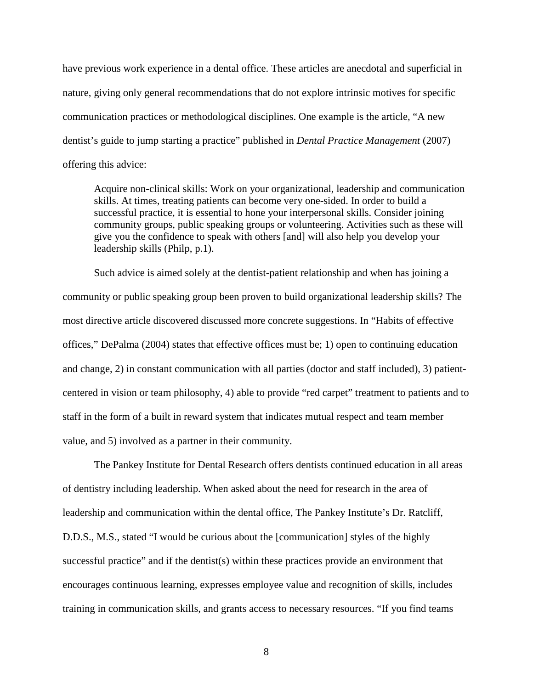have previous work experience in a dental office. These articles are anecdotal and superficial in nature, giving only general recommendations that do not explore intrinsic motives for specific communication practices or methodological disciplines. One example is the article, "A new dentist's guide to jump starting a practice" published in *Dental Practice Management* (2007) offering this advice:

Acquire non-clinical skills: Work on your organizational, leadership and communication skills. At times, treating patients can become very one-sided. In order to build a successful practice, it is essential to hone your interpersonal skills. Consider joining community groups, public speaking groups or volunteering. Activities such as these will give you the confidence to speak with others [and] will also help you develop your leadership skills (Philp, p.1).

Such advice is aimed solely at the dentist-patient relationship and when has joining a community or public speaking group been proven to build organizational leadership skills? The most directive article discovered discussed more concrete suggestions. In "Habits of effective offices," DePalma (2004) states that effective offices must be; 1) open to continuing education and change, 2) in constant communication with all parties (doctor and staff included), 3) patientcentered in vision or team philosophy, 4) able to provide "red carpet" treatment to patients and to staff in the form of a built in reward system that indicates mutual respect and team member value, and 5) involved as a partner in their community.

The Pankey Institute for Dental Research offers dentists continued education in all areas of dentistry including leadership. When asked about the need for research in the area of leadership and communication within the dental office, The Pankey Institute's Dr. Ratcliff, D.D.S., M.S., stated "I would be curious about the [communication] styles of the highly successful practice" and if the dentist(s) within these practices provide an environment that encourages continuous learning, expresses employee value and recognition of skills, includes training in communication skills, and grants access to necessary resources. "If you find teams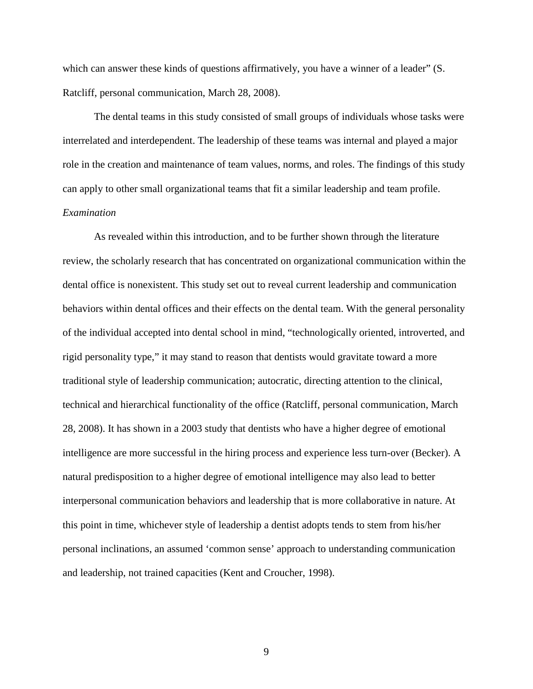which can answer these kinds of questions affirmatively, you have a winner of a leader" (S. Ratcliff, personal communication, March 28, 2008).

The dental teams in this study consisted of small groups of individuals whose tasks were interrelated and interdependent. The leadership of these teams was internal and played a major role in the creation and maintenance of team values, norms, and roles. The findings of this study can apply to other small organizational teams that fit a similar leadership and team profile.

# *Examination*

As revealed within this introduction, and to be further shown through the literature review, the scholarly research that has concentrated on organizational communication within the dental office is nonexistent. This study set out to reveal current leadership and communication behaviors within dental offices and their effects on the dental team. With the general personality of the individual accepted into dental school in mind, "technologically oriented, introverted, and rigid personality type," it may stand to reason that dentists would gravitate toward a more traditional style of leadership communication; autocratic, directing attention to the clinical, technical and hierarchical functionality of the office (Ratcliff, personal communication, March 28, 2008). It has shown in a 2003 study that dentists who have a higher degree of emotional intelligence are more successful in the hiring process and experience less turn-over (Becker). A natural predisposition to a higher degree of emotional intelligence may also lead to better interpersonal communication behaviors and leadership that is more collaborative in nature. At this point in time, whichever style of leadership a dentist adopts tends to stem from his/her personal inclinations, an assumed 'common sense' approach to understanding communication and leadership, not trained capacities (Kent and Croucher, 1998).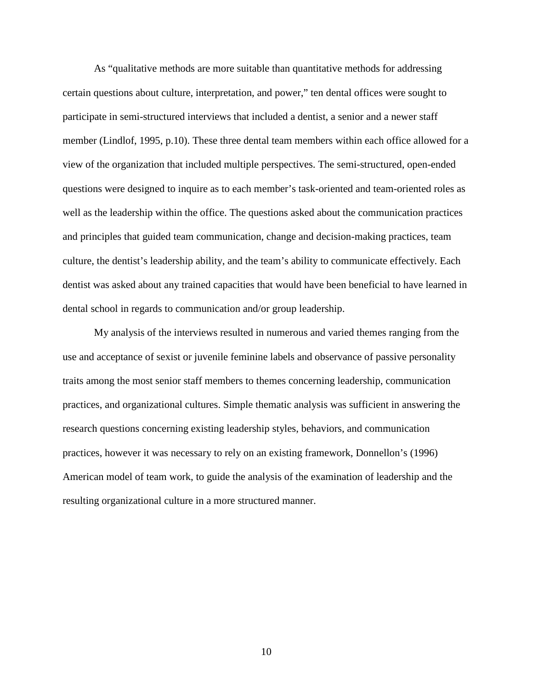As "qualitative methods are more suitable than quantitative methods for addressing certain questions about culture, interpretation, and power," ten dental offices were sought to participate in semi-structured interviews that included a dentist, a senior and a newer staff member (Lindlof, 1995, p.10). These three dental team members within each office allowed for a view of the organization that included multiple perspectives. The semi-structured, open-ended questions were designed to inquire as to each member's task-oriented and team-oriented roles as well as the leadership within the office. The questions asked about the communication practices and principles that guided team communication, change and decision-making practices, team culture, the dentist's leadership ability, and the team's ability to communicate effectively. Each dentist was asked about any trained capacities that would have been beneficial to have learned in dental school in regards to communication and/or group leadership.

My analysis of the interviews resulted in numerous and varied themes ranging from the use and acceptance of sexist or juvenile feminine labels and observance of passive personality traits among the most senior staff members to themes concerning leadership, communication practices, and organizational cultures. Simple thematic analysis was sufficient in answering the research questions concerning existing leadership styles, behaviors, and communication practices, however it was necessary to rely on an existing framework, Donnellon's (1996) American model of team work, to guide the analysis of the examination of leadership and the resulting organizational culture in a more structured manner.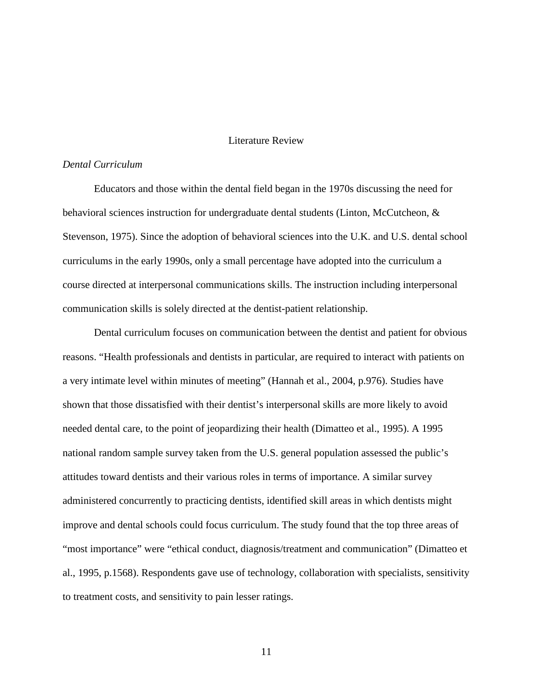#### Literature Review

#### *Dental Curriculum*

Educators and those within the dental field began in the 1970s discussing the need for behavioral sciences instruction for undergraduate dental students (Linton, McCutcheon, & Stevenson, 1975). Since the adoption of behavioral sciences into the U.K. and U.S. dental school curriculums in the early 1990s, only a small percentage have adopted into the curriculum a course directed at interpersonal communications skills. The instruction including interpersonal communication skills is solely directed at the dentist-patient relationship.

Dental curriculum focuses on communication between the dentist and patient for obvious reasons. "Health professionals and dentists in particular, are required to interact with patients on a very intimate level within minutes of meeting" (Hannah et al., 2004, p.976). Studies have shown that those dissatisfied with their dentist's interpersonal skills are more likely to avoid needed dental care, to the point of jeopardizing their health (Dimatteo et al., 1995). A 1995 national random sample survey taken from the U.S. general population assessed the public's attitudes toward dentists and their various roles in terms of importance. A similar survey administered concurrently to practicing dentists, identified skill areas in which dentists might improve and dental schools could focus curriculum. The study found that the top three areas of "most importance" were "ethical conduct, diagnosis/treatment and communication" (Dimatteo et al., 1995, p.1568). Respondents gave use of technology, collaboration with specialists, sensitivity to treatment costs, and sensitivity to pain lesser ratings.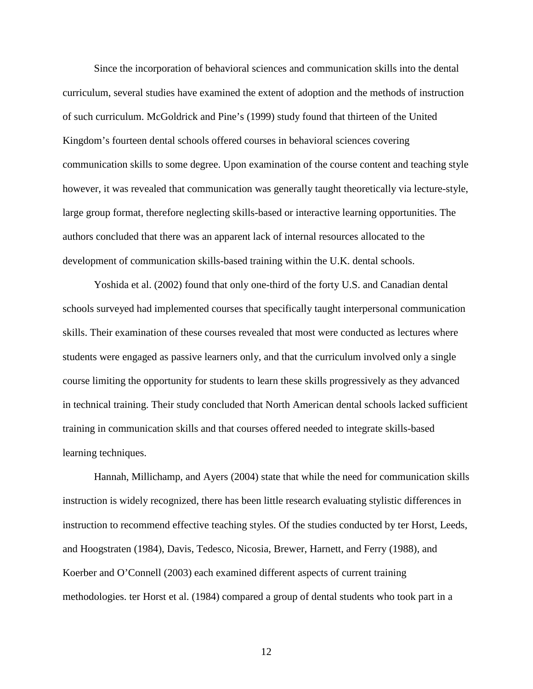Since the incorporation of behavioral sciences and communication skills into the dental curriculum, several studies have examined the extent of adoption and the methods of instruction of such curriculum. McGoldrick and Pine's (1999) study found that thirteen of the United Kingdom's fourteen dental schools offered courses in behavioral sciences covering communication skills to some degree. Upon examination of the course content and teaching style however, it was revealed that communication was generally taught theoretically via lecture-style, large group format, therefore neglecting skills-based or interactive learning opportunities. The authors concluded that there was an apparent lack of internal resources allocated to the development of communication skills-based training within the U.K. dental schools.

Yoshida et al. (2002) found that only one-third of the forty U.S. and Canadian dental schools surveyed had implemented courses that specifically taught interpersonal communication skills. Their examination of these courses revealed that most were conducted as lectures where students were engaged as passive learners only, and that the curriculum involved only a single course limiting the opportunity for students to learn these skills progressively as they advanced in technical training. Their study concluded that North American dental schools lacked sufficient training in communication skills and that courses offered needed to integrate skills-based learning techniques.

Hannah, Millichamp, and Ayers (2004) state that while the need for communication skills instruction is widely recognized, there has been little research evaluating stylistic differences in instruction to recommend effective teaching styles. Of the studies conducted by ter Horst, Leeds, and Hoogstraten (1984), Davis, Tedesco, Nicosia, Brewer, Harnett, and Ferry (1988), and Koerber and O'Connell (2003) each examined different aspects of current training methodologies. ter Horst et al. (1984) compared a group of dental students who took part in a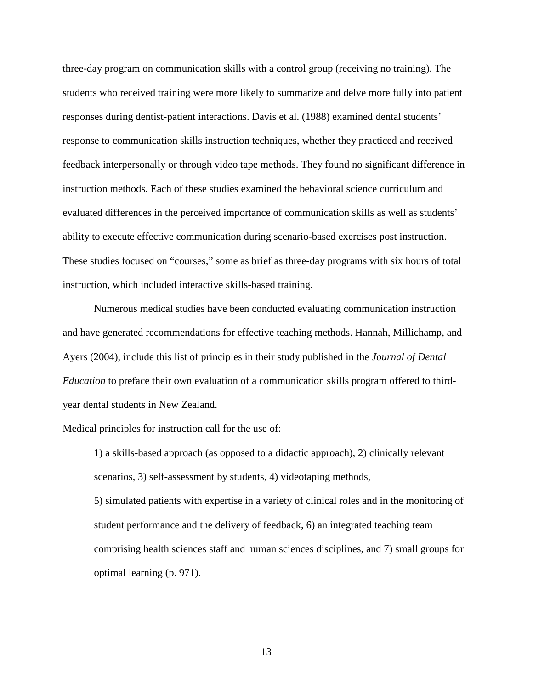three-day program on communication skills with a control group (receiving no training). The students who received training were more likely to summarize and delve more fully into patient responses during dentist-patient interactions. Davis et al. (1988) examined dental students' response to communication skills instruction techniques, whether they practiced and received feedback interpersonally or through video tape methods. They found no significant difference in instruction methods. Each of these studies examined the behavioral science curriculum and evaluated differences in the perceived importance of communication skills as well as students' ability to execute effective communication during scenario-based exercises post instruction. These studies focused on "courses," some as brief as three-day programs with six hours of total instruction, which included interactive skills-based training.

 Numerous medical studies have been conducted evaluating communication instruction and have generated recommendations for effective teaching methods. Hannah, Millichamp, and Ayers (2004), include this list of principles in their study published in the *Journal of Dental Education* to preface their own evaluation of a communication skills program offered to thirdyear dental students in New Zealand.

Medical principles for instruction call for the use of:

1) a skills-based approach (as opposed to a didactic approach), 2) clinically relevant scenarios, 3) self-assessment by students, 4) videotaping methods,

5) simulated patients with expertise in a variety of clinical roles and in the monitoring of student performance and the delivery of feedback, 6) an integrated teaching team comprising health sciences staff and human sciences disciplines, and 7) small groups for optimal learning (p. 971).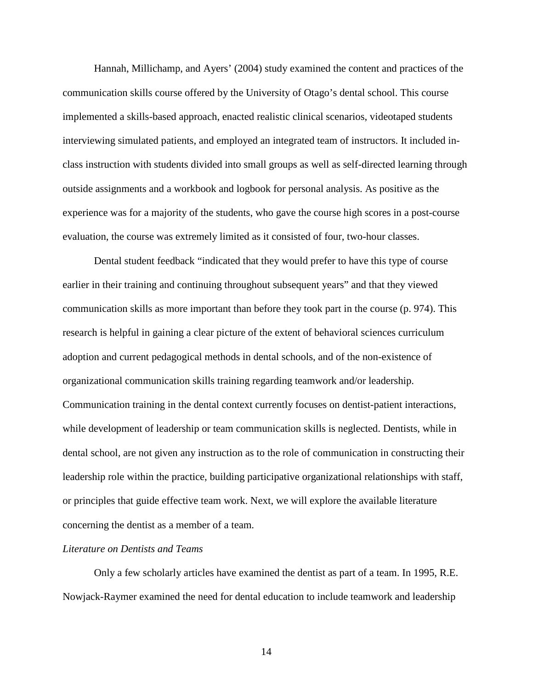Hannah, Millichamp, and Ayers' (2004) study examined the content and practices of the communication skills course offered by the University of Otago's dental school. This course implemented a skills-based approach, enacted realistic clinical scenarios, videotaped students interviewing simulated patients, and employed an integrated team of instructors. It included inclass instruction with students divided into small groups as well as self-directed learning through outside assignments and a workbook and logbook for personal analysis. As positive as the experience was for a majority of the students, who gave the course high scores in a post-course evaluation, the course was extremely limited as it consisted of four, two-hour classes.

Dental student feedback "indicated that they would prefer to have this type of course earlier in their training and continuing throughout subsequent years" and that they viewed communication skills as more important than before they took part in the course (p. 974). This research is helpful in gaining a clear picture of the extent of behavioral sciences curriculum adoption and current pedagogical methods in dental schools, and of the non-existence of organizational communication skills training regarding teamwork and/or leadership. Communication training in the dental context currently focuses on dentist-patient interactions, while development of leadership or team communication skills is neglected. Dentists, while in dental school, are not given any instruction as to the role of communication in constructing their leadership role within the practice, building participative organizational relationships with staff, or principles that guide effective team work. Next, we will explore the available literature concerning the dentist as a member of a team.

#### *Literature on Dentists and Teams*

Only a few scholarly articles have examined the dentist as part of a team. In 1995, R.E. Nowjack-Raymer examined the need for dental education to include teamwork and leadership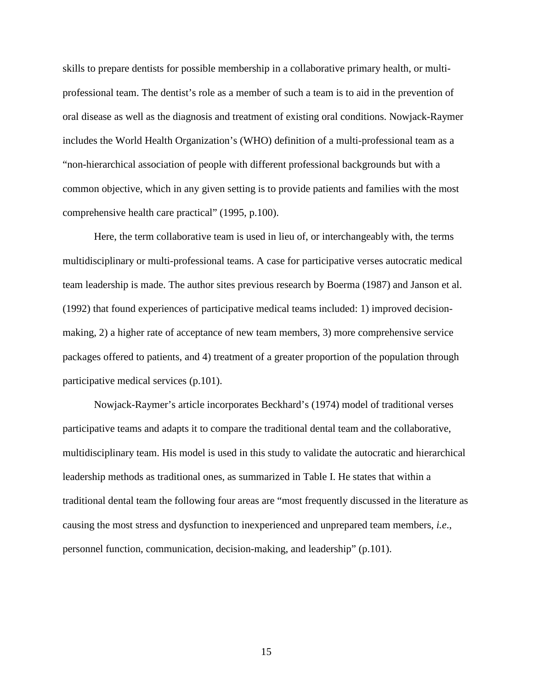skills to prepare dentists for possible membership in a collaborative primary health, or multiprofessional team. The dentist's role as a member of such a team is to aid in the prevention of oral disease as well as the diagnosis and treatment of existing oral conditions. Nowjack-Raymer includes the World Health Organization's (WHO) definition of a multi-professional team as a "non-hierarchical association of people with different professional backgrounds but with a common objective, which in any given setting is to provide patients and families with the most comprehensive health care practical" (1995, p.100).

Here, the term collaborative team is used in lieu of, or interchangeably with, the terms multidisciplinary or multi-professional teams. A case for participative verses autocratic medical team leadership is made. The author sites previous research by Boerma (1987) and Janson et al. (1992) that found experiences of participative medical teams included: 1) improved decisionmaking, 2) a higher rate of acceptance of new team members, 3) more comprehensive service packages offered to patients, and 4) treatment of a greater proportion of the population through participative medical services (p.101).

 Nowjack-Raymer's article incorporates Beckhard's (1974) model of traditional verses participative teams and adapts it to compare the traditional dental team and the collaborative, multidisciplinary team. His model is used in this study to validate the autocratic and hierarchical leadership methods as traditional ones, as summarized in Table I. He states that within a traditional dental team the following four areas are "most frequently discussed in the literature as causing the most stress and dysfunction to inexperienced and unprepared team members, *i.e*., personnel function, communication, decision-making, and leadership" (p.101).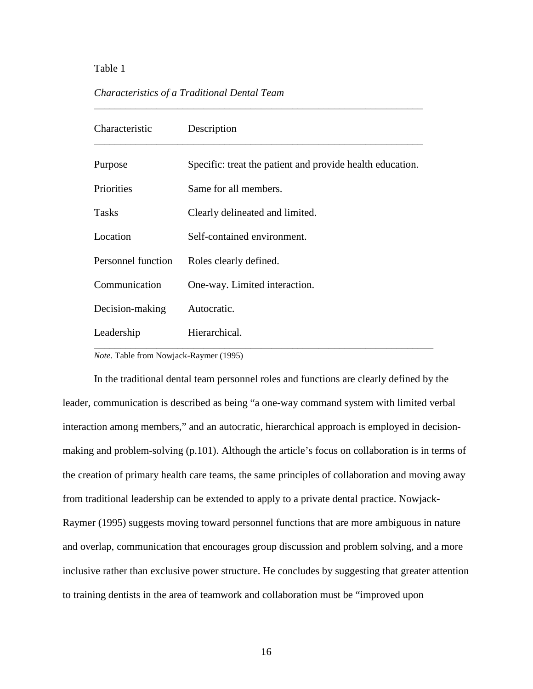### Table 1

# *Characteristics of a Traditional Dental Team*

| Characteristic     | Description                                               |
|--------------------|-----------------------------------------------------------|
| Purpose            | Specific: treat the patient and provide health education. |
| Priorities         | Same for all members.                                     |
| <b>Tasks</b>       | Clearly delineated and limited.                           |
| Location           | Self-contained environment.                               |
| Personnel function | Roles clearly defined.                                    |
| Communication      | One-way. Limited interaction.                             |
| Decision-making    | Autocratic.                                               |
| Leadership         | Hierarchical.                                             |

*\_\_\_\_\_\_\_\_\_\_\_\_\_\_\_\_\_\_\_\_\_\_\_\_\_\_\_\_\_\_\_\_\_\_\_\_\_\_\_\_\_\_\_\_\_\_\_\_\_\_\_\_\_\_\_\_\_\_\_\_\_\_\_* 

*Note*. Table from Nowjack-Raymer (1995)

In the traditional dental team personnel roles and functions are clearly defined by the leader, communication is described as being "a one-way command system with limited verbal interaction among members," and an autocratic, hierarchical approach is employed in decisionmaking and problem-solving (p.101). Although the article's focus on collaboration is in terms of the creation of primary health care teams, the same principles of collaboration and moving away from traditional leadership can be extended to apply to a private dental practice. Nowjack-Raymer (1995) suggests moving toward personnel functions that are more ambiguous in nature and overlap, communication that encourages group discussion and problem solving, and a more inclusive rather than exclusive power structure. He concludes by suggesting that greater attention to training dentists in the area of teamwork and collaboration must be "improved upon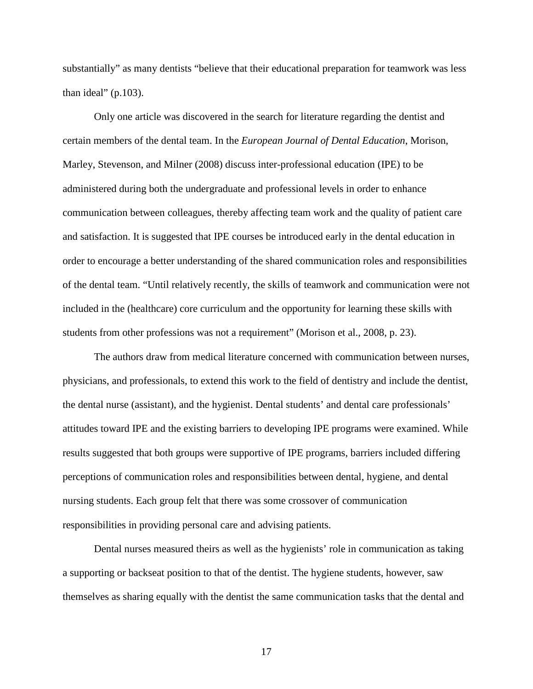substantially" as many dentists "believe that their educational preparation for teamwork was less than ideal" (p.103).

Only one article was discovered in the search for literature regarding the dentist and certain members of the dental team. In the *European Journal of Dental Education*, Morison, Marley, Stevenson, and Milner (2008) discuss inter-professional education (IPE) to be administered during both the undergraduate and professional levels in order to enhance communication between colleagues, thereby affecting team work and the quality of patient care and satisfaction. It is suggested that IPE courses be introduced early in the dental education in order to encourage a better understanding of the shared communication roles and responsibilities of the dental team. "Until relatively recently, the skills of teamwork and communication were not included in the (healthcare) core curriculum and the opportunity for learning these skills with students from other professions was not a requirement" (Morison et al., 2008, p. 23).

The authors draw from medical literature concerned with communication between nurses, physicians, and professionals, to extend this work to the field of dentistry and include the dentist, the dental nurse (assistant), and the hygienist. Dental students' and dental care professionals' attitudes toward IPE and the existing barriers to developing IPE programs were examined. While results suggested that both groups were supportive of IPE programs, barriers included differing perceptions of communication roles and responsibilities between dental, hygiene, and dental nursing students. Each group felt that there was some crossover of communication responsibilities in providing personal care and advising patients.

Dental nurses measured theirs as well as the hygienists' role in communication as taking a supporting or backseat position to that of the dentist. The hygiene students, however, saw themselves as sharing equally with the dentist the same communication tasks that the dental and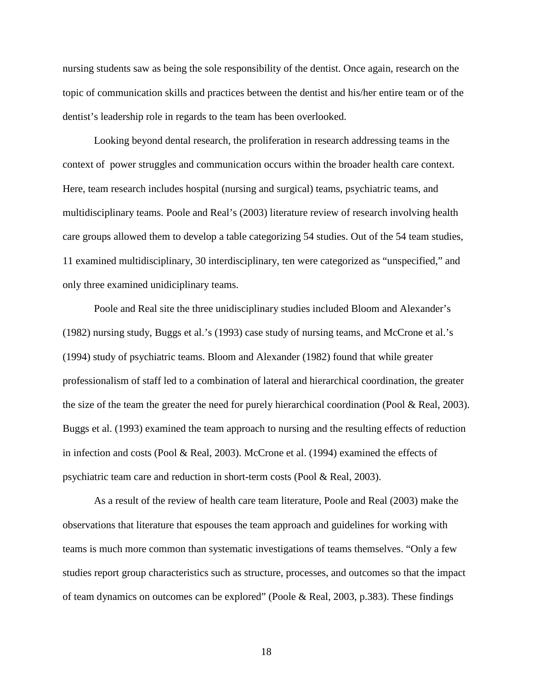nursing students saw as being the sole responsibility of the dentist. Once again, research on the topic of communication skills and practices between the dentist and his/her entire team or of the dentist's leadership role in regards to the team has been overlooked.

Looking beyond dental research, the proliferation in research addressing teams in the context of power struggles and communication occurs within the broader health care context. Here, team research includes hospital (nursing and surgical) teams, psychiatric teams, and multidisciplinary teams. Poole and Real's (2003) literature review of research involving health care groups allowed them to develop a table categorizing 54 studies. Out of the 54 team studies, 11 examined multidisciplinary, 30 interdisciplinary, ten were categorized as "unspecified," and only three examined unidiciplinary teams.

Poole and Real site the three unidisciplinary studies included Bloom and Alexander's (1982) nursing study, Buggs et al.'s (1993) case study of nursing teams, and McCrone et al.'s (1994) study of psychiatric teams. Bloom and Alexander (1982) found that while greater professionalism of staff led to a combination of lateral and hierarchical coordination, the greater the size of the team the greater the need for purely hierarchical coordination (Pool & Real, 2003). Buggs et al. (1993) examined the team approach to nursing and the resulting effects of reduction in infection and costs (Pool & Real, 2003). McCrone et al. (1994) examined the effects of psychiatric team care and reduction in short-term costs (Pool & Real, 2003).

As a result of the review of health care team literature, Poole and Real (2003) make the observations that literature that espouses the team approach and guidelines for working with teams is much more common than systematic investigations of teams themselves. "Only a few studies report group characteristics such as structure, processes, and outcomes so that the impact of team dynamics on outcomes can be explored" (Poole & Real, 2003, p.383). These findings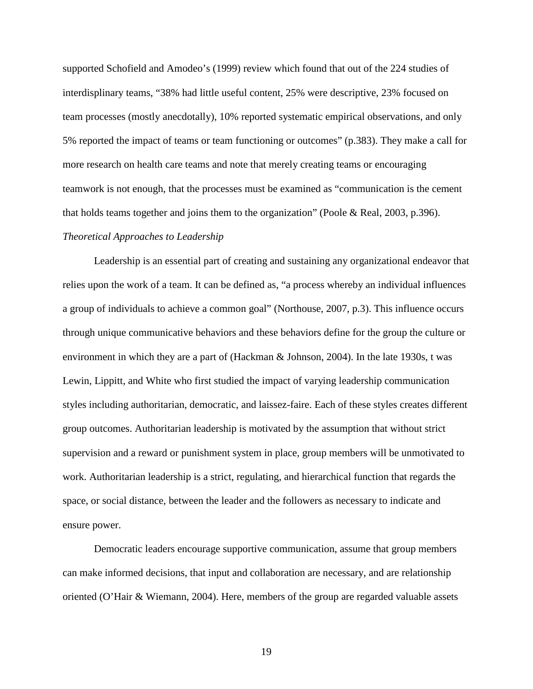supported Schofield and Amodeo's (1999) review which found that out of the 224 studies of interdisplinary teams, "38% had little useful content, 25% were descriptive, 23% focused on team processes (mostly anecdotally), 10% reported systematic empirical observations, and only 5% reported the impact of teams or team functioning or outcomes" (p.383). They make a call for more research on health care teams and note that merely creating teams or encouraging teamwork is not enough, that the processes must be examined as "communication is the cement that holds teams together and joins them to the organization" (Poole & Real, 2003, p.396).

#### *Theoretical Approaches to Leadership*

Leadership is an essential part of creating and sustaining any organizational endeavor that relies upon the work of a team. It can be defined as, "a process whereby an individual influences a group of individuals to achieve a common goal" (Northouse, 2007, p.3). This influence occurs through unique communicative behaviors and these behaviors define for the group the culture or environment in which they are a part of (Hackman & Johnson, 2004). In the late 1930s, t was Lewin, Lippitt, and White who first studied the impact of varying leadership communication styles including authoritarian, democratic, and laissez-faire. Each of these styles creates different group outcomes. Authoritarian leadership is motivated by the assumption that without strict supervision and a reward or punishment system in place, group members will be unmotivated to work. Authoritarian leadership is a strict, regulating, and hierarchical function that regards the space, or social distance, between the leader and the followers as necessary to indicate and ensure power.

Democratic leaders encourage supportive communication, assume that group members can make informed decisions, that input and collaboration are necessary, and are relationship oriented (O'Hair & Wiemann, 2004). Here, members of the group are regarded valuable assets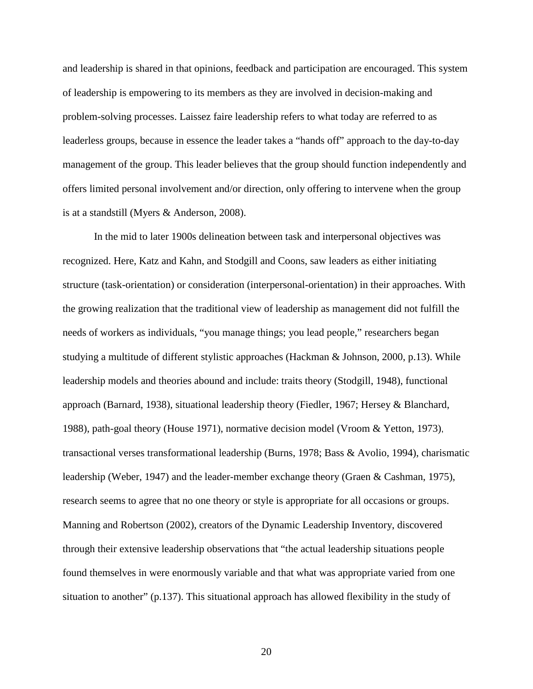and leadership is shared in that opinions, feedback and participation are encouraged. This system of leadership is empowering to its members as they are involved in decision-making and problem-solving processes. Laissez faire leadership refers to what today are referred to as leaderless groups, because in essence the leader takes a "hands off" approach to the day-to-day management of the group. This leader believes that the group should function independently and offers limited personal involvement and/or direction, only offering to intervene when the group is at a standstill (Myers & Anderson, 2008).

In the mid to later 1900s delineation between task and interpersonal objectives was recognized. Here, Katz and Kahn, and Stodgill and Coons, saw leaders as either initiating structure (task-orientation) or consideration (interpersonal-orientation) in their approaches. With the growing realization that the traditional view of leadership as management did not fulfill the needs of workers as individuals, "you manage things; you lead people," researchers began studying a multitude of different stylistic approaches (Hackman & Johnson, 2000, p.13). While leadership models and theories abound and include: traits theory (Stodgill, 1948), functional approach (Barnard, 1938), situational leadership theory (Fiedler, 1967; Hersey & Blanchard, 1988), path-goal theory (House 1971), normative decision model (Vroom & Yetton, 1973), transactional verses transformational leadership (Burns, 1978; Bass & Avolio, 1994), charismatic leadership (Weber, 1947) and the leader-member exchange theory (Graen & Cashman, 1975), research seems to agree that no one theory or style is appropriate for all occasions or groups. Manning and Robertson (2002), creators of the Dynamic Leadership Inventory, discovered through their extensive leadership observations that "the actual leadership situations people found themselves in were enormously variable and that what was appropriate varied from one situation to another" (p.137). This situational approach has allowed flexibility in the study of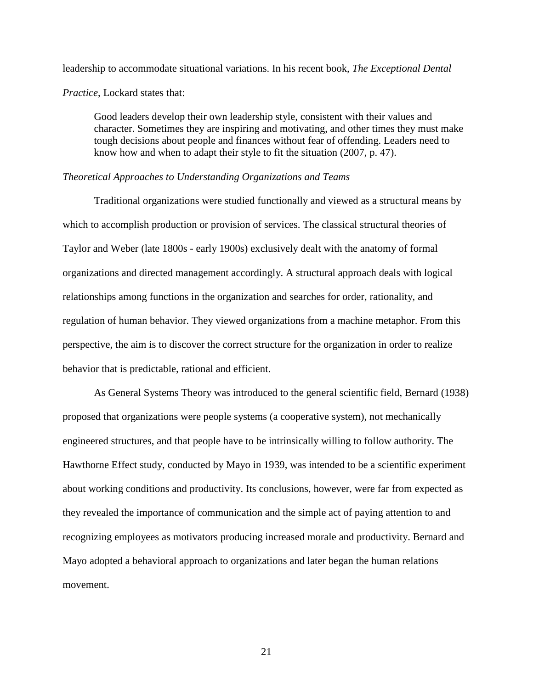leadership to accommodate situational variations. In his recent book, *The Exceptional Dental Practice*, Lockard states that:

Good leaders develop their own leadership style, consistent with their values and character. Sometimes they are inspiring and motivating, and other times they must make tough decisions about people and finances without fear of offending. Leaders need to know how and when to adapt their style to fit the situation (2007, p. 47).

#### *Theoretical Approaches to Understanding Organizations and Teams*

Traditional organizations were studied functionally and viewed as a structural means by which to accomplish production or provision of services. The classical structural theories of Taylor and Weber (late 1800s - early 1900s) exclusively dealt with the anatomy of formal organizations and directed management accordingly. A structural approach deals with logical relationships among functions in the organization and searches for order, rationality, and regulation of human behavior. They viewed organizations from a machine metaphor. From this perspective, the aim is to discover the correct structure for the organization in order to realize behavior that is predictable, rational and efficient.

As General Systems Theory was introduced to the general scientific field, Bernard (1938) proposed that organizations were people systems (a cooperative system), not mechanically engineered structures, and that people have to be intrinsically willing to follow authority. The Hawthorne Effect study, conducted by Mayo in 1939, was intended to be a scientific experiment about working conditions and productivity. Its conclusions, however, were far from expected as they revealed the importance of communication and the simple act of paying attention to and recognizing employees as motivators producing increased morale and productivity. Bernard and Mayo adopted a behavioral approach to organizations and later began the human relations movement.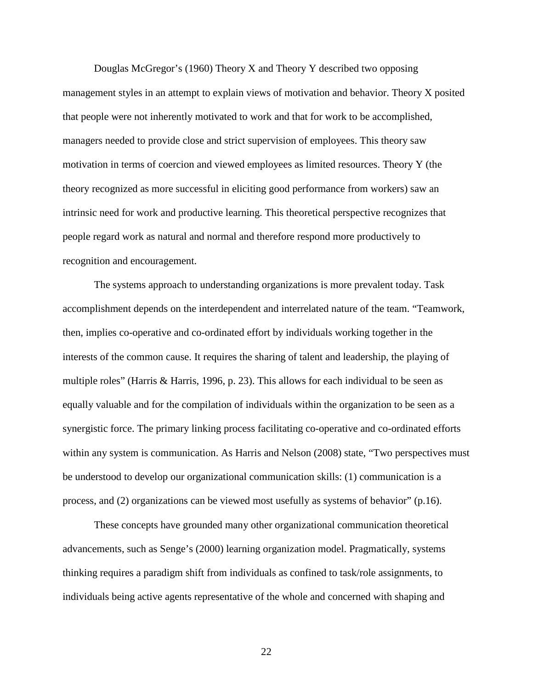Douglas McGregor's (1960) Theory X and Theory Y described two opposing management styles in an attempt to explain views of motivation and behavior. Theory X posited that people were not inherently motivated to work and that for work to be accomplished, managers needed to provide close and strict supervision of employees. This theory saw motivation in terms of coercion and viewed employees as limited resources. Theory Y (the theory recognized as more successful in eliciting good performance from workers) saw an intrinsic need for work and productive learning. This theoretical perspective recognizes that people regard work as natural and normal and therefore respond more productively to recognition and encouragement.

The systems approach to understanding organizations is more prevalent today. Task accomplishment depends on the interdependent and interrelated nature of the team. "Teamwork, then, implies co-operative and co-ordinated effort by individuals working together in the interests of the common cause. It requires the sharing of talent and leadership, the playing of multiple roles" (Harris & Harris, 1996, p. 23). This allows for each individual to be seen as equally valuable and for the compilation of individuals within the organization to be seen as a synergistic force. The primary linking process facilitating co-operative and co-ordinated efforts within any system is communication. As Harris and Nelson (2008) state, "Two perspectives must be understood to develop our organizational communication skills: (1) communication is a process, and (2) organizations can be viewed most usefully as systems of behavior" (p.16).

These concepts have grounded many other organizational communication theoretical advancements, such as Senge's (2000) learning organization model. Pragmatically, systems thinking requires a paradigm shift from individuals as confined to task/role assignments, to individuals being active agents representative of the whole and concerned with shaping and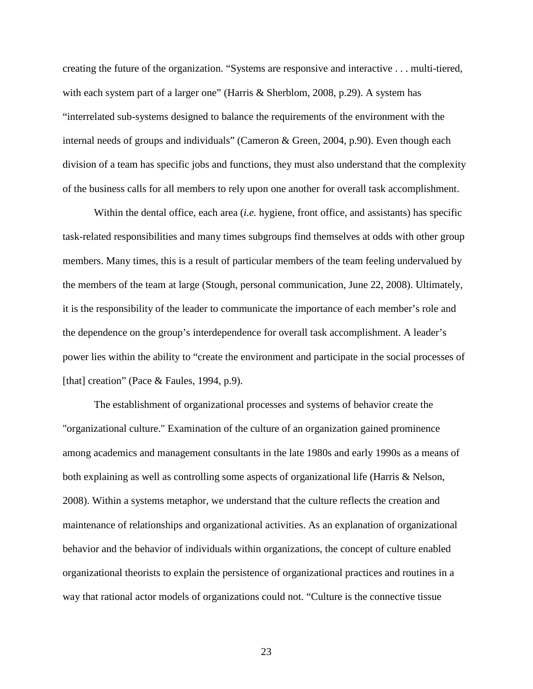creating the future of the organization. "Systems are responsive and interactive . . . multi-tiered, with each system part of a larger one" (Harris & Sherblom, 2008, p.29). A system has "interrelated sub-systems designed to balance the requirements of the environment with the internal needs of groups and individuals" (Cameron & Green, 2004, p.90). Even though each division of a team has specific jobs and functions, they must also understand that the complexity of the business calls for all members to rely upon one another for overall task accomplishment.

Within the dental office, each area (*i.e.* hygiene, front office, and assistants) has specific task-related responsibilities and many times subgroups find themselves at odds with other group members. Many times, this is a result of particular members of the team feeling undervalued by the members of the team at large (Stough, personal communication, June 22, 2008). Ultimately, it is the responsibility of the leader to communicate the importance of each member's role and the dependence on the group's interdependence for overall task accomplishment. A leader's power lies within the ability to "create the environment and participate in the social processes of [that] creation" (Pace & Faules, 1994, p.9).

The establishment of organizational processes and systems of behavior create the "organizational culture." Examination of the culture of an organization gained prominence among academics and management consultants in the late 1980s and early 1990s as a means of both explaining as well as controlling some aspects of organizational life (Harris & Nelson, 2008). Within a systems metaphor, we understand that the culture reflects the creation and maintenance of relationships and organizational activities. As an explanation of organizational behavior and the behavior of individuals within organizations, the concept of culture enabled organizational theorists to explain the persistence of organizational practices and routines in a way that rational actor models of organizations could not. "Culture is the connective tissue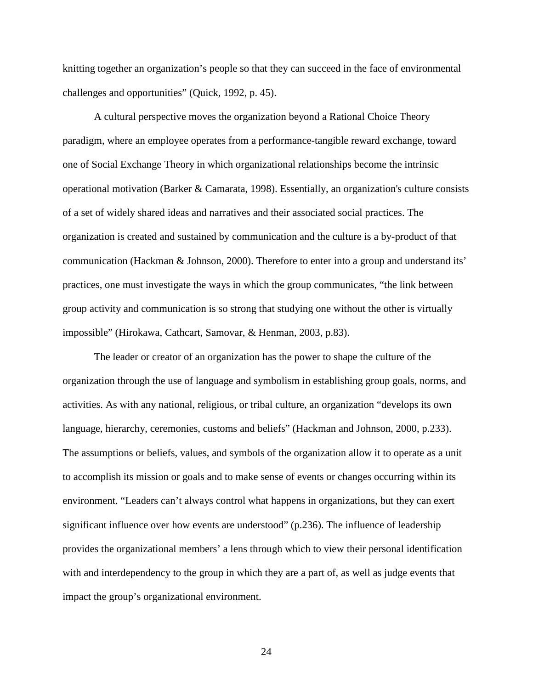knitting together an organization's people so that they can succeed in the face of environmental challenges and opportunities" (Quick, 1992, p. 45).

A cultural perspective moves the organization beyond a Rational Choice Theory paradigm, where an employee operates from a performance-tangible reward exchange, toward one of Social Exchange Theory in which organizational relationships become the intrinsic operational motivation (Barker & Camarata, 1998). Essentially, an organization's culture consists of a set of widely shared ideas and narratives and their associated social practices. The organization is created and sustained by communication and the culture is a by-product of that communication (Hackman & Johnson, 2000). Therefore to enter into a group and understand its' practices, one must investigate the ways in which the group communicates, "the link between group activity and communication is so strong that studying one without the other is virtually impossible" (Hirokawa, Cathcart, Samovar, & Henman, 2003, p.83).

The leader or creator of an organization has the power to shape the culture of the organization through the use of language and symbolism in establishing group goals, norms, and activities. As with any national, religious, or tribal culture, an organization "develops its own language, hierarchy, ceremonies, customs and beliefs" (Hackman and Johnson, 2000, p.233). The assumptions or beliefs, values, and symbols of the organization allow it to operate as a unit to accomplish its mission or goals and to make sense of events or changes occurring within its environment. "Leaders can't always control what happens in organizations, but they can exert significant influence over how events are understood" (p.236). The influence of leadership provides the organizational members' a lens through which to view their personal identification with and interdependency to the group in which they are a part of, as well as judge events that impact the group's organizational environment.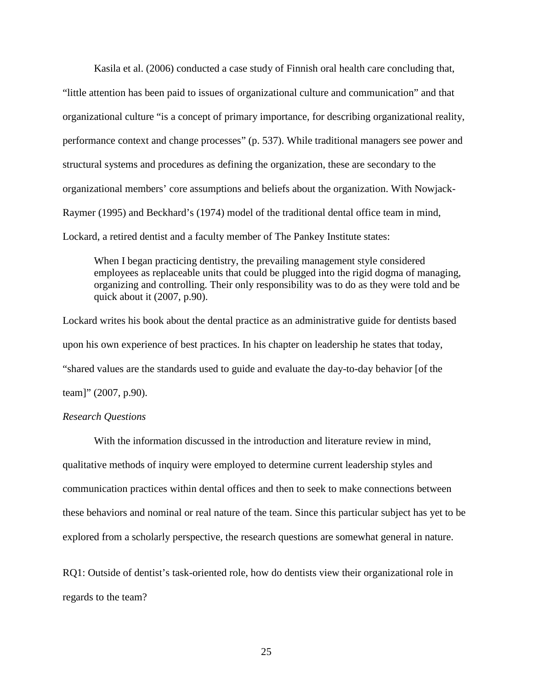Kasila et al. (2006) conducted a case study of Finnish oral health care concluding that, "little attention has been paid to issues of organizational culture and communication" and that organizational culture "is a concept of primary importance, for describing organizational reality, performance context and change processes" (p. 537). While traditional managers see power and structural systems and procedures as defining the organization, these are secondary to the organizational members' core assumptions and beliefs about the organization. With Nowjack-Raymer (1995) and Beckhard's (1974) model of the traditional dental office team in mind, Lockard, a retired dentist and a faculty member of The Pankey Institute states:

When I began practicing dentistry, the prevailing management style considered employees as replaceable units that could be plugged into the rigid dogma of managing, organizing and controlling. Their only responsibility was to do as they were told and be quick about it (2007, p.90).

Lockard writes his book about the dental practice as an administrative guide for dentists based upon his own experience of best practices. In his chapter on leadership he states that today, "shared values are the standards used to guide and evaluate the day-to-day behavior [of the team]" (2007, p.90).

#### *Research Questions*

With the information discussed in the introduction and literature review in mind, qualitative methods of inquiry were employed to determine current leadership styles and communication practices within dental offices and then to seek to make connections between these behaviors and nominal or real nature of the team. Since this particular subject has yet to be explored from a scholarly perspective, the research questions are somewhat general in nature.

RQ1: Outside of dentist's task-oriented role, how do dentists view their organizational role in regards to the team?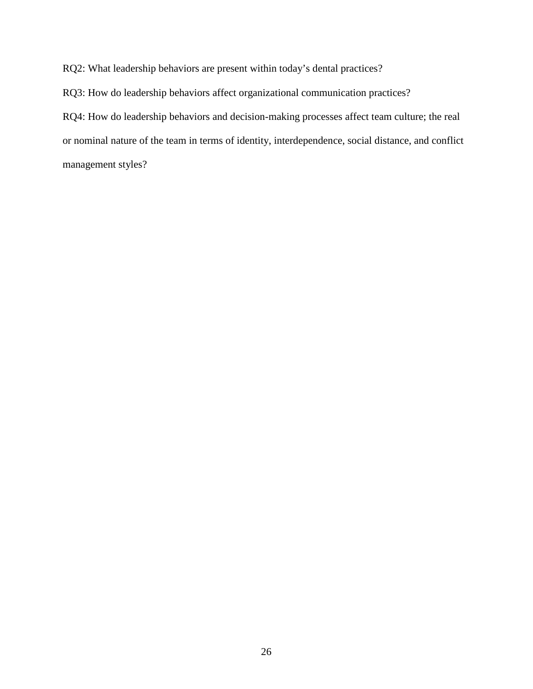RQ2: What leadership behaviors are present within today's dental practices?

RQ3: How do leadership behaviors affect organizational communication practices?

RQ4: How do leadership behaviors and decision-making processes affect team culture; the real or nominal nature of the team in terms of identity, interdependence, social distance, and conflict management styles?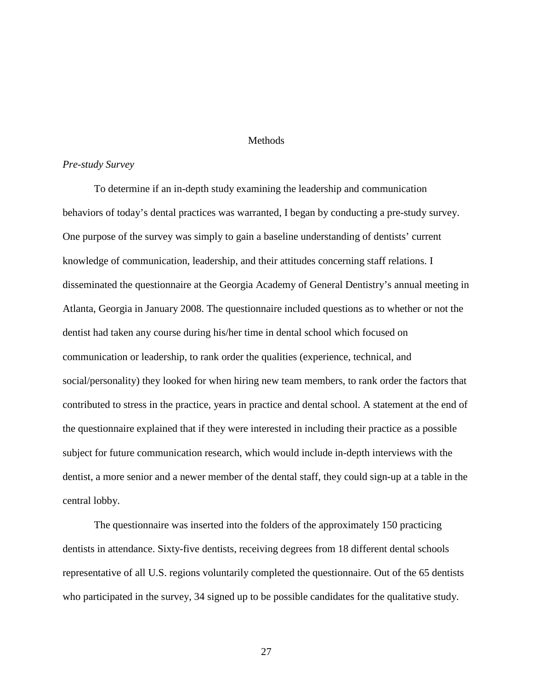#### **Methods**

#### *Pre-study Survey*

 To determine if an in-depth study examining the leadership and communication behaviors of today's dental practices was warranted, I began by conducting a pre-study survey. One purpose of the survey was simply to gain a baseline understanding of dentists' current knowledge of communication, leadership, and their attitudes concerning staff relations. I disseminated the questionnaire at the Georgia Academy of General Dentistry's annual meeting in Atlanta, Georgia in January 2008. The questionnaire included questions as to whether or not the dentist had taken any course during his/her time in dental school which focused on communication or leadership, to rank order the qualities (experience, technical, and social/personality) they looked for when hiring new team members, to rank order the factors that contributed to stress in the practice, years in practice and dental school. A statement at the end of the questionnaire explained that if they were interested in including their practice as a possible subject for future communication research, which would include in-depth interviews with the dentist, a more senior and a newer member of the dental staff, they could sign-up at a table in the central lobby.

The questionnaire was inserted into the folders of the approximately 150 practicing dentists in attendance. Sixty-five dentists, receiving degrees from 18 different dental schools representative of all U.S. regions voluntarily completed the questionnaire. Out of the 65 dentists who participated in the survey, 34 signed up to be possible candidates for the qualitative study.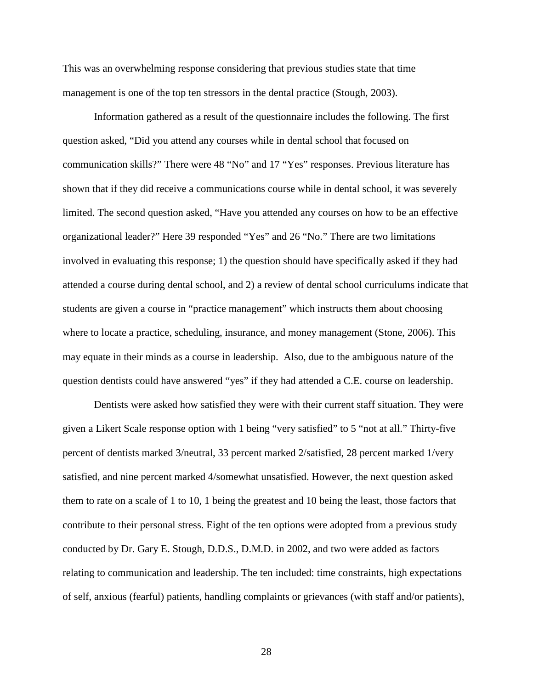This was an overwhelming response considering that previous studies state that time management is one of the top ten stressors in the dental practice (Stough, 2003).

Information gathered as a result of the questionnaire includes the following. The first question asked, "Did you attend any courses while in dental school that focused on communication skills?" There were 48 "No" and 17 "Yes" responses. Previous literature has shown that if they did receive a communications course while in dental school, it was severely limited. The second question asked, "Have you attended any courses on how to be an effective organizational leader?" Here 39 responded "Yes" and 26 "No." There are two limitations involved in evaluating this response; 1) the question should have specifically asked if they had attended a course during dental school, and 2) a review of dental school curriculums indicate that students are given a course in "practice management" which instructs them about choosing where to locate a practice, scheduling, insurance, and money management (Stone, 2006). This may equate in their minds as a course in leadership. Also, due to the ambiguous nature of the question dentists could have answered "yes" if they had attended a C.E. course on leadership.

Dentists were asked how satisfied they were with their current staff situation. They were given a Likert Scale response option with 1 being "very satisfied" to 5 "not at all." Thirty-five percent of dentists marked 3/neutral, 33 percent marked 2/satisfied, 28 percent marked 1/very satisfied, and nine percent marked 4/somewhat unsatisfied. However, the next question asked them to rate on a scale of 1 to 10, 1 being the greatest and 10 being the least, those factors that contribute to their personal stress. Eight of the ten options were adopted from a previous study conducted by Dr. Gary E. Stough, D.D.S., D.M.D. in 2002, and two were added as factors relating to communication and leadership. The ten included: time constraints, high expectations of self, anxious (fearful) patients, handling complaints or grievances (with staff and/or patients),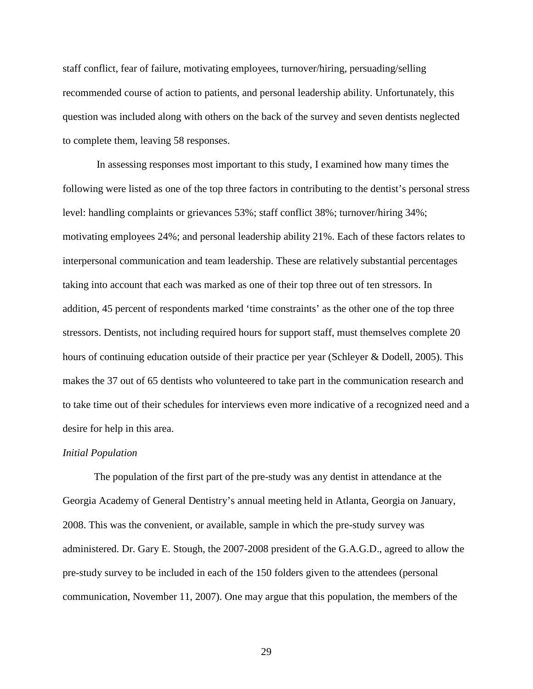staff conflict, fear of failure, motivating employees, turnover/hiring, persuading/selling recommended course of action to patients, and personal leadership ability. Unfortunately, this question was included along with others on the back of the survey and seven dentists neglected to complete them, leaving 58 responses.

 In assessing responses most important to this study, I examined how many times the following were listed as one of the top three factors in contributing to the dentist's personal stress level: handling complaints or grievances 53%; staff conflict 38%; turnover/hiring 34%; motivating employees 24%; and personal leadership ability 21%. Each of these factors relates to interpersonal communication and team leadership. These are relatively substantial percentages taking into account that each was marked as one of their top three out of ten stressors. In addition, 45 percent of respondents marked 'time constraints' as the other one of the top three stressors. Dentists, not including required hours for support staff, must themselves complete 20 hours of continuing education outside of their practice per year (Schleyer & Dodell, 2005). This makes the 37 out of 65 dentists who volunteered to take part in the communication research and to take time out of their schedules for interviews even more indicative of a recognized need and a desire for help in this area.

#### *Initial Population*

 The population of the first part of the pre-study was any dentist in attendance at the Georgia Academy of General Dentistry's annual meeting held in Atlanta, Georgia on January, 2008. This was the convenient, or available, sample in which the pre-study survey was administered. Dr. Gary E. Stough, the 2007-2008 president of the G.A.G.D., agreed to allow the pre-study survey to be included in each of the 150 folders given to the attendees (personal communication, November 11, 2007). One may argue that this population, the members of the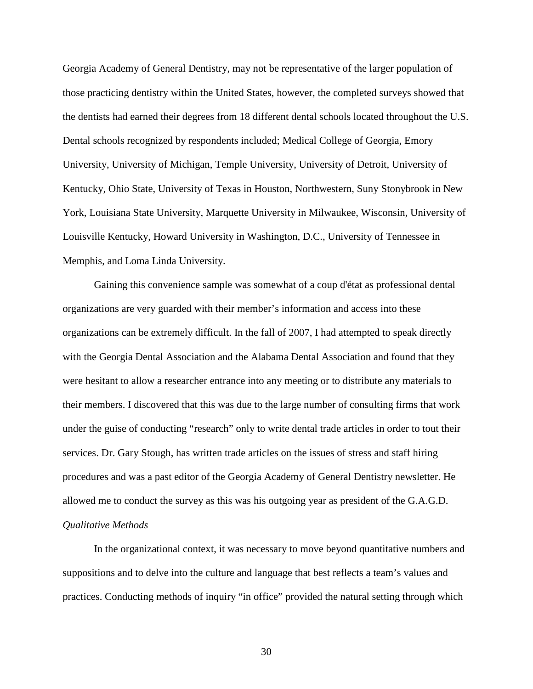Georgia Academy of General Dentistry, may not be representative of the larger population of those practicing dentistry within the United States, however, the completed surveys showed that the dentists had earned their degrees from 18 different dental schools located throughout the U.S. Dental schools recognized by respondents included; Medical College of Georgia, Emory University, University of Michigan, Temple University, University of Detroit, University of Kentucky, Ohio State, University of Texas in Houston, Northwestern, Suny Stonybrook in New York, Louisiana State University, Marquette University in Milwaukee, Wisconsin, University of Louisville Kentucky, Howard University in Washington, D.C., University of Tennessee in Memphis, and Loma Linda University.

Gaining this convenience sample was somewhat of a coup d'état as professional dental organizations are very guarded with their member's information and access into these organizations can be extremely difficult. In the fall of 2007, I had attempted to speak directly with the Georgia Dental Association and the Alabama Dental Association and found that they were hesitant to allow a researcher entrance into any meeting or to distribute any materials to their members. I discovered that this was due to the large number of consulting firms that work under the guise of conducting "research" only to write dental trade articles in order to tout their services. Dr. Gary Stough, has written trade articles on the issues of stress and staff hiring procedures and was a past editor of the Georgia Academy of General Dentistry newsletter. He allowed me to conduct the survey as this was his outgoing year as president of the G.A.G.D. *Qualitative Methods* 

In the organizational context, it was necessary to move beyond quantitative numbers and suppositions and to delve into the culture and language that best reflects a team's values and practices. Conducting methods of inquiry "in office" provided the natural setting through which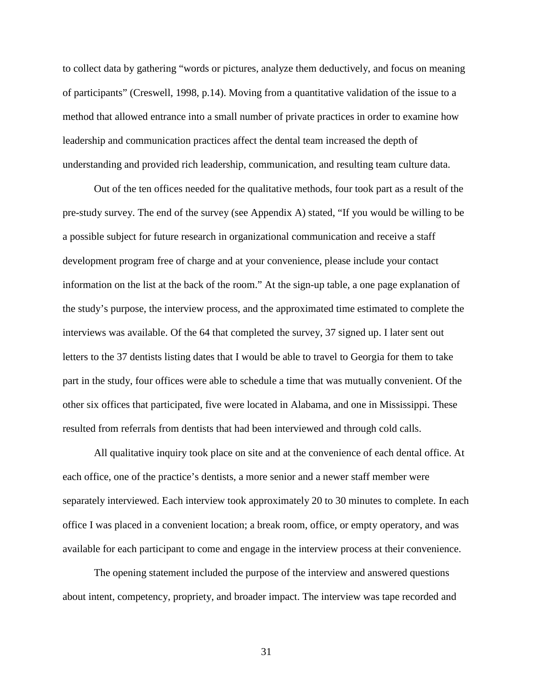to collect data by gathering "words or pictures, analyze them deductively, and focus on meaning of participants" (Creswell, 1998, p.14). Moving from a quantitative validation of the issue to a method that allowed entrance into a small number of private practices in order to examine how leadership and communication practices affect the dental team increased the depth of understanding and provided rich leadership, communication, and resulting team culture data.

Out of the ten offices needed for the qualitative methods, four took part as a result of the pre-study survey. The end of the survey (see Appendix A) stated, "If you would be willing to be a possible subject for future research in organizational communication and receive a staff development program free of charge and at your convenience, please include your contact information on the list at the back of the room." At the sign-up table, a one page explanation of the study's purpose, the interview process, and the approximated time estimated to complete the interviews was available. Of the 64 that completed the survey, 37 signed up. I later sent out letters to the 37 dentists listing dates that I would be able to travel to Georgia for them to take part in the study, four offices were able to schedule a time that was mutually convenient. Of the other six offices that participated, five were located in Alabama, and one in Mississippi. These resulted from referrals from dentists that had been interviewed and through cold calls.

All qualitative inquiry took place on site and at the convenience of each dental office. At each office, one of the practice's dentists, a more senior and a newer staff member were separately interviewed. Each interview took approximately 20 to 30 minutes to complete. In each office I was placed in a convenient location; a break room, office, or empty operatory, and was available for each participant to come and engage in the interview process at their convenience.

The opening statement included the purpose of the interview and answered questions about intent, competency, propriety, and broader impact. The interview was tape recorded and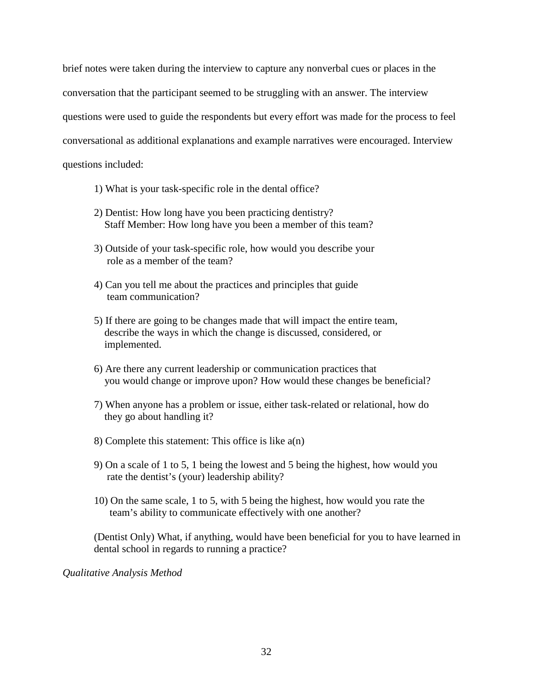brief notes were taken during the interview to capture any nonverbal cues or places in the conversation that the participant seemed to be struggling with an answer. The interview questions were used to guide the respondents but every effort was made for the process to feel conversational as additional explanations and example narratives were encouraged. Interview questions included:

- 1) What is your task-specific role in the dental office?
- 2) Dentist: How long have you been practicing dentistry? Staff Member: How long have you been a member of this team?
- 3) Outside of your task-specific role, how would you describe your role as a member of the team?
- 4) Can you tell me about the practices and principles that guide team communication?
- 5) If there are going to be changes made that will impact the entire team, describe the ways in which the change is discussed, considered, or implemented.
- 6) Are there any current leadership or communication practices that you would change or improve upon? How would these changes be beneficial?
- 7) When anyone has a problem or issue, either task-related or relational, how do they go about handling it?
- 8) Complete this statement: This office is like a(n)
- 9) On a scale of 1 to 5, 1 being the lowest and 5 being the highest, how would you rate the dentist's (your) leadership ability?
- 10) On the same scale, 1 to 5, with 5 being the highest, how would you rate the team's ability to communicate effectively with one another?

(Dentist Only) What, if anything, would have been beneficial for you to have learned in dental school in regards to running a practice?

*Qualitative Analysis Method*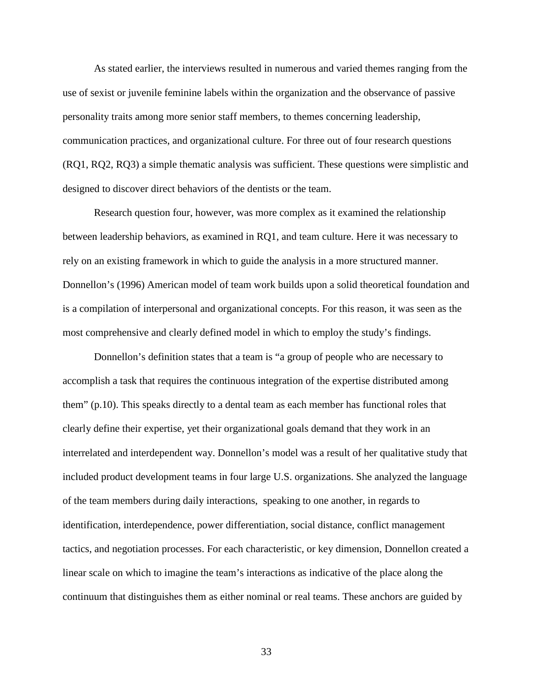As stated earlier, the interviews resulted in numerous and varied themes ranging from the use of sexist or juvenile feminine labels within the organization and the observance of passive personality traits among more senior staff members, to themes concerning leadership, communication practices, and organizational culture. For three out of four research questions (RQ1, RQ2, RQ3) a simple thematic analysis was sufficient. These questions were simplistic and designed to discover direct behaviors of the dentists or the team.

Research question four, however, was more complex as it examined the relationship between leadership behaviors, as examined in RQ1, and team culture. Here it was necessary to rely on an existing framework in which to guide the analysis in a more structured manner. Donnellon's (1996) American model of team work builds upon a solid theoretical foundation and is a compilation of interpersonal and organizational concepts. For this reason, it was seen as the most comprehensive and clearly defined model in which to employ the study's findings.

Donnellon's definition states that a team is "a group of people who are necessary to accomplish a task that requires the continuous integration of the expertise distributed among them" (p.10). This speaks directly to a dental team as each member has functional roles that clearly define their expertise, yet their organizational goals demand that they work in an interrelated and interdependent way. Donnellon's model was a result of her qualitative study that included product development teams in four large U.S. organizations. She analyzed the language of the team members during daily interactions, speaking to one another, in regards to identification, interdependence, power differentiation, social distance, conflict management tactics, and negotiation processes. For each characteristic, or key dimension, Donnellon created a linear scale on which to imagine the team's interactions as indicative of the place along the continuum that distinguishes them as either nominal or real teams. These anchors are guided by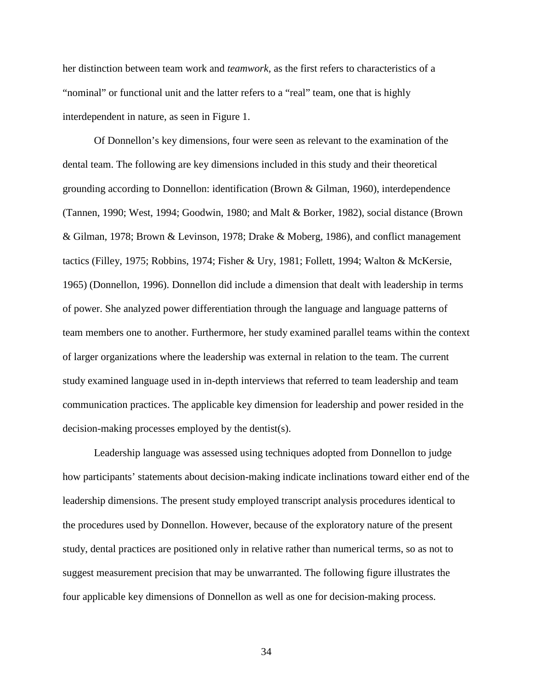her distinction between team work and *teamwork,* as the first refers to characteristics of a "nominal" or functional unit and the latter refers to a "real" team, one that is highly interdependent in nature, as seen in Figure 1.

 Of Donnellon's key dimensions, four were seen as relevant to the examination of the dental team. The following are key dimensions included in this study and their theoretical grounding according to Donnellon: identification (Brown & Gilman, 1960), interdependence (Tannen, 1990; West, 1994; Goodwin, 1980; and Malt & Borker, 1982), social distance (Brown & Gilman, 1978; Brown & Levinson, 1978; Drake & Moberg, 1986), and conflict management tactics (Filley, 1975; Robbins, 1974; Fisher & Ury, 1981; Follett, 1994; Walton & McKersie, 1965) (Donnellon, 1996). Donnellon did include a dimension that dealt with leadership in terms of power. She analyzed power differentiation through the language and language patterns of team members one to another. Furthermore, her study examined parallel teams within the context of larger organizations where the leadership was external in relation to the team. The current study examined language used in in-depth interviews that referred to team leadership and team communication practices. The applicable key dimension for leadership and power resided in the decision-making processes employed by the dentist(s).

Leadership language was assessed using techniques adopted from Donnellon to judge how participants' statements about decision-making indicate inclinations toward either end of the leadership dimensions. The present study employed transcript analysis procedures identical to the procedures used by Donnellon. However, because of the exploratory nature of the present study, dental practices are positioned only in relative rather than numerical terms, so as not to suggest measurement precision that may be unwarranted. The following figure illustrates the four applicable key dimensions of Donnellon as well as one for decision-making process.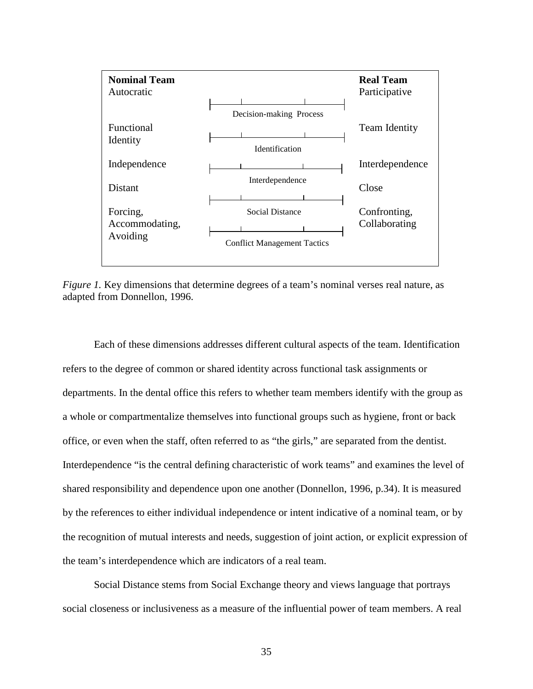

*Figure 1.* Key dimensions that determine degrees of a team's nominal verses real nature, as adapted from Donnellon, 1996.

Each of these dimensions addresses different cultural aspects of the team. Identification refers to the degree of common or shared identity across functional task assignments or departments. In the dental office this refers to whether team members identify with the group as a whole or compartmentalize themselves into functional groups such as hygiene, front or back office, or even when the staff, often referred to as "the girls," are separated from the dentist. Interdependence "is the central defining characteristic of work teams" and examines the level of shared responsibility and dependence upon one another (Donnellon, 1996, p.34). It is measured by the references to either individual independence or intent indicative of a nominal team, or by the recognition of mutual interests and needs, suggestion of joint action, or explicit expression of the team's interdependence which are indicators of a real team.

Social Distance stems from Social Exchange theory and views language that portrays social closeness or inclusiveness as a measure of the influential power of team members. A real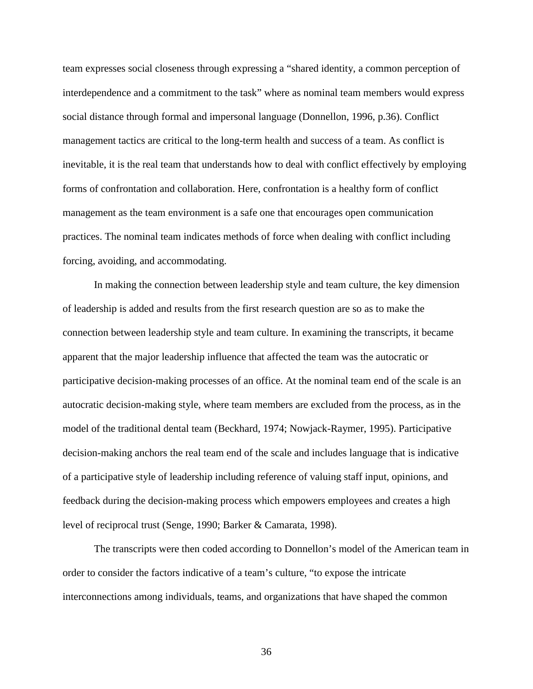team expresses social closeness through expressing a "shared identity, a common perception of interdependence and a commitment to the task" where as nominal team members would express social distance through formal and impersonal language (Donnellon, 1996, p.36). Conflict management tactics are critical to the long-term health and success of a team. As conflict is inevitable, it is the real team that understands how to deal with conflict effectively by employing forms of confrontation and collaboration. Here, confrontation is a healthy form of conflict management as the team environment is a safe one that encourages open communication practices. The nominal team indicates methods of force when dealing with conflict including forcing, avoiding, and accommodating.

In making the connection between leadership style and team culture, the key dimension of leadership is added and results from the first research question are so as to make the connection between leadership style and team culture. In examining the transcripts, it became apparent that the major leadership influence that affected the team was the autocratic or participative decision-making processes of an office. At the nominal team end of the scale is an autocratic decision-making style, where team members are excluded from the process, as in the model of the traditional dental team (Beckhard, 1974; Nowjack-Raymer, 1995). Participative decision-making anchors the real team end of the scale and includes language that is indicative of a participative style of leadership including reference of valuing staff input, opinions, and feedback during the decision-making process which empowers employees and creates a high level of reciprocal trust (Senge, 1990; Barker & Camarata, 1998).

The transcripts were then coded according to Donnellon's model of the American team in order to consider the factors indicative of a team's culture, "to expose the intricate interconnections among individuals, teams, and organizations that have shaped the common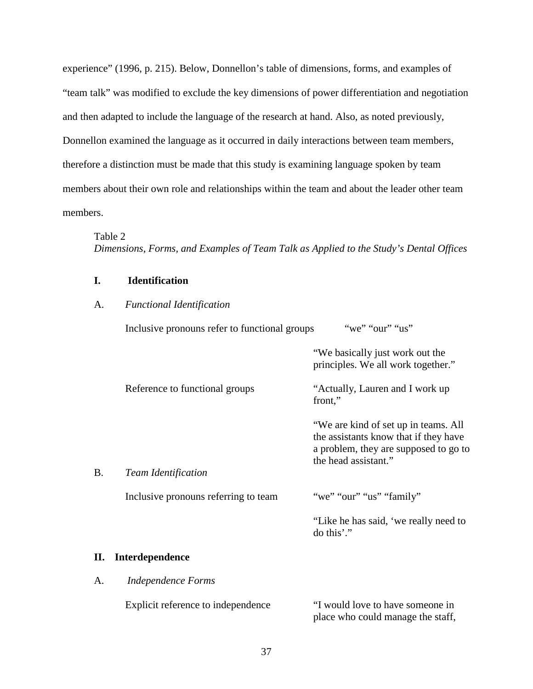experience" (1996, p. 215). Below, Donnellon's table of dimensions, forms, and examples of "team talk" was modified to exclude the key dimensions of power differentiation and negotiation and then adapted to include the language of the research at hand. Also, as noted previously, Donnellon examined the language as it occurred in daily interactions between team members, therefore a distinction must be made that this study is examining language spoken by team members about their own role and relationships within the team and about the leader other team members.

### Table 2

*Dimensions, Forms, and Examples of Team Talk as Applied to the Study's Dental Offices* 

# **I. Identification**

# A. *Functional Identification*

Inclusive pronouns refer to functional groups "we" "our" "us"

|    |                                      | "We basically just work out the<br>principles. We all work together."                                                                          |
|----|--------------------------------------|------------------------------------------------------------------------------------------------------------------------------------------------|
|    | Reference to functional groups       | "Actually, Lauren and I work up<br>front,"                                                                                                     |
|    |                                      | "We are kind of set up in teams. All<br>the assistants know that if they have<br>a problem, they are supposed to go to<br>the head assistant." |
| В. | <b>Team Identification</b>           |                                                                                                                                                |
|    | Inclusive pronouns referring to team | "we" "our" "us" "family"                                                                                                                       |
|    |                                      | "Like he has said, 'we really need to<br>do this'."                                                                                            |
| П. | Interdependence                      |                                                                                                                                                |
| A. | <b>Independence Forms</b>            |                                                                                                                                                |

| Explicit reference to independence | "I would love to have someone in  |
|------------------------------------|-----------------------------------|
|                                    | place who could manage the staff, |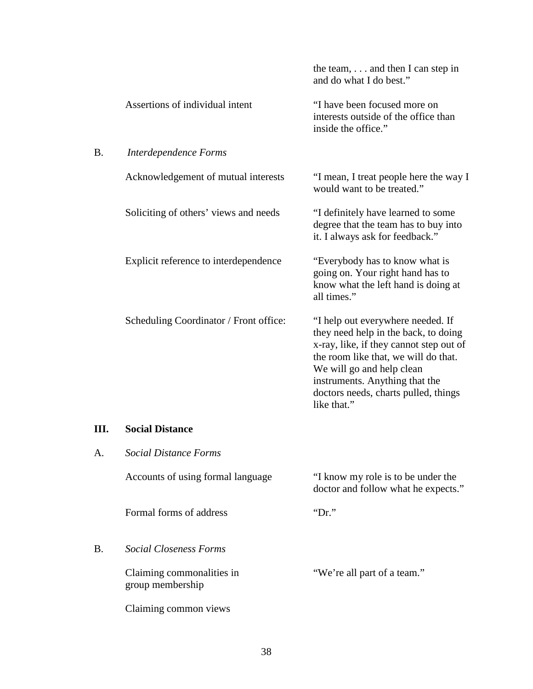|           |                                               | the team, $\dots$ and then I can step in<br>and do what I do best."                                                                                                                                                                                                                |
|-----------|-----------------------------------------------|------------------------------------------------------------------------------------------------------------------------------------------------------------------------------------------------------------------------------------------------------------------------------------|
|           | Assertions of individual intent               | "I have been focused more on<br>interests outside of the office than<br>inside the office."                                                                                                                                                                                        |
| <b>B.</b> | Interdependence Forms                         |                                                                                                                                                                                                                                                                                    |
|           | Acknowledgement of mutual interests           | "I mean, I treat people here the way I<br>would want to be treated."                                                                                                                                                                                                               |
|           | Soliciting of others' views and needs         | "I definitely have learned to some<br>degree that the team has to buy into<br>it. I always ask for feedback."                                                                                                                                                                      |
|           | Explicit reference to interdependence         | "Everybody has to know what is<br>going on. Your right hand has to<br>know what the left hand is doing at<br>all times."                                                                                                                                                           |
|           | Scheduling Coordinator / Front office:        | "I help out everywhere needed. If<br>they need help in the back, to doing<br>x-ray, like, if they cannot step out of<br>the room like that, we will do that.<br>We will go and help clean<br>instruments. Anything that the<br>doctors needs, charts pulled, things<br>like that." |
| Ш.        | <b>Social Distance</b>                        |                                                                                                                                                                                                                                                                                    |
| A.        | <b>Social Distance Forms</b>                  |                                                                                                                                                                                                                                                                                    |
|           | Accounts of using formal language             | "I know my role is to be under the<br>doctor and follow what he expects."                                                                                                                                                                                                          |
|           | Formal forms of address                       | " $Dr."$                                                                                                                                                                                                                                                                           |
| <b>B.</b> | <b>Social Closeness Forms</b>                 |                                                                                                                                                                                                                                                                                    |
|           | Claiming commonalities in<br>group membership | "We're all part of a team."                                                                                                                                                                                                                                                        |
|           | Claiming common views                         |                                                                                                                                                                                                                                                                                    |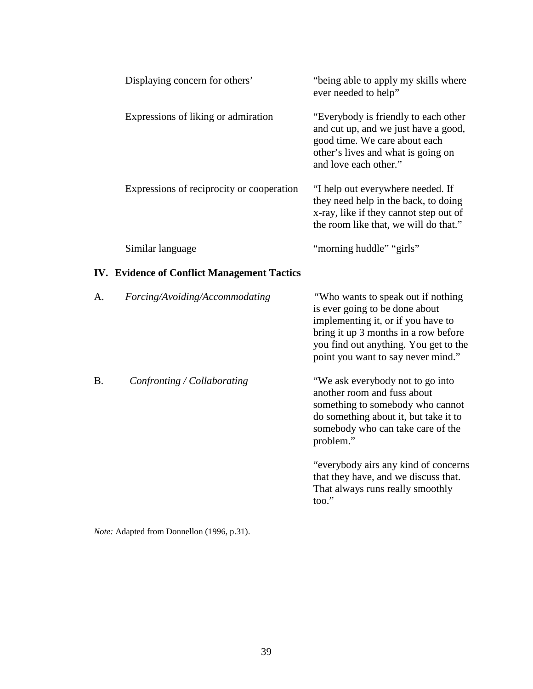| Displaying concern for others'                     | "being able to apply my skills where"<br>ever needed to help"                                                                                                                |
|----------------------------------------------------|------------------------------------------------------------------------------------------------------------------------------------------------------------------------------|
| Expressions of liking or admiration                | "Everybody is friendly to each other<br>and cut up, and we just have a good,<br>good time. We care about each<br>other's lives and what is going on<br>and love each other." |
| Expressions of reciprocity or cooperation          | "I help out everywhere needed. If<br>they need help in the back, to doing<br>x-ray, like if they cannot step out of<br>the room like that, we will do that."                 |
| Similar language                                   | "morning huddle" "girls"                                                                                                                                                     |
| <b>IV. Evidence of Conflict Management Tactics</b> |                                                                                                                                                                              |

| A.        | Forcing/Avoiding/Accommodating | "Who wants to speak out if nothing"<br>is ever going to be done about<br>implementing it, or if you have to<br>bring it up 3 months in a row before<br>you find out anything. You get to the<br>point you want to say never mind." |
|-----------|--------------------------------|------------------------------------------------------------------------------------------------------------------------------------------------------------------------------------------------------------------------------------|
| <b>B.</b> | Confronting / Collaborating    | "We ask everybody not to go into<br>another room and fuss about<br>something to somebody who cannot<br>do something about it, but take it to<br>somebody who can take care of the<br>problem."                                     |
|           |                                | "everybody airs any kind of concerns"<br>that they have, and we discuss that.<br>That always runs really smoothly<br>$\text{too."}$                                                                                                |

*Note:* Adapted from Donnellon (1996, p.31).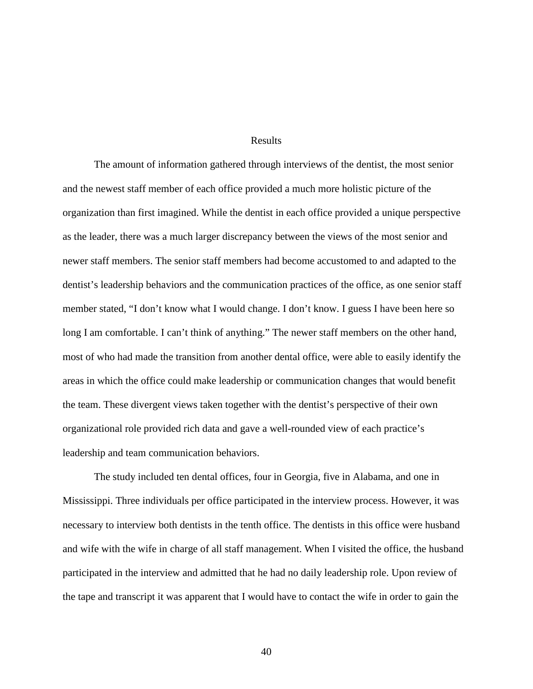## Results

The amount of information gathered through interviews of the dentist, the most senior and the newest staff member of each office provided a much more holistic picture of the organization than first imagined. While the dentist in each office provided a unique perspective as the leader, there was a much larger discrepancy between the views of the most senior and newer staff members. The senior staff members had become accustomed to and adapted to the dentist's leadership behaviors and the communication practices of the office, as one senior staff member stated, "I don't know what I would change. I don't know. I guess I have been here so long I am comfortable. I can't think of anything." The newer staff members on the other hand, most of who had made the transition from another dental office, were able to easily identify the areas in which the office could make leadership or communication changes that would benefit the team. These divergent views taken together with the dentist's perspective of their own organizational role provided rich data and gave a well-rounded view of each practice's leadership and team communication behaviors.

The study included ten dental offices, four in Georgia, five in Alabama, and one in Mississippi. Three individuals per office participated in the interview process. However, it was necessary to interview both dentists in the tenth office. The dentists in this office were husband and wife with the wife in charge of all staff management. When I visited the office, the husband participated in the interview and admitted that he had no daily leadership role. Upon review of the tape and transcript it was apparent that I would have to contact the wife in order to gain the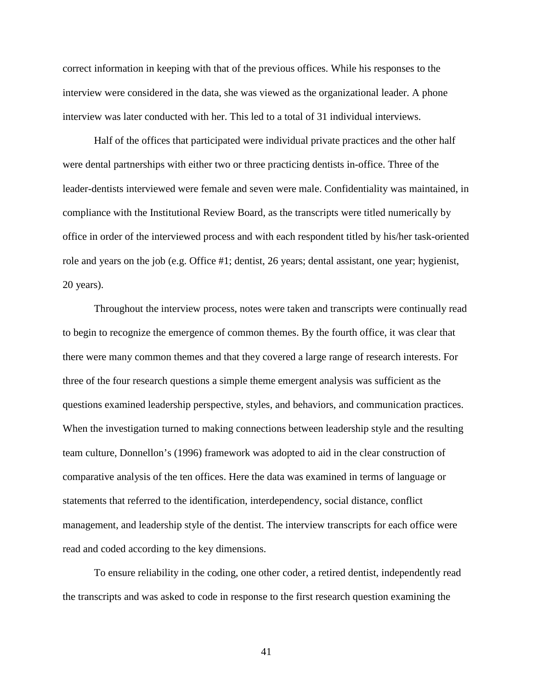correct information in keeping with that of the previous offices. While his responses to the interview were considered in the data, she was viewed as the organizational leader. A phone interview was later conducted with her. This led to a total of 31 individual interviews.

Half of the offices that participated were individual private practices and the other half were dental partnerships with either two or three practicing dentists in-office. Three of the leader-dentists interviewed were female and seven were male. Confidentiality was maintained, in compliance with the Institutional Review Board, as the transcripts were titled numerically by office in order of the interviewed process and with each respondent titled by his/her task-oriented role and years on the job (e.g. Office #1; dentist, 26 years; dental assistant, one year; hygienist, 20 years).

Throughout the interview process, notes were taken and transcripts were continually read to begin to recognize the emergence of common themes. By the fourth office, it was clear that there were many common themes and that they covered a large range of research interests. For three of the four research questions a simple theme emergent analysis was sufficient as the questions examined leadership perspective, styles, and behaviors, and communication practices. When the investigation turned to making connections between leadership style and the resulting team culture, Donnellon's (1996) framework was adopted to aid in the clear construction of comparative analysis of the ten offices. Here the data was examined in terms of language or statements that referred to the identification, interdependency, social distance, conflict management, and leadership style of the dentist. The interview transcripts for each office were read and coded according to the key dimensions.

To ensure reliability in the coding, one other coder, a retired dentist, independently read the transcripts and was asked to code in response to the first research question examining the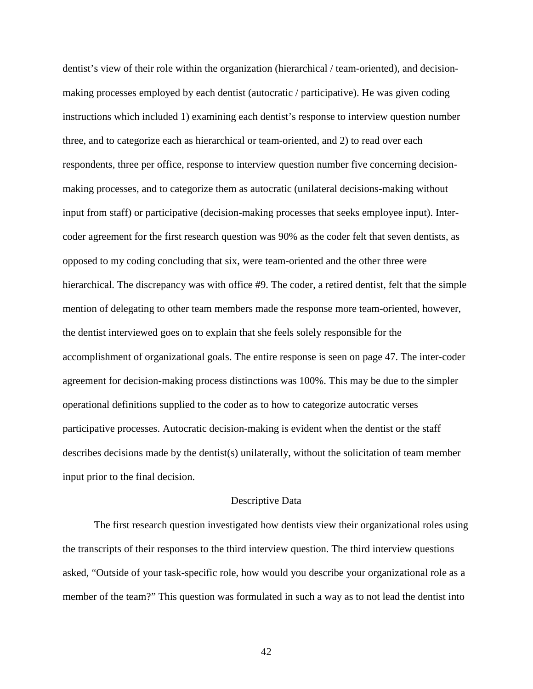dentist's view of their role within the organization (hierarchical / team-oriented), and decisionmaking processes employed by each dentist (autocratic / participative). He was given coding instructions which included 1) examining each dentist's response to interview question number three, and to categorize each as hierarchical or team-oriented, and 2) to read over each respondents, three per office, response to interview question number five concerning decisionmaking processes, and to categorize them as autocratic (unilateral decisions-making without input from staff) or participative (decision-making processes that seeks employee input). Intercoder agreement for the first research question was 90% as the coder felt that seven dentists, as opposed to my coding concluding that six, were team-oriented and the other three were hierarchical. The discrepancy was with office #9. The coder, a retired dentist, felt that the simple mention of delegating to other team members made the response more team-oriented, however, the dentist interviewed goes on to explain that she feels solely responsible for the accomplishment of organizational goals. The entire response is seen on page 47. The inter-coder agreement for decision-making process distinctions was 100%. This may be due to the simpler operational definitions supplied to the coder as to how to categorize autocratic verses participative processes. Autocratic decision-making is evident when the dentist or the staff describes decisions made by the dentist(s) unilaterally, without the solicitation of team member input prior to the final decision.

#### Descriptive Data

The first research question investigated how dentists view their organizational roles using the transcripts of their responses to the third interview question. The third interview questions asked, "Outside of your task-specific role, how would you describe your organizational role as a member of the team?" This question was formulated in such a way as to not lead the dentist into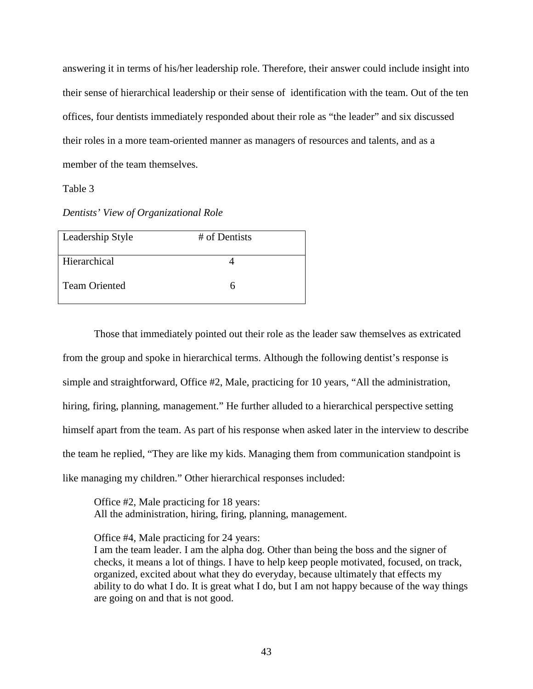answering it in terms of his/her leadership role. Therefore, their answer could include insight into their sense of hierarchical leadership or their sense of identification with the team. Out of the ten offices, four dentists immediately responded about their role as "the leader" and six discussed their roles in a more team-oriented manner as managers of resources and talents, and as a member of the team themselves.

Table 3

# *Dentists' View of Organizational Role*

| Leadership Style     | # of Dentists |
|----------------------|---------------|
| Hierarchical         |               |
| <b>Team Oriented</b> | n             |

Those that immediately pointed out their role as the leader saw themselves as extricated from the group and spoke in hierarchical terms. Although the following dentist's response is simple and straightforward, Office #2, Male, practicing for 10 years, "All the administration, hiring, firing, planning, management." He further alluded to a hierarchical perspective setting himself apart from the team. As part of his response when asked later in the interview to describe the team he replied, "They are like my kids. Managing them from communication standpoint is like managing my children." Other hierarchical responses included:

Office #2, Male practicing for 18 years: All the administration, hiring, firing, planning, management.

Office #4, Male practicing for 24 years:

I am the team leader. I am the alpha dog. Other than being the boss and the signer of checks, it means a lot of things. I have to help keep people motivated, focused, on track, organized, excited about what they do everyday, because ultimately that effects my ability to do what I do. It is great what I do, but I am not happy because of the way things are going on and that is not good.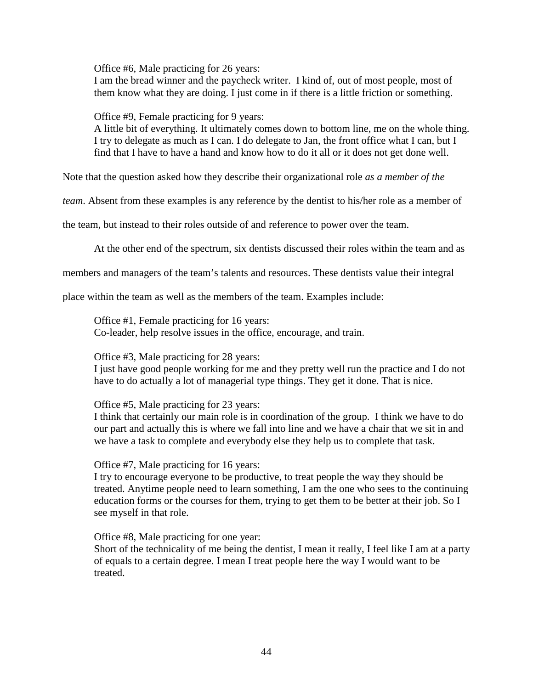Office #6, Male practicing for 26 years:

I am the bread winner and the paycheck writer. I kind of, out of most people, most of them know what they are doing. I just come in if there is a little friction or something.

Office #9, Female practicing for 9 years:

A little bit of everything. It ultimately comes down to bottom line, me on the whole thing. I try to delegate as much as I can. I do delegate to Jan, the front office what I can, but I find that I have to have a hand and know how to do it all or it does not get done well.

Note that the question asked how they describe their organizational role *as a member of the* 

*team*. Absent from these examples is any reference by the dentist to his/her role as a member of

the team, but instead to their roles outside of and reference to power over the team.

At the other end of the spectrum, six dentists discussed their roles within the team and as

members and managers of the team's talents and resources. These dentists value their integral

place within the team as well as the members of the team. Examples include:

Office #1, Female practicing for 16 years: Co-leader, help resolve issues in the office, encourage, and train.

Office #3, Male practicing for 28 years:

I just have good people working for me and they pretty well run the practice and I do not have to do actually a lot of managerial type things. They get it done. That is nice.

Office #5, Male practicing for 23 years:

I think that certainly our main role is in coordination of the group. I think we have to do our part and actually this is where we fall into line and we have a chair that we sit in and we have a task to complete and everybody else they help us to complete that task.

Office #7, Male practicing for 16 years:

I try to encourage everyone to be productive, to treat people the way they should be treated. Anytime people need to learn something, I am the one who sees to the continuing education forms or the courses for them, trying to get them to be better at their job. So I see myself in that role.

Office #8, Male practicing for one year:

Short of the technicality of me being the dentist, I mean it really, I feel like I am at a party of equals to a certain degree. I mean I treat people here the way I would want to be treated.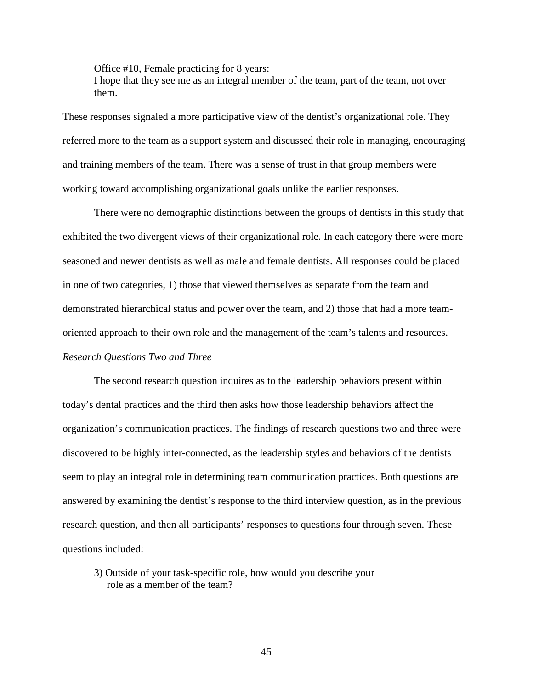Office #10, Female practicing for 8 years:

I hope that they see me as an integral member of the team, part of the team, not over them.

These responses signaled a more participative view of the dentist's organizational role. They referred more to the team as a support system and discussed their role in managing, encouraging and training members of the team. There was a sense of trust in that group members were working toward accomplishing organizational goals unlike the earlier responses.

There were no demographic distinctions between the groups of dentists in this study that exhibited the two divergent views of their organizational role. In each category there were more seasoned and newer dentists as well as male and female dentists. All responses could be placed in one of two categories, 1) those that viewed themselves as separate from the team and demonstrated hierarchical status and power over the team, and 2) those that had a more teamoriented approach to their own role and the management of the team's talents and resources. *Research Questions Two and Three* 

The second research question inquires as to the leadership behaviors present within today's dental practices and the third then asks how those leadership behaviors affect the organization's communication practices. The findings of research questions two and three were discovered to be highly inter-connected, as the leadership styles and behaviors of the dentists seem to play an integral role in determining team communication practices. Both questions are answered by examining the dentist's response to the third interview question, as in the previous research question, and then all participants' responses to questions four through seven. These questions included:

3) Outside of your task-specific role, how would you describe your role as a member of the team?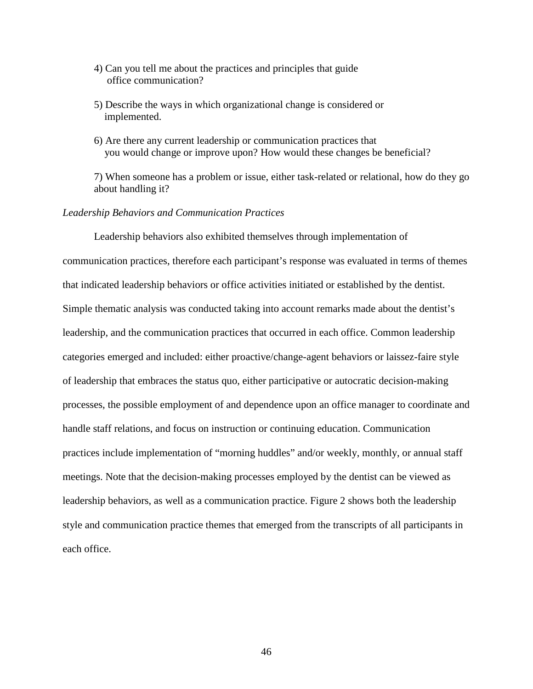- 4) Can you tell me about the practices and principles that guide office communication?
- 5) Describe the ways in which organizational change is considered or implemented.
- 6) Are there any current leadership or communication practices that you would change or improve upon? How would these changes be beneficial?

7) When someone has a problem or issue, either task-related or relational, how do they go about handling it?

# *Leadership Behaviors and Communication Practices*

Leadership behaviors also exhibited themselves through implementation of communication practices, therefore each participant's response was evaluated in terms of themes that indicated leadership behaviors or office activities initiated or established by the dentist. Simple thematic analysis was conducted taking into account remarks made about the dentist's leadership, and the communication practices that occurred in each office. Common leadership categories emerged and included: either proactive/change-agent behaviors or laissez-faire style of leadership that embraces the status quo, either participative or autocratic decision-making processes, the possible employment of and dependence upon an office manager to coordinate and handle staff relations, and focus on instruction or continuing education. Communication practices include implementation of "morning huddles" and/or weekly, monthly, or annual staff meetings. Note that the decision-making processes employed by the dentist can be viewed as leadership behaviors, as well as a communication practice. Figure 2 shows both the leadership style and communication practice themes that emerged from the transcripts of all participants in each office.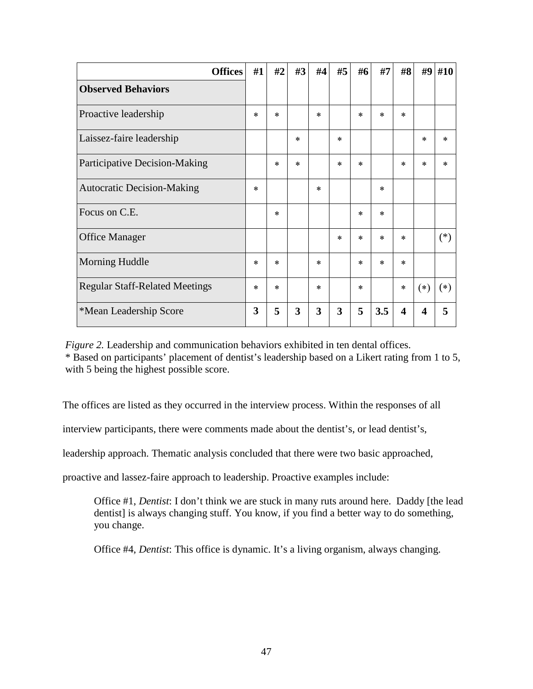| <b>Offices</b>                        | #1     | #2     | #3     | #4     | #5     | #6     | #7     | #8     | #9               | #10    |
|---------------------------------------|--------|--------|--------|--------|--------|--------|--------|--------|------------------|--------|
| <b>Observed Behaviors</b>             |        |        |        |        |        |        |        |        |                  |        |
| Proactive leadership                  | $\ast$ | $\ast$ |        | $\ast$ |        | $\ast$ | $\ast$ | $\ast$ |                  |        |
| Laissez-faire leadership              |        |        | $\ast$ |        | $\ast$ |        |        |        | $\ast$           | $\ast$ |
| Participative Decision-Making         |        | $\ast$ | $\ast$ |        | $\ast$ | $\ast$ |        | $\ast$ | $\ast$           | $\ast$ |
| <b>Autocratic Decision-Making</b>     | $\ast$ |        |        | $\ast$ |        |        | $\ast$ |        |                  |        |
| Focus on C.E.                         |        | $\ast$ |        |        |        | $\ast$ | $\ast$ |        |                  |        |
| <b>Office Manager</b>                 |        |        |        |        | $\ast$ | $\ast$ | $\ast$ | $\ast$ |                  | $(*)$  |
| Morning Huddle                        | $\ast$ | $\ast$ |        | $\ast$ |        | $\ast$ | $\ast$ | $\ast$ |                  |        |
| <b>Regular Staff-Related Meetings</b> | $\ast$ | $\ast$ |        | $\ast$ |        | $\ast$ |        | $\ast$ | $(*)$            | $(*)$  |
| *Mean Leadership Score                | 3      | 5      | 3      | 3      | 3      | 5      | 3.5    | 4      | $\boldsymbol{4}$ | 5      |

 *Figure 2.* Leadership and communication behaviors exhibited in ten dental offices. \* Based on participants' placement of dentist's leadership based on a Likert rating from 1 to 5, with 5 being the highest possible score.

The offices are listed as they occurred in the interview process. Within the responses of all

interview participants, there were comments made about the dentist's, or lead dentist's,

leadership approach. Thematic analysis concluded that there were two basic approached,

proactive and lassez-faire approach to leadership. Proactive examples include:

Office #1, *Dentist*: I don't think we are stuck in many ruts around here. Daddy [the lead dentist] is always changing stuff. You know, if you find a better way to do something, you change.

Office #4, *Dentist*: This office is dynamic. It's a living organism, always changing.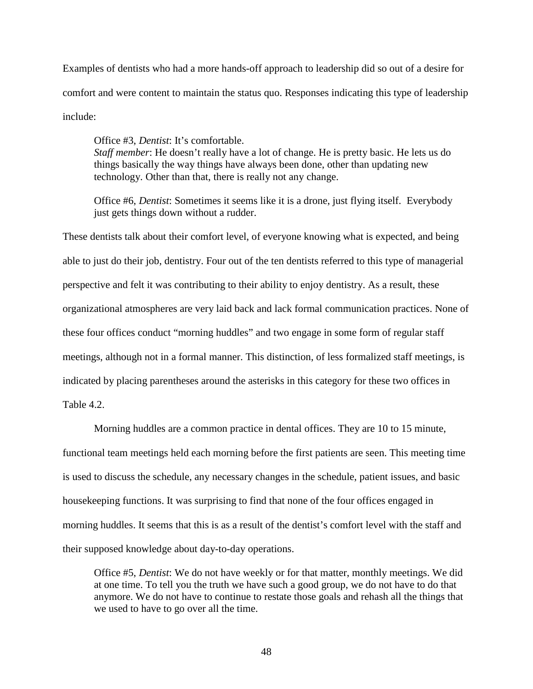Examples of dentists who had a more hands-off approach to leadership did so out of a desire for comfort and were content to maintain the status quo. Responses indicating this type of leadership include:

Office #3, *Dentist*: It's comfortable. *Staff member*: He doesn't really have a lot of change. He is pretty basic. He lets us do things basically the way things have always been done, other than updating new technology. Other than that, there is really not any change.

Office #6, *Dentist*: Sometimes it seems like it is a drone, just flying itself. Everybody just gets things down without a rudder.

These dentists talk about their comfort level, of everyone knowing what is expected, and being able to just do their job, dentistry. Four out of the ten dentists referred to this type of managerial perspective and felt it was contributing to their ability to enjoy dentistry. As a result, these organizational atmospheres are very laid back and lack formal communication practices. None of these four offices conduct "morning huddles" and two engage in some form of regular staff meetings, although not in a formal manner. This distinction, of less formalized staff meetings, is indicated by placing parentheses around the asterisks in this category for these two offices in Table 4.2.

Morning huddles are a common practice in dental offices. They are 10 to 15 minute, functional team meetings held each morning before the first patients are seen. This meeting time is used to discuss the schedule, any necessary changes in the schedule, patient issues, and basic housekeeping functions. It was surprising to find that none of the four offices engaged in morning huddles. It seems that this is as a result of the dentist's comfort level with the staff and their supposed knowledge about day-to-day operations.

Office #5, *Dentist*: We do not have weekly or for that matter, monthly meetings. We did at one time. To tell you the truth we have such a good group, we do not have to do that anymore. We do not have to continue to restate those goals and rehash all the things that we used to have to go over all the time.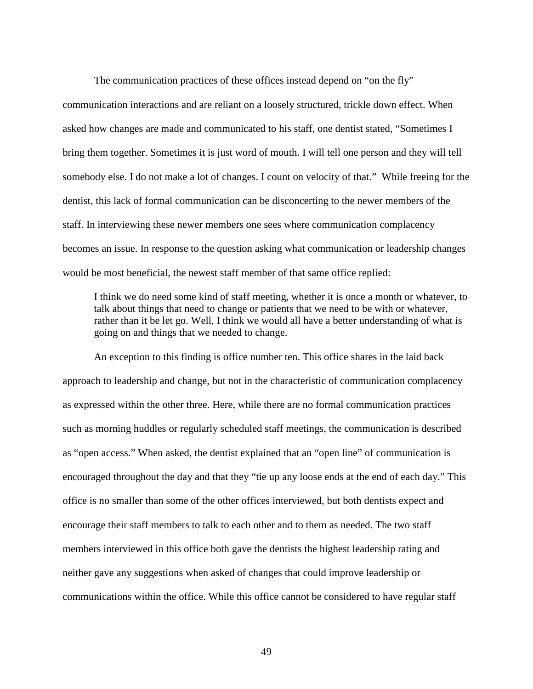The communication practices of these offices instead depend on "on the fly" communication interactions and are reliant on a loosely structured, trickle down effect. When asked how changes are made and communicated to his staff, one dentist stated, "Sometimes I bring them together. Sometimes it is just word of mouth. I will tell one person and they will tell somebody else. I do not make a lot of changes. I count on velocity of that." While freeing for the dentist, this lack of formal communication can be disconcerting to the newer members of the staff. In interviewing these newer members one sees where communication complacency becomes an issue. In response to the question asking what communication or leadership changes would be most beneficial, the newest staff member of that same office replied:

I think we do need some kind of staff meeting, whether it is once a month or whatever, to talk about things that need to change or patients that we need to be with or whatever, rather than it be let go. Well, I think we would all have a better understanding of what is going on and things that we needed to change.

An exception to this finding is office number ten. This office shares in the laid back approach to leadership and change, but not in the characteristic of communication complacency as expressed within the other three. Here, while there are no formal communication practices such as morning huddles or regularly scheduled staff meetings, the communication is described as "open access." When asked, the dentist explained that an "open line" of communication is encouraged throughout the day and that they "tie up any loose ends at the end of each day." This office is no smaller than some of the other offices interviewed, but both dentists expect and encourage their staff members to talk to each other and to them as needed. The two staff members interviewed in this office both gave the dentists the highest leadership rating and neither gave any suggestions when asked of changes that could improve leadership or communications within the office. While this office cannot be considered to have regular staff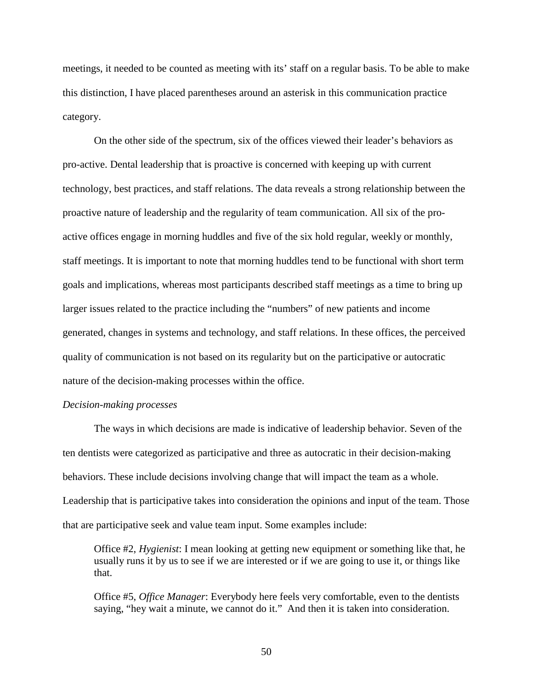meetings, it needed to be counted as meeting with its' staff on a regular basis. To be able to make this distinction, I have placed parentheses around an asterisk in this communication practice category.

 On the other side of the spectrum, six of the offices viewed their leader's behaviors as pro-active. Dental leadership that is proactive is concerned with keeping up with current technology, best practices, and staff relations. The data reveals a strong relationship between the proactive nature of leadership and the regularity of team communication. All six of the proactive offices engage in morning huddles and five of the six hold regular, weekly or monthly, staff meetings. It is important to note that morning huddles tend to be functional with short term goals and implications, whereas most participants described staff meetings as a time to bring up larger issues related to the practice including the "numbers" of new patients and income generated, changes in systems and technology, and staff relations. In these offices, the perceived quality of communication is not based on its regularity but on the participative or autocratic nature of the decision-making processes within the office.

## *Decision-making processes*

The ways in which decisions are made is indicative of leadership behavior. Seven of the ten dentists were categorized as participative and three as autocratic in their decision-making behaviors. These include decisions involving change that will impact the team as a whole. Leadership that is participative takes into consideration the opinions and input of the team. Those that are participative seek and value team input. Some examples include:

Office #2, *Hygienist*: I mean looking at getting new equipment or something like that, he usually runs it by us to see if we are interested or if we are going to use it, or things like that.

Office #5, *Office Manager*: Everybody here feels very comfortable, even to the dentists saying, "hey wait a minute, we cannot do it." And then it is taken into consideration.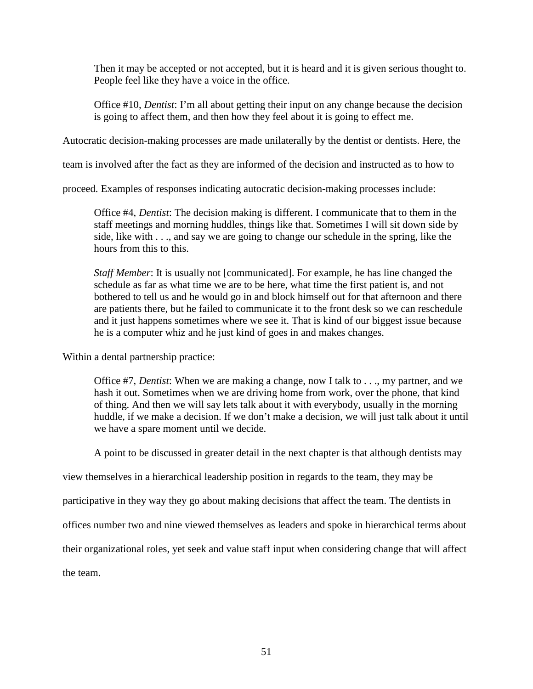Then it may be accepted or not accepted, but it is heard and it is given serious thought to. People feel like they have a voice in the office.

Office #10, *Dentist*: I'm all about getting their input on any change because the decision is going to affect them, and then how they feel about it is going to effect me.

Autocratic decision-making processes are made unilaterally by the dentist or dentists. Here, the

team is involved after the fact as they are informed of the decision and instructed as to how to

proceed. Examples of responses indicating autocratic decision-making processes include:

Office #4, *Dentist*: The decision making is different. I communicate that to them in the staff meetings and morning huddles, things like that. Sometimes I will sit down side by side, like with . . ., and say we are going to change our schedule in the spring, like the hours from this to this.

*Staff Member*: It is usually not [communicated]. For example, he has line changed the schedule as far as what time we are to be here, what time the first patient is, and not bothered to tell us and he would go in and block himself out for that afternoon and there are patients there, but he failed to communicate it to the front desk so we can reschedule and it just happens sometimes where we see it. That is kind of our biggest issue because he is a computer whiz and he just kind of goes in and makes changes.

Within a dental partnership practice:

Office #7, *Dentist*: When we are making a change, now I talk to . . ., my partner, and we hash it out. Sometimes when we are driving home from work, over the phone, that kind of thing. And then we will say lets talk about it with everybody, usually in the morning huddle, if we make a decision. If we don't make a decision, we will just talk about it until we have a spare moment until we decide.

A point to be discussed in greater detail in the next chapter is that although dentists may

view themselves in a hierarchical leadership position in regards to the team, they may be

participative in they way they go about making decisions that affect the team. The dentists in

offices number two and nine viewed themselves as leaders and spoke in hierarchical terms about

their organizational roles, yet seek and value staff input when considering change that will affect

the team.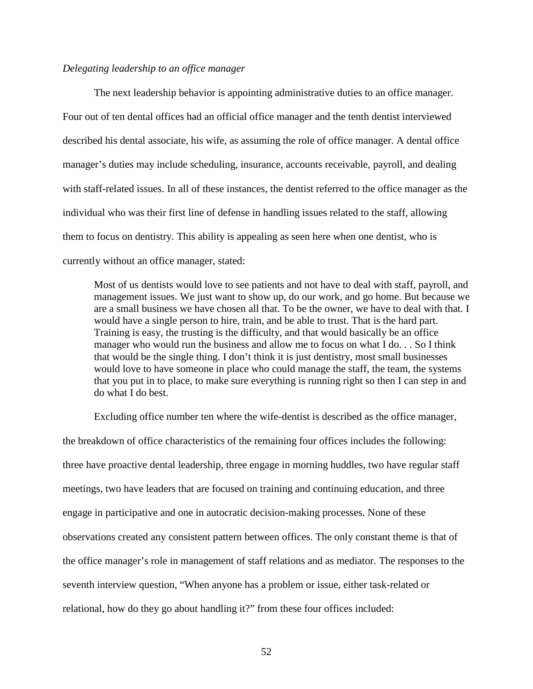# *Delegating leadership to an office manager*

The next leadership behavior is appointing administrative duties to an office manager. Four out of ten dental offices had an official office manager and the tenth dentist interviewed described his dental associate, his wife, as assuming the role of office manager. A dental office manager's duties may include scheduling, insurance, accounts receivable, payroll, and dealing with staff-related issues. In all of these instances, the dentist referred to the office manager as the individual who was their first line of defense in handling issues related to the staff, allowing them to focus on dentistry. This ability is appealing as seen here when one dentist, who is currently without an office manager, stated:

Most of us dentists would love to see patients and not have to deal with staff, payroll, and management issues. We just want to show up, do our work, and go home. But because we are a small business we have chosen all that. To be the owner, we have to deal with that. I would have a single person to hire, train, and be able to trust. That is the hard part. Training is easy, the trusting is the difficulty, and that would basically be an office manager who would run the business and allow me to focus on what I do. . . So I think that would be the single thing. I don't think it is just dentistry, most small businesses would love to have someone in place who could manage the staff, the team, the systems that you put in to place, to make sure everything is running right so then I can step in and do what I do best.

Excluding office number ten where the wife-dentist is described as the office manager, the breakdown of office characteristics of the remaining four offices includes the following: three have proactive dental leadership, three engage in morning huddles, two have regular staff meetings, two have leaders that are focused on training and continuing education, and three engage in participative and one in autocratic decision-making processes. None of these observations created any consistent pattern between offices. The only constant theme is that of the office manager's role in management of staff relations and as mediator. The responses to the seventh interview question, "When anyone has a problem or issue, either task-related or relational, how do they go about handling it?" from these four offices included: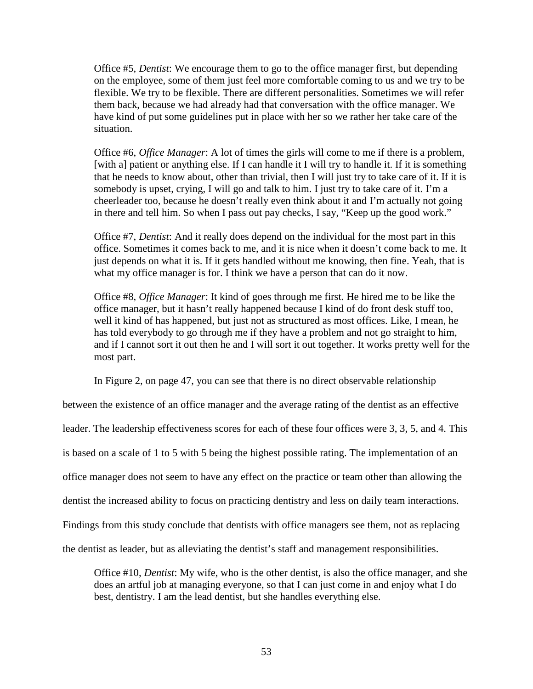Office #5, *Dentist*: We encourage them to go to the office manager first, but depending on the employee, some of them just feel more comfortable coming to us and we try to be flexible. We try to be flexible. There are different personalities. Sometimes we will refer them back, because we had already had that conversation with the office manager. We have kind of put some guidelines put in place with her so we rather her take care of the situation.

Office #6, *Office Manager*: A lot of times the girls will come to me if there is a problem, [with a] patient or anything else. If I can handle it I will try to handle it. If it is something that he needs to know about, other than trivial, then I will just try to take care of it. If it is somebody is upset, crying, I will go and talk to him. I just try to take care of it. I'm a cheerleader too, because he doesn't really even think about it and I'm actually not going in there and tell him. So when I pass out pay checks, I say, "Keep up the good work."

Office #7, *Dentist*: And it really does depend on the individual for the most part in this office. Sometimes it comes back to me, and it is nice when it doesn't come back to me. It just depends on what it is. If it gets handled without me knowing, then fine. Yeah, that is what my office manager is for. I think we have a person that can do it now.

Office #8, *Office Manager*: It kind of goes through me first. He hired me to be like the office manager, but it hasn't really happened because I kind of do front desk stuff too, well it kind of has happened, but just not as structured as most offices. Like, I mean, he has told everybody to go through me if they have a problem and not go straight to him, and if I cannot sort it out then he and I will sort it out together. It works pretty well for the most part.

In Figure 2, on page 47, you can see that there is no direct observable relationship

between the existence of an office manager and the average rating of the dentist as an effective

leader. The leadership effectiveness scores for each of these four offices were 3, 3, 5, and 4. This

is based on a scale of 1 to 5 with 5 being the highest possible rating. The implementation of an

office manager does not seem to have any effect on the practice or team other than allowing the

dentist the increased ability to focus on practicing dentistry and less on daily team interactions.

Findings from this study conclude that dentists with office managers see them, not as replacing

the dentist as leader, but as alleviating the dentist's staff and management responsibilities.

Office #10, *Dentist*: My wife, who is the other dentist, is also the office manager, and she does an artful job at managing everyone, so that I can just come in and enjoy what I do best, dentistry. I am the lead dentist, but she handles everything else.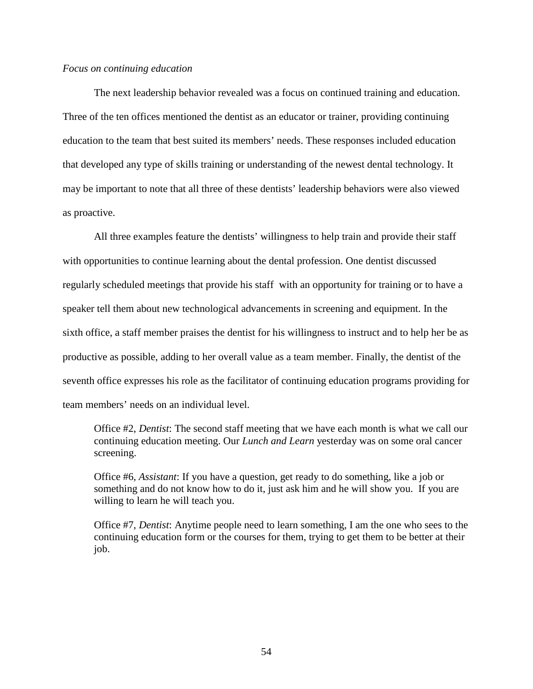#### *Focus on continuing education*

The next leadership behavior revealed was a focus on continued training and education. Three of the ten offices mentioned the dentist as an educator or trainer, providing continuing education to the team that best suited its members' needs. These responses included education that developed any type of skills training or understanding of the newest dental technology. It may be important to note that all three of these dentists' leadership behaviors were also viewed as proactive.

All three examples feature the dentists' willingness to help train and provide their staff with opportunities to continue learning about the dental profession. One dentist discussed regularly scheduled meetings that provide his staff with an opportunity for training or to have a speaker tell them about new technological advancements in screening and equipment. In the sixth office, a staff member praises the dentist for his willingness to instruct and to help her be as productive as possible, adding to her overall value as a team member. Finally, the dentist of the seventh office expresses his role as the facilitator of continuing education programs providing for team members' needs on an individual level.

Office #2, *Dentist*: The second staff meeting that we have each month is what we call our continuing education meeting. Our *Lunch and Learn* yesterday was on some oral cancer screening.

Office #6, *Assistant*: If you have a question, get ready to do something, like a job or something and do not know how to do it, just ask him and he will show you. If you are willing to learn he will teach you.

Office #7, *Dentist*: Anytime people need to learn something, I am the one who sees to the continuing education form or the courses for them, trying to get them to be better at their job.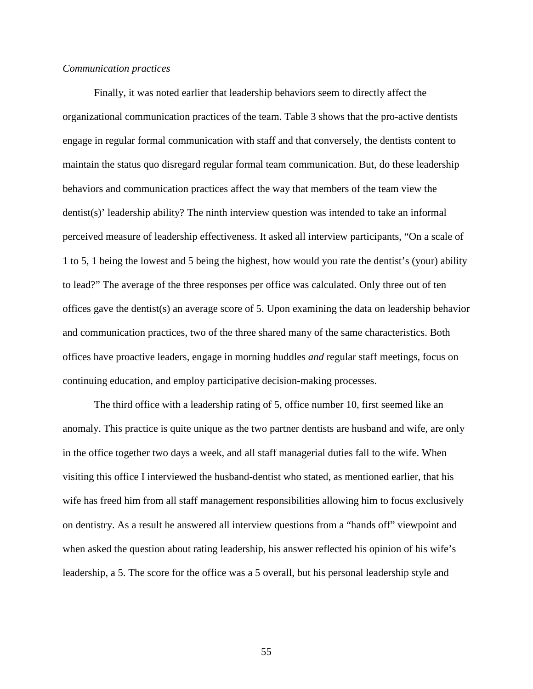#### *Communication practices*

Finally, it was noted earlier that leadership behaviors seem to directly affect the organizational communication practices of the team. Table 3 shows that the pro-active dentists engage in regular formal communication with staff and that conversely, the dentists content to maintain the status quo disregard regular formal team communication. But, do these leadership behaviors and communication practices affect the way that members of the team view the dentist(s)' leadership ability? The ninth interview question was intended to take an informal perceived measure of leadership effectiveness. It asked all interview participants, "On a scale of 1 to 5, 1 being the lowest and 5 being the highest, how would you rate the dentist's (your) ability to lead?" The average of the three responses per office was calculated. Only three out of ten offices gave the dentist(s) an average score of 5. Upon examining the data on leadership behavior and communication practices, two of the three shared many of the same characteristics. Both offices have proactive leaders, engage in morning huddles *and* regular staff meetings, focus on continuing education, and employ participative decision-making processes.

The third office with a leadership rating of 5, office number 10, first seemed like an anomaly. This practice is quite unique as the two partner dentists are husband and wife, are only in the office together two days a week, and all staff managerial duties fall to the wife. When visiting this office I interviewed the husband-dentist who stated, as mentioned earlier, that his wife has freed him from all staff management responsibilities allowing him to focus exclusively on dentistry. As a result he answered all interview questions from a "hands off" viewpoint and when asked the question about rating leadership, his answer reflected his opinion of his wife's leadership, a 5. The score for the office was a 5 overall, but his personal leadership style and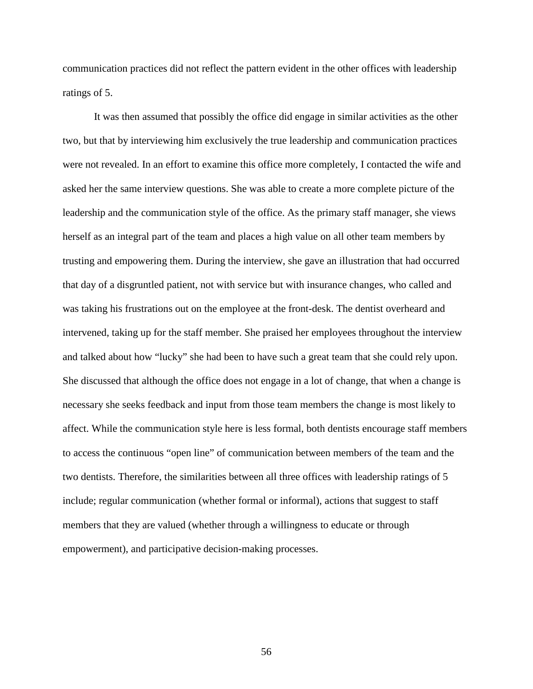communication practices did not reflect the pattern evident in the other offices with leadership ratings of 5.

It was then assumed that possibly the office did engage in similar activities as the other two, but that by interviewing him exclusively the true leadership and communication practices were not revealed. In an effort to examine this office more completely, I contacted the wife and asked her the same interview questions. She was able to create a more complete picture of the leadership and the communication style of the office. As the primary staff manager, she views herself as an integral part of the team and places a high value on all other team members by trusting and empowering them. During the interview, she gave an illustration that had occurred that day of a disgruntled patient, not with service but with insurance changes, who called and was taking his frustrations out on the employee at the front-desk. The dentist overheard and intervened, taking up for the staff member. She praised her employees throughout the interview and talked about how "lucky" she had been to have such a great team that she could rely upon. She discussed that although the office does not engage in a lot of change, that when a change is necessary she seeks feedback and input from those team members the change is most likely to affect. While the communication style here is less formal, both dentists encourage staff members to access the continuous "open line" of communication between members of the team and the two dentists. Therefore, the similarities between all three offices with leadership ratings of 5 include; regular communication (whether formal or informal), actions that suggest to staff members that they are valued (whether through a willingness to educate or through empowerment), and participative decision-making processes.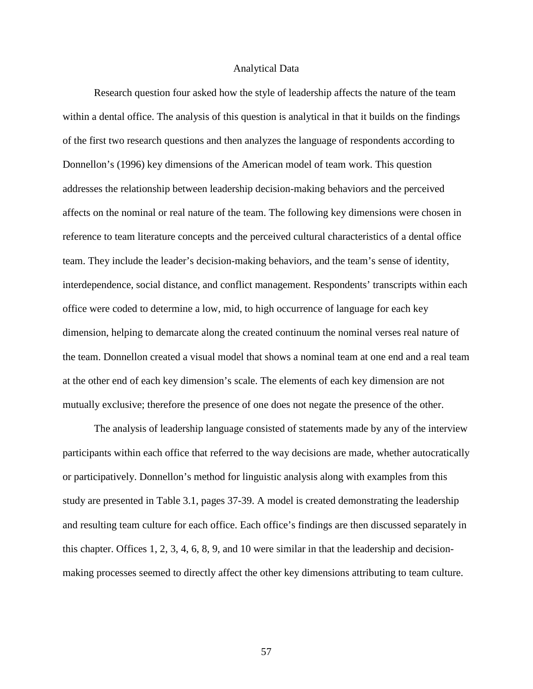#### Analytical Data

Research question four asked how the style of leadership affects the nature of the team within a dental office. The analysis of this question is analytical in that it builds on the findings of the first two research questions and then analyzes the language of respondents according to Donnellon's (1996) key dimensions of the American model of team work. This question addresses the relationship between leadership decision-making behaviors and the perceived affects on the nominal or real nature of the team. The following key dimensions were chosen in reference to team literature concepts and the perceived cultural characteristics of a dental office team. They include the leader's decision-making behaviors, and the team's sense of identity, interdependence, social distance, and conflict management. Respondents' transcripts within each office were coded to determine a low, mid, to high occurrence of language for each key dimension, helping to demarcate along the created continuum the nominal verses real nature of the team. Donnellon created a visual model that shows a nominal team at one end and a real team at the other end of each key dimension's scale. The elements of each key dimension are not mutually exclusive; therefore the presence of one does not negate the presence of the other.

The analysis of leadership language consisted of statements made by any of the interview participants within each office that referred to the way decisions are made, whether autocratically or participatively. Donnellon's method for linguistic analysis along with examples from this study are presented in Table 3.1, pages 37-39. A model is created demonstrating the leadership and resulting team culture for each office. Each office's findings are then discussed separately in this chapter. Offices 1, 2, 3, 4, 6, 8, 9, and 10 were similar in that the leadership and decisionmaking processes seemed to directly affect the other key dimensions attributing to team culture.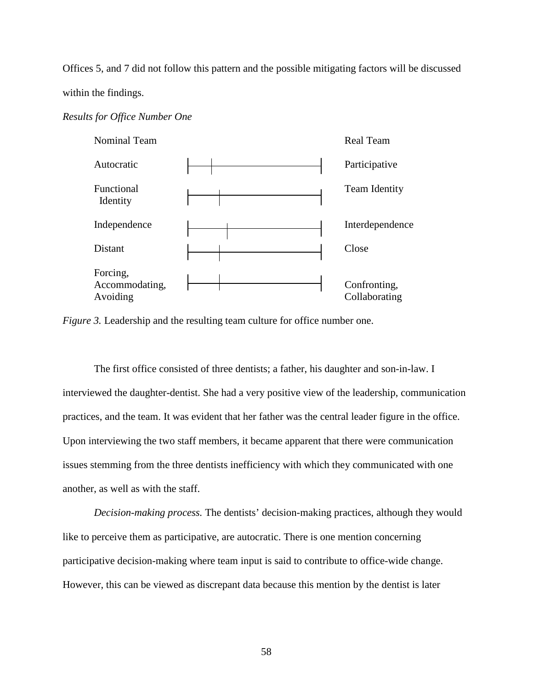Offices 5, and 7 did not follow this pattern and the possible mitigating factors will be discussed within the findings.

## *Results for Office Number One*



*Figure 3.* Leadership and the resulting team culture for office number one.

The first office consisted of three dentists; a father, his daughter and son-in-law. I interviewed the daughter-dentist. She had a very positive view of the leadership, communication practices, and the team. It was evident that her father was the central leader figure in the office. Upon interviewing the two staff members, it became apparent that there were communication issues stemming from the three dentists inefficiency with which they communicated with one another, as well as with the staff.

*Decision-making process.* The dentists' decision-making practices, although they would like to perceive them as participative, are autocratic. There is one mention concerning participative decision-making where team input is said to contribute to office-wide change. However, this can be viewed as discrepant data because this mention by the dentist is later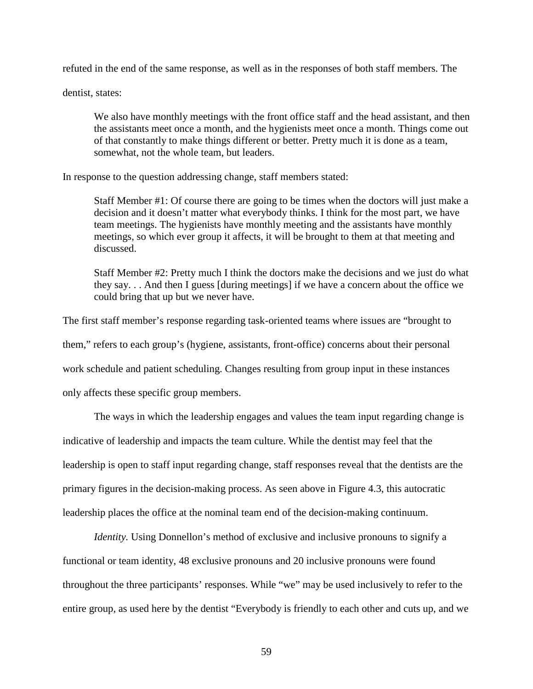refuted in the end of the same response, as well as in the responses of both staff members. The

dentist, states:

We also have monthly meetings with the front office staff and the head assistant, and then the assistants meet once a month, and the hygienists meet once a month. Things come out of that constantly to make things different or better. Pretty much it is done as a team, somewhat, not the whole team, but leaders.

In response to the question addressing change, staff members stated:

Staff Member #1: Of course there are going to be times when the doctors will just make a decision and it doesn't matter what everybody thinks. I think for the most part, we have team meetings. The hygienists have monthly meeting and the assistants have monthly meetings, so which ever group it affects, it will be brought to them at that meeting and discussed.

Staff Member #2: Pretty much I think the doctors make the decisions and we just do what they say. . . And then I guess [during meetings] if we have a concern about the office we could bring that up but we never have.

The first staff member's response regarding task-oriented teams where issues are "brought to them," refers to each group's (hygiene, assistants, front-office) concerns about their personal work schedule and patient scheduling. Changes resulting from group input in these instances only affects these specific group members.

The ways in which the leadership engages and values the team input regarding change is indicative of leadership and impacts the team culture. While the dentist may feel that the leadership is open to staff input regarding change, staff responses reveal that the dentists are the primary figures in the decision-making process. As seen above in Figure 4.3, this autocratic leadership places the office at the nominal team end of the decision-making continuum.

*Identity*. Using Donnellon's method of exclusive and inclusive pronouns to signify a functional or team identity, 48 exclusive pronouns and 20 inclusive pronouns were found throughout the three participants' responses. While "we" may be used inclusively to refer to the entire group, as used here by the dentist "Everybody is friendly to each other and cuts up, and we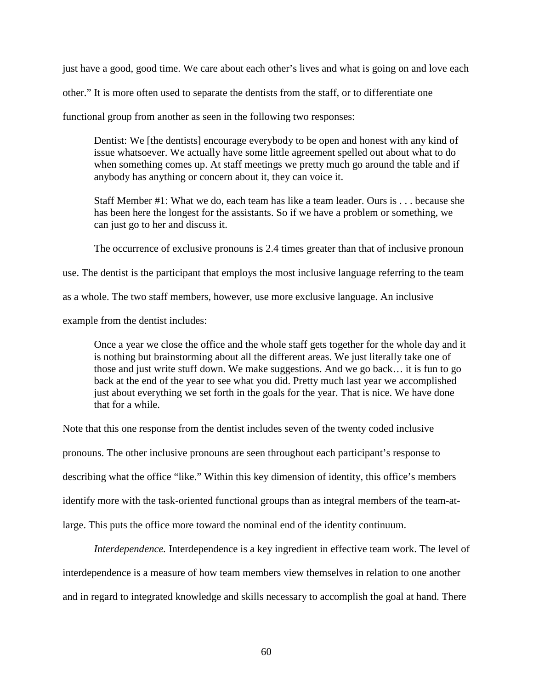just have a good, good time. We care about each other's lives and what is going on and love each

other." It is more often used to separate the dentists from the staff, or to differentiate one

functional group from another as seen in the following two responses:

Dentist: We [the dentists] encourage everybody to be open and honest with any kind of issue whatsoever. We actually have some little agreement spelled out about what to do when something comes up. At staff meetings we pretty much go around the table and if anybody has anything or concern about it, they can voice it.

Staff Member #1: What we do, each team has like a team leader. Ours is . . . because she has been here the longest for the assistants. So if we have a problem or something, we can just go to her and discuss it.

The occurrence of exclusive pronouns is 2.4 times greater than that of inclusive pronoun

use. The dentist is the participant that employs the most inclusive language referring to the team

as a whole. The two staff members, however, use more exclusive language. An inclusive

example from the dentist includes:

Once a year we close the office and the whole staff gets together for the whole day and it is nothing but brainstorming about all the different areas. We just literally take one of those and just write stuff down. We make suggestions. And we go back… it is fun to go back at the end of the year to see what you did. Pretty much last year we accomplished just about everything we set forth in the goals for the year. That is nice. We have done that for a while.

Note that this one response from the dentist includes seven of the twenty coded inclusive pronouns. The other inclusive pronouns are seen throughout each participant's response to describing what the office "like." Within this key dimension of identity, this office's members identify more with the task-oriented functional groups than as integral members of the team-atlarge. This puts the office more toward the nominal end of the identity continuum.

*Interdependence.* Interdependence is a key ingredient in effective team work. The level of interdependence is a measure of how team members view themselves in relation to one another and in regard to integrated knowledge and skills necessary to accomplish the goal at hand. There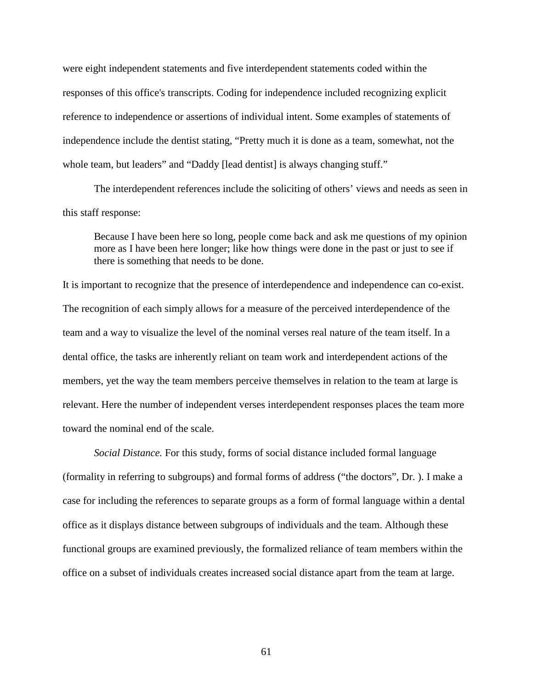were eight independent statements and five interdependent statements coded within the responses of this office's transcripts. Coding for independence included recognizing explicit reference to independence or assertions of individual intent. Some examples of statements of independence include the dentist stating, "Pretty much it is done as a team, somewhat, not the whole team, but leaders" and "Daddy [lead dentist] is always changing stuff."

The interdependent references include the soliciting of others' views and needs as seen in this staff response:

Because I have been here so long, people come back and ask me questions of my opinion more as I have been here longer; like how things were done in the past or just to see if there is something that needs to be done.

It is important to recognize that the presence of interdependence and independence can co-exist. The recognition of each simply allows for a measure of the perceived interdependence of the team and a way to visualize the level of the nominal verses real nature of the team itself. In a dental office, the tasks are inherently reliant on team work and interdependent actions of the members, yet the way the team members perceive themselves in relation to the team at large is relevant. Here the number of independent verses interdependent responses places the team more toward the nominal end of the scale.

*Social Distance.* For this study, forms of social distance included formal language (formality in referring to subgroups) and formal forms of address ("the doctors", Dr. ). I make a case for including the references to separate groups as a form of formal language within a dental office as it displays distance between subgroups of individuals and the team. Although these functional groups are examined previously, the formalized reliance of team members within the office on a subset of individuals creates increased social distance apart from the team at large.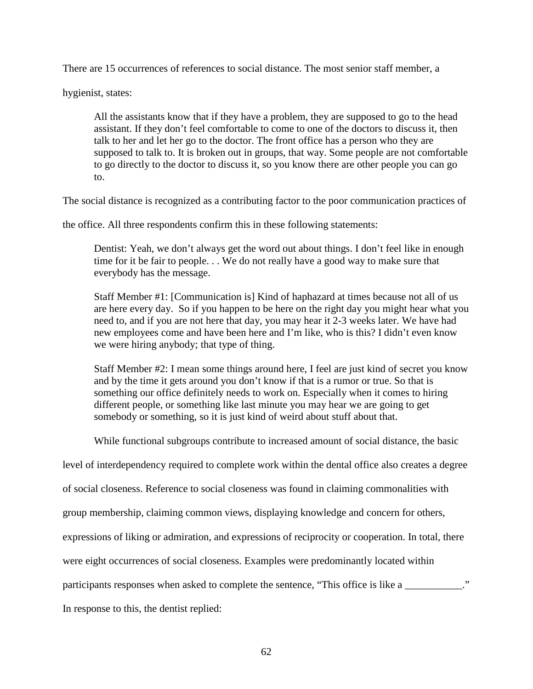There are 15 occurrences of references to social distance. The most senior staff member, a

hygienist, states:

All the assistants know that if they have a problem, they are supposed to go to the head assistant. If they don't feel comfortable to come to one of the doctors to discuss it, then talk to her and let her go to the doctor. The front office has a person who they are supposed to talk to. It is broken out in groups, that way. Some people are not comfortable to go directly to the doctor to discuss it, so you know there are other people you can go to.

The social distance is recognized as a contributing factor to the poor communication practices of

the office. All three respondents confirm this in these following statements:

Dentist: Yeah, we don't always get the word out about things. I don't feel like in enough time for it be fair to people. . . We do not really have a good way to make sure that everybody has the message.

Staff Member #1: [Communication is] Kind of haphazard at times because not all of us are here every day. So if you happen to be here on the right day you might hear what you need to, and if you are not here that day, you may hear it 2-3 weeks later. We have had new employees come and have been here and I'm like, who is this? I didn't even know we were hiring anybody; that type of thing.

Staff Member #2: I mean some things around here, I feel are just kind of secret you know and by the time it gets around you don't know if that is a rumor or true. So that is something our office definitely needs to work on. Especially when it comes to hiring different people, or something like last minute you may hear we are going to get somebody or something, so it is just kind of weird about stuff about that.

While functional subgroups contribute to increased amount of social distance, the basic

level of interdependency required to complete work within the dental office also creates a degree

of social closeness. Reference to social closeness was found in claiming commonalities with

group membership, claiming common views, displaying knowledge and concern for others,

expressions of liking or admiration, and expressions of reciprocity or cooperation. In total, there

were eight occurrences of social closeness. Examples were predominantly located within

participants responses when asked to complete the sentence, "This office is like a \_\_\_\_\_\_\_\_\_\_\_."

In response to this, the dentist replied: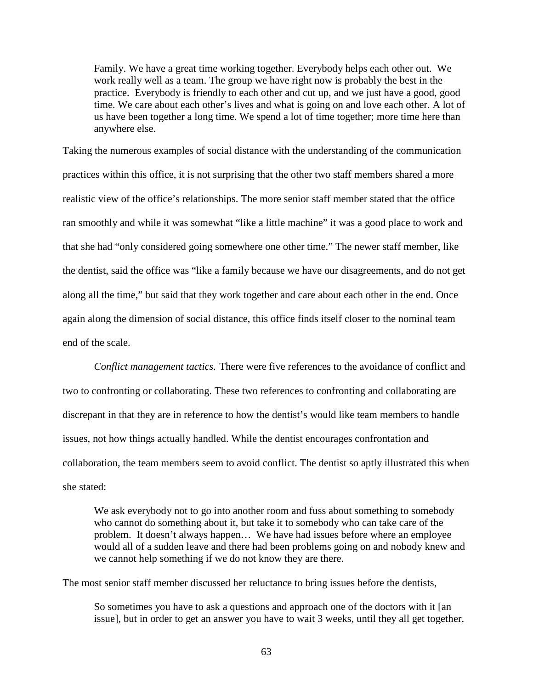Family. We have a great time working together. Everybody helps each other out. We work really well as a team. The group we have right now is probably the best in the practice. Everybody is friendly to each other and cut up, and we just have a good, good time. We care about each other's lives and what is going on and love each other. A lot of us have been together a long time. We spend a lot of time together; more time here than anywhere else.

Taking the numerous examples of social distance with the understanding of the communication practices within this office, it is not surprising that the other two staff members shared a more realistic view of the office's relationships. The more senior staff member stated that the office ran smoothly and while it was somewhat "like a little machine" it was a good place to work and that she had "only considered going somewhere one other time." The newer staff member, like the dentist, said the office was "like a family because we have our disagreements, and do not get along all the time," but said that they work together and care about each other in the end. Once again along the dimension of social distance, this office finds itself closer to the nominal team end of the scale.

*Conflict management tactics.* There were five references to the avoidance of conflict and two to confronting or collaborating. These two references to confronting and collaborating are discrepant in that they are in reference to how the dentist's would like team members to handle issues, not how things actually handled. While the dentist encourages confrontation and collaboration, the team members seem to avoid conflict. The dentist so aptly illustrated this when she stated:

We ask everybody not to go into another room and fuss about something to somebody who cannot do something about it, but take it to somebody who can take care of the problem. It doesn't always happen… We have had issues before where an employee would all of a sudden leave and there had been problems going on and nobody knew and we cannot help something if we do not know they are there.

The most senior staff member discussed her reluctance to bring issues before the dentists,

So sometimes you have to ask a questions and approach one of the doctors with it [an issue], but in order to get an answer you have to wait 3 weeks, until they all get together.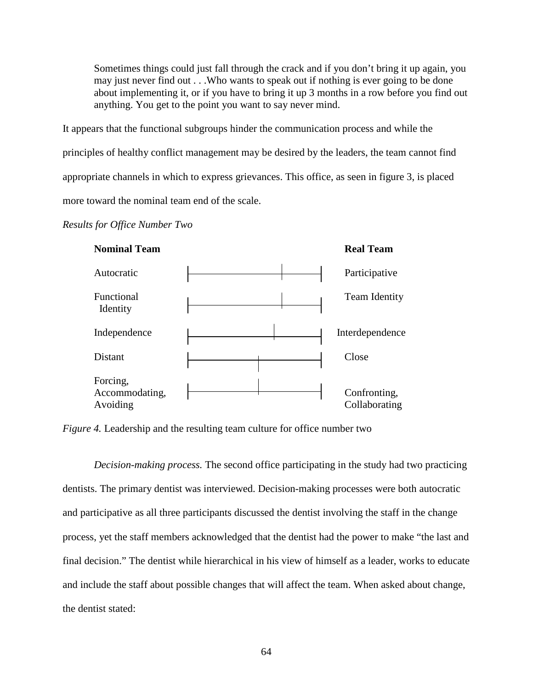Sometimes things could just fall through the crack and if you don't bring it up again, you may just never find out . . .Who wants to speak out if nothing is ever going to be done about implementing it, or if you have to bring it up 3 months in a row before you find out anything. You get to the point you want to say never mind.

It appears that the functional subgroups hinder the communication process and while the principles of healthy conflict management may be desired by the leaders, the team cannot find appropriate channels in which to express grievances. This office, as seen in figure 3, is placed more toward the nominal team end of the scale.

# *Results for Office Number Two*



*Figure 4.* Leadership and the resulting team culture for office number two

*Decision-making process.* The second office participating in the study had two practicing dentists. The primary dentist was interviewed. Decision-making processes were both autocratic and participative as all three participants discussed the dentist involving the staff in the change process, yet the staff members acknowledged that the dentist had the power to make "the last and final decision." The dentist while hierarchical in his view of himself as a leader, works to educate and include the staff about possible changes that will affect the team. When asked about change, the dentist stated: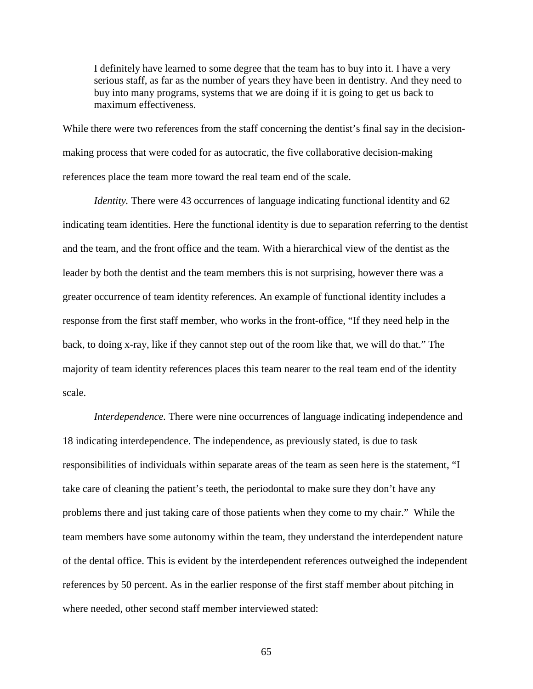I definitely have learned to some degree that the team has to buy into it. I have a very serious staff, as far as the number of years they have been in dentistry. And they need to buy into many programs, systems that we are doing if it is going to get us back to maximum effectiveness.

While there were two references from the staff concerning the dentist's final say in the decisionmaking process that were coded for as autocratic, the five collaborative decision-making references place the team more toward the real team end of the scale.

*Identity*. There were 43 occurrences of language indicating functional identity and 62 indicating team identities. Here the functional identity is due to separation referring to the dentist and the team, and the front office and the team. With a hierarchical view of the dentist as the leader by both the dentist and the team members this is not surprising, however there was a greater occurrence of team identity references. An example of functional identity includes a response from the first staff member, who works in the front-office, "If they need help in the back, to doing x-ray, like if they cannot step out of the room like that, we will do that." The majority of team identity references places this team nearer to the real team end of the identity scale.

*Interdependence*. There were nine occurrences of language indicating independence and 18 indicating interdependence. The independence, as previously stated, is due to task responsibilities of individuals within separate areas of the team as seen here is the statement, "I take care of cleaning the patient's teeth, the periodontal to make sure they don't have any problems there and just taking care of those patients when they come to my chair." While the team members have some autonomy within the team, they understand the interdependent nature of the dental office. This is evident by the interdependent references outweighed the independent references by 50 percent. As in the earlier response of the first staff member about pitching in where needed, other second staff member interviewed stated: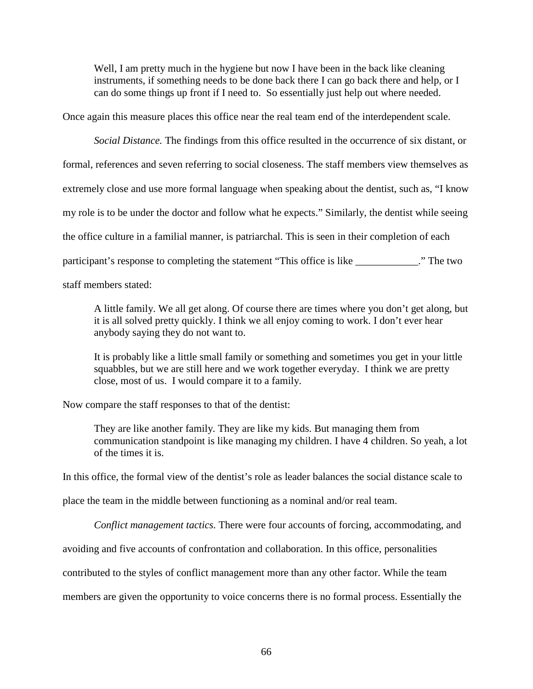Well, I am pretty much in the hygiene but now I have been in the back like cleaning instruments, if something needs to be done back there I can go back there and help, or I can do some things up front if I need to. So essentially just help out where needed.

Once again this measure places this office near the real team end of the interdependent scale.

*Social Distance.* The findings from this office resulted in the occurrence of six distant, or formal, references and seven referring to social closeness. The staff members view themselves as extremely close and use more formal language when speaking about the dentist, such as, "I know my role is to be under the doctor and follow what he expects." Similarly, the dentist while seeing the office culture in a familial manner, is patriarchal. This is seen in their completion of each participant's response to completing the statement "This office is like \_\_\_\_\_\_\_\_\_\_\_\_." The two staff members stated:

A little family. We all get along. Of course there are times where you don't get along, but it is all solved pretty quickly. I think we all enjoy coming to work. I don't ever hear anybody saying they do not want to.

It is probably like a little small family or something and sometimes you get in your little squabbles, but we are still here and we work together everyday. I think we are pretty close, most of us. I would compare it to a family.

Now compare the staff responses to that of the dentist:

They are like another family. They are like my kids. But managing them from communication standpoint is like managing my children. I have 4 children. So yeah, a lot of the times it is.

In this office, the formal view of the dentist's role as leader balances the social distance scale to

place the team in the middle between functioning as a nominal and/or real team.

*Conflict management tactics.* There were four accounts of forcing, accommodating, and

avoiding and five accounts of confrontation and collaboration. In this office, personalities

contributed to the styles of conflict management more than any other factor. While the team

members are given the opportunity to voice concerns there is no formal process. Essentially the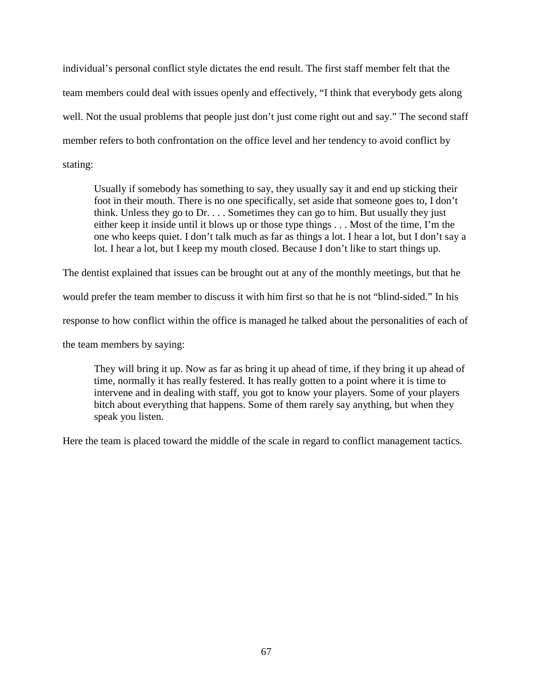individual's personal conflict style dictates the end result. The first staff member felt that the team members could deal with issues openly and effectively, "I think that everybody gets along well. Not the usual problems that people just don't just come right out and say." The second staff member refers to both confrontation on the office level and her tendency to avoid conflict by stating:

Usually if somebody has something to say, they usually say it and end up sticking their foot in their mouth. There is no one specifically, set aside that someone goes to, I don't think. Unless they go to  $Dr. \ldots$  Sometimes they can go to him. But usually they just either keep it inside until it blows up or those type things . . . Most of the time, I'm the one who keeps quiet. I don't talk much as far as things a lot. I hear a lot, but I don't say a lot. I hear a lot, but I keep my mouth closed. Because I don't like to start things up.

The dentist explained that issues can be brought out at any of the monthly meetings, but that he

would prefer the team member to discuss it with him first so that he is not "blind-sided." In his

response to how conflict within the office is managed he talked about the personalities of each of

the team members by saying:

They will bring it up. Now as far as bring it up ahead of time, if they bring it up ahead of time, normally it has really festered. It has really gotten to a point where it is time to intervene and in dealing with staff, you got to know your players. Some of your players bitch about everything that happens. Some of them rarely say anything, but when they speak you listen.

Here the team is placed toward the middle of the scale in regard to conflict management tactics.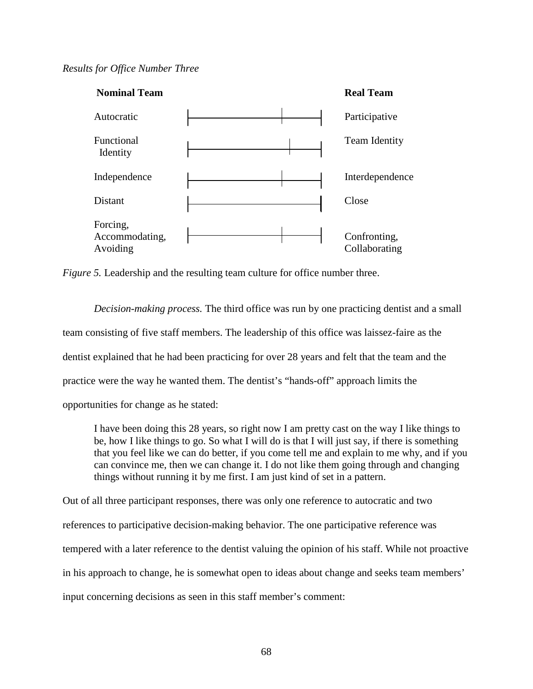## *Results for Office Number Three*



*Figure 5.* Leadership and the resulting team culture for office number three.

*Decision-making process.* The third office was run by one practicing dentist and a small team consisting of five staff members. The leadership of this office was laissez-faire as the dentist explained that he had been practicing for over 28 years and felt that the team and the practice were the way he wanted them. The dentist's "hands-off" approach limits the opportunities for change as he stated:

I have been doing this 28 years, so right now I am pretty cast on the way I like things to be, how I like things to go. So what I will do is that I will just say, if there is something that you feel like we can do better, if you come tell me and explain to me why, and if you can convince me, then we can change it. I do not like them going through and changing things without running it by me first. I am just kind of set in a pattern.

Out of all three participant responses, there was only one reference to autocratic and two references to participative decision-making behavior. The one participative reference was tempered with a later reference to the dentist valuing the opinion of his staff. While not proactive in his approach to change, he is somewhat open to ideas about change and seeks team members' input concerning decisions as seen in this staff member's comment: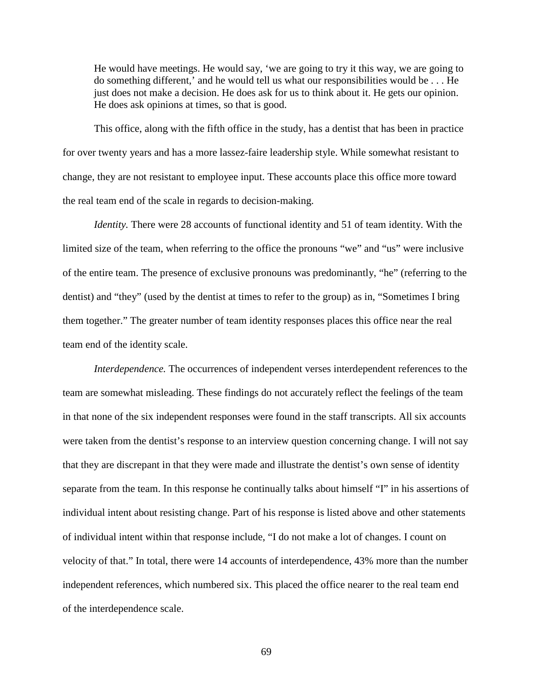He would have meetings. He would say, 'we are going to try it this way, we are going to do something different,' and he would tell us what our responsibilities would be . . . He just does not make a decision. He does ask for us to think about it. He gets our opinion. He does ask opinions at times, so that is good.

This office, along with the fifth office in the study, has a dentist that has been in practice for over twenty years and has a more lassez-faire leadership style. While somewhat resistant to change, they are not resistant to employee input. These accounts place this office more toward the real team end of the scale in regards to decision-making.

*Identity.* There were 28 accounts of functional identity and 51 of team identity. With the limited size of the team, when referring to the office the pronouns "we" and "us" were inclusive of the entire team. The presence of exclusive pronouns was predominantly, "he" (referring to the dentist) and "they" (used by the dentist at times to refer to the group) as in, "Sometimes I bring them together." The greater number of team identity responses places this office near the real team end of the identity scale.

*Interdependence.* The occurrences of independent verses interdependent references to the team are somewhat misleading. These findings do not accurately reflect the feelings of the team in that none of the six independent responses were found in the staff transcripts. All six accounts were taken from the dentist's response to an interview question concerning change. I will not say that they are discrepant in that they were made and illustrate the dentist's own sense of identity separate from the team. In this response he continually talks about himself "I" in his assertions of individual intent about resisting change. Part of his response is listed above and other statements of individual intent within that response include, "I do not make a lot of changes. I count on velocity of that." In total, there were 14 accounts of interdependence, 43% more than the number independent references, which numbered six. This placed the office nearer to the real team end of the interdependence scale.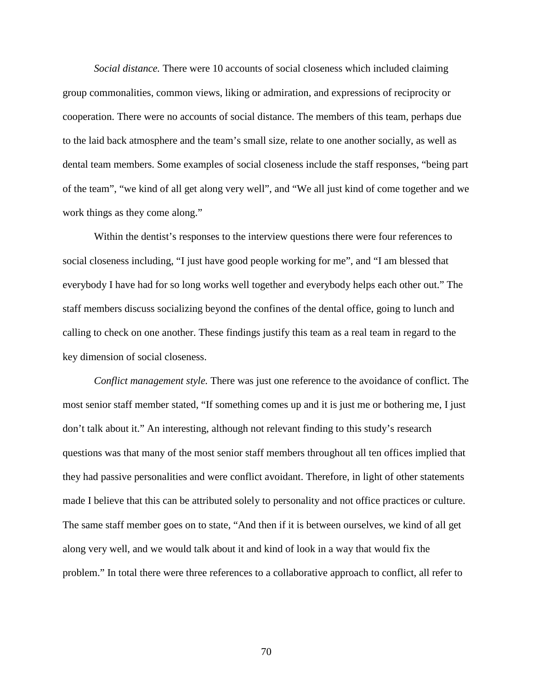*Social distance.* There were 10 accounts of social closeness which included claiming group commonalities, common views, liking or admiration, and expressions of reciprocity or cooperation. There were no accounts of social distance. The members of this team, perhaps due to the laid back atmosphere and the team's small size, relate to one another socially, as well as dental team members. Some examples of social closeness include the staff responses, "being part of the team", "we kind of all get along very well", and "We all just kind of come together and we work things as they come along."

Within the dentist's responses to the interview questions there were four references to social closeness including, "I just have good people working for me", and "I am blessed that everybody I have had for so long works well together and everybody helps each other out." The staff members discuss socializing beyond the confines of the dental office, going to lunch and calling to check on one another. These findings justify this team as a real team in regard to the key dimension of social closeness.

*Conflict management style.* There was just one reference to the avoidance of conflict. The most senior staff member stated, "If something comes up and it is just me or bothering me, I just don't talk about it." An interesting, although not relevant finding to this study's research questions was that many of the most senior staff members throughout all ten offices implied that they had passive personalities and were conflict avoidant. Therefore, in light of other statements made I believe that this can be attributed solely to personality and not office practices or culture. The same staff member goes on to state, "And then if it is between ourselves, we kind of all get along very well, and we would talk about it and kind of look in a way that would fix the problem." In total there were three references to a collaborative approach to conflict, all refer to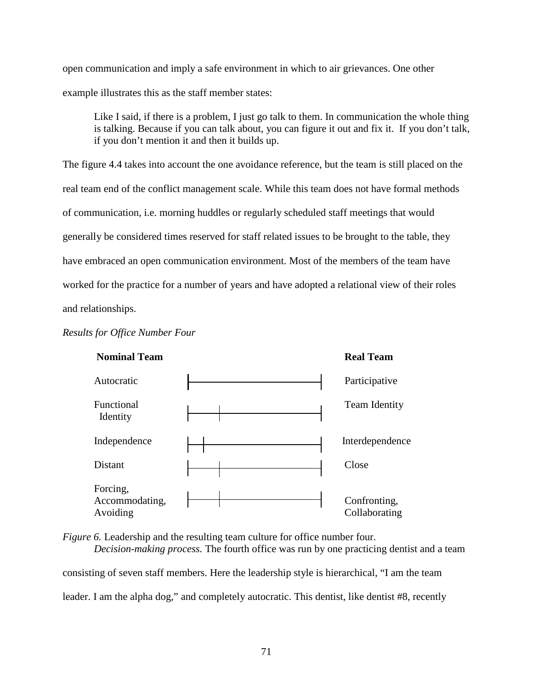open communication and imply a safe environment in which to air grievances. One other example illustrates this as the staff member states:

Like I said, if there is a problem, I just go talk to them. In communication the whole thing is talking. Because if you can talk about, you can figure it out and fix it. If you don't talk, if you don't mention it and then it builds up.

The figure 4.4 takes into account the one avoidance reference, but the team is still placed on the real team end of the conflict management scale. While this team does not have formal methods of communication, i.e. morning huddles or regularly scheduled staff meetings that would generally be considered times reserved for staff related issues to be brought to the table, they have embraced an open communication environment. Most of the members of the team have worked for the practice for a number of years and have adopted a relational view of their roles and relationships.





*Figure 6.* Leadership and the resulting team culture for office number four. *Decision-making process.* The fourth office was run by one practicing dentist and a team consisting of seven staff members. Here the leadership style is hierarchical, "I am the team leader. I am the alpha dog," and completely autocratic. This dentist, like dentist #8, recently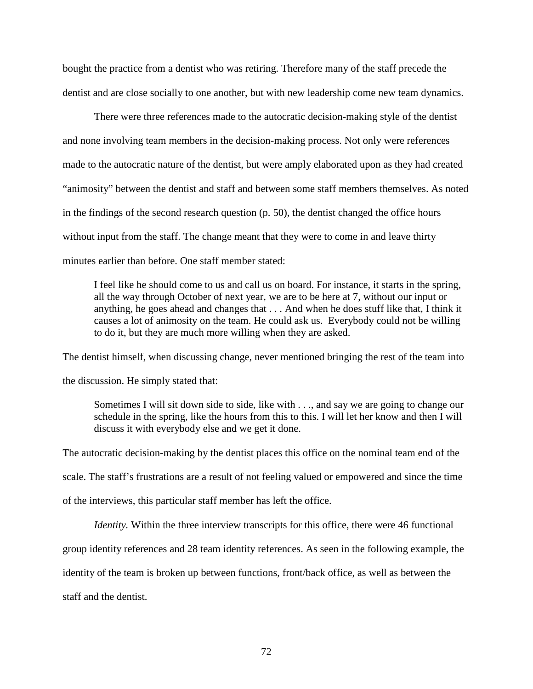bought the practice from a dentist who was retiring. Therefore many of the staff precede the dentist and are close socially to one another, but with new leadership come new team dynamics.

There were three references made to the autocratic decision-making style of the dentist and none involving team members in the decision-making process. Not only were references made to the autocratic nature of the dentist, but were amply elaborated upon as they had created "animosity" between the dentist and staff and between some staff members themselves. As noted in the findings of the second research question (p. 50), the dentist changed the office hours without input from the staff. The change meant that they were to come in and leave thirty minutes earlier than before. One staff member stated:

I feel like he should come to us and call us on board. For instance, it starts in the spring, all the way through October of next year, we are to be here at 7, without our input or anything, he goes ahead and changes that . . . And when he does stuff like that, I think it causes a lot of animosity on the team. He could ask us. Everybody could not be willing to do it, but they are much more willing when they are asked.

The dentist himself, when discussing change, never mentioned bringing the rest of the team into the discussion. He simply stated that:

Sometimes I will sit down side to side, like with . . ., and say we are going to change our schedule in the spring, like the hours from this to this. I will let her know and then I will discuss it with everybody else and we get it done.

The autocratic decision-making by the dentist places this office on the nominal team end of the scale. The staff's frustrations are a result of not feeling valued or empowered and since the time of the interviews, this particular staff member has left the office.

*Identity*. Within the three interview transcripts for this office, there were 46 functional

group identity references and 28 team identity references. As seen in the following example, the

identity of the team is broken up between functions, front/back office, as well as between the

staff and the dentist.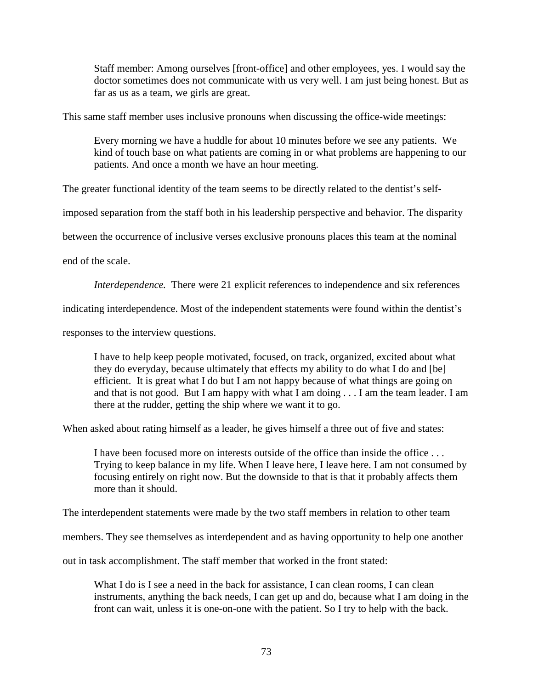Staff member: Among ourselves [front-office] and other employees, yes. I would say the doctor sometimes does not communicate with us very well. I am just being honest. But as far as us as a team, we girls are great.

This same staff member uses inclusive pronouns when discussing the office-wide meetings:

Every morning we have a huddle for about 10 minutes before we see any patients. We kind of touch base on what patients are coming in or what problems are happening to our patients. And once a month we have an hour meeting.

The greater functional identity of the team seems to be directly related to the dentist's self-

imposed separation from the staff both in his leadership perspective and behavior. The disparity

between the occurrence of inclusive verses exclusive pronouns places this team at the nominal

end of the scale.

*Interdependence.* There were 21 explicit references to independence and six references

indicating interdependence. Most of the independent statements were found within the dentist's

responses to the interview questions.

I have to help keep people motivated, focused, on track, organized, excited about what they do everyday, because ultimately that effects my ability to do what I do and [be] efficient. It is great what I do but I am not happy because of what things are going on and that is not good. But I am happy with what I am doing . . . I am the team leader. I am there at the rudder, getting the ship where we want it to go.

When asked about rating himself as a leader, he gives himself a three out of five and states:

I have been focused more on interests outside of the office than inside the office . . . Trying to keep balance in my life. When I leave here, I leave here. I am not consumed by focusing entirely on right now. But the downside to that is that it probably affects them more than it should.

The interdependent statements were made by the two staff members in relation to other team

members. They see themselves as interdependent and as having opportunity to help one another

out in task accomplishment. The staff member that worked in the front stated:

What I do is I see a need in the back for assistance, I can clean rooms, I can clean instruments, anything the back needs, I can get up and do, because what I am doing in the front can wait, unless it is one-on-one with the patient. So I try to help with the back.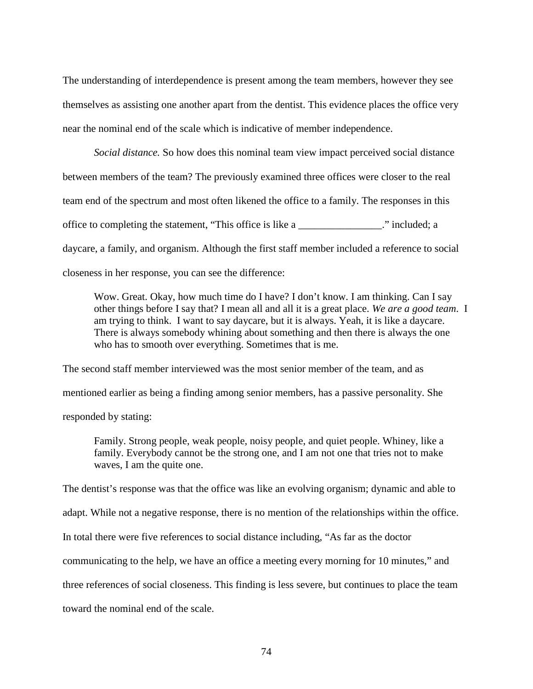The understanding of interdependence is present among the team members, however they see themselves as assisting one another apart from the dentist. This evidence places the office very near the nominal end of the scale which is indicative of member independence.

*Social distance.* So how does this nominal team view impact perceived social distance between members of the team? The previously examined three offices were closer to the real team end of the spectrum and most often likened the office to a family. The responses in this office to completing the statement, "This office is like a \_\_\_\_\_\_\_\_\_\_\_\_\_\_\_\_." included; a daycare, a family, and organism. Although the first staff member included a reference to social closeness in her response, you can see the difference:

Wow. Great. Okay, how much time do I have? I don't know. I am thinking. Can I say other things before I say that? I mean all and all it is a great place. *We are a good team*. I am trying to think. I want to say daycare, but it is always. Yeah, it is like a daycare. There is always somebody whining about something and then there is always the one who has to smooth over everything. Sometimes that is me.

The second staff member interviewed was the most senior member of the team, and as mentioned earlier as being a finding among senior members, has a passive personality. She responded by stating:

Family. Strong people, weak people, noisy people, and quiet people. Whiney, like a family. Everybody cannot be the strong one, and I am not one that tries not to make waves, I am the quite one.

The dentist's response was that the office was like an evolving organism; dynamic and able to

adapt. While not a negative response, there is no mention of the relationships within the office.

In total there were five references to social distance including, "As far as the doctor

communicating to the help, we have an office a meeting every morning for 10 minutes," and

three references of social closeness. This finding is less severe, but continues to place the team

toward the nominal end of the scale.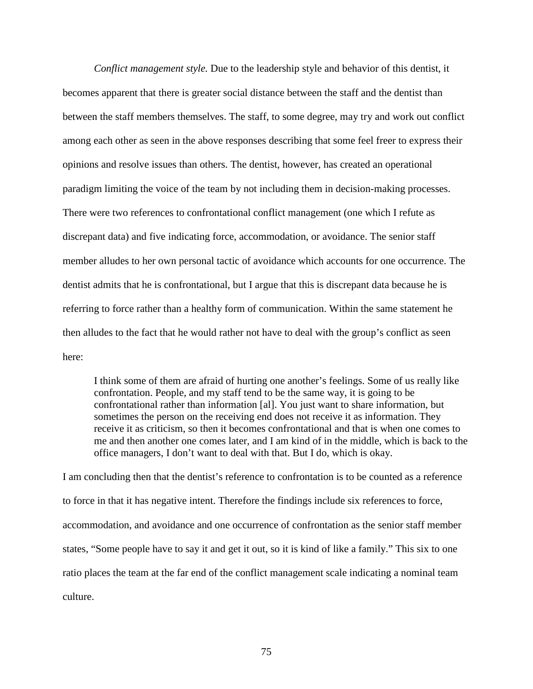*Conflict management style.* Due to the leadership style and behavior of this dentist, it becomes apparent that there is greater social distance between the staff and the dentist than between the staff members themselves. The staff, to some degree, may try and work out conflict among each other as seen in the above responses describing that some feel freer to express their opinions and resolve issues than others. The dentist, however, has created an operational paradigm limiting the voice of the team by not including them in decision-making processes. There were two references to confrontational conflict management (one which I refute as discrepant data) and five indicating force, accommodation, or avoidance. The senior staff member alludes to her own personal tactic of avoidance which accounts for one occurrence. The dentist admits that he is confrontational, but I argue that this is discrepant data because he is referring to force rather than a healthy form of communication. Within the same statement he then alludes to the fact that he would rather not have to deal with the group's conflict as seen here:

I think some of them are afraid of hurting one another's feelings. Some of us really like confrontation. People, and my staff tend to be the same way, it is going to be confrontational rather than information [al]. You just want to share information, but sometimes the person on the receiving end does not receive it as information. They receive it as criticism, so then it becomes confrontational and that is when one comes to me and then another one comes later, and I am kind of in the middle, which is back to the office managers, I don't want to deal with that. But I do, which is okay.

I am concluding then that the dentist's reference to confrontation is to be counted as a reference to force in that it has negative intent. Therefore the findings include six references to force, accommodation, and avoidance and one occurrence of confrontation as the senior staff member states, "Some people have to say it and get it out, so it is kind of like a family." This six to one ratio places the team at the far end of the conflict management scale indicating a nominal team culture.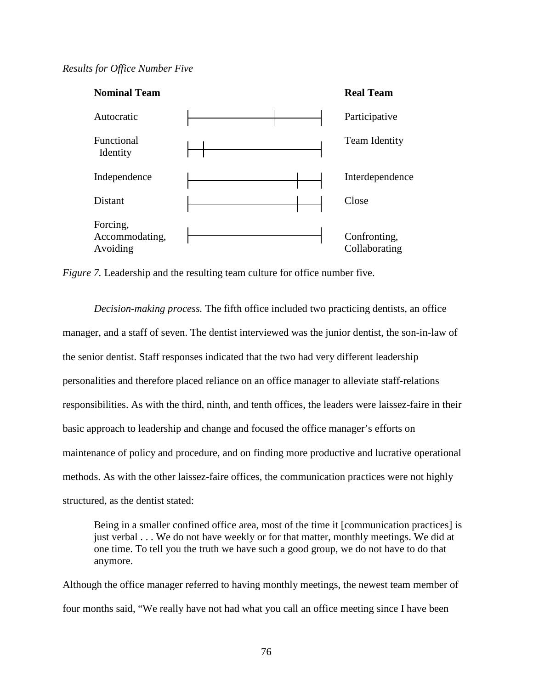## *Results for Office Number Five*



*Figure 7.* Leadership and the resulting team culture for office number five.

*Decision-making process.* The fifth office included two practicing dentists, an office manager, and a staff of seven. The dentist interviewed was the junior dentist, the son-in-law of the senior dentist. Staff responses indicated that the two had very different leadership personalities and therefore placed reliance on an office manager to alleviate staff-relations responsibilities. As with the third, ninth, and tenth offices, the leaders were laissez-faire in their basic approach to leadership and change and focused the office manager's efforts on maintenance of policy and procedure, and on finding more productive and lucrative operational methods. As with the other laissez-faire offices, the communication practices were not highly structured, as the dentist stated:

Being in a smaller confined office area, most of the time it [communication practices] is just verbal . . . We do not have weekly or for that matter, monthly meetings. We did at one time. To tell you the truth we have such a good group, we do not have to do that anymore.

Although the office manager referred to having monthly meetings, the newest team member of four months said, "We really have not had what you call an office meeting since I have been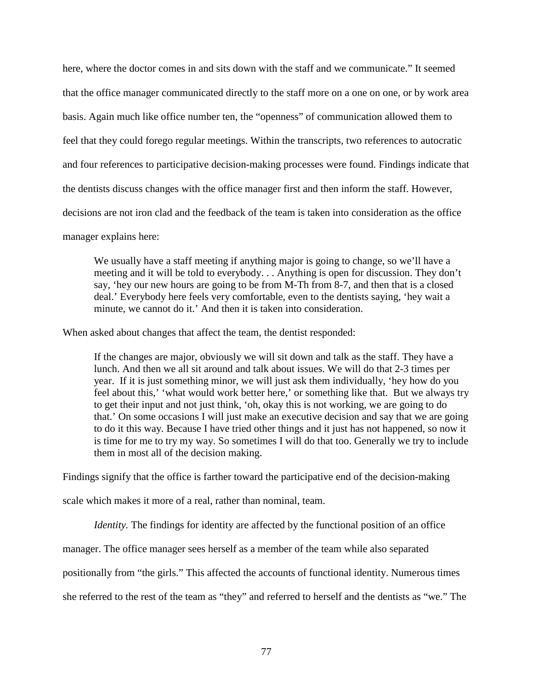here, where the doctor comes in and sits down with the staff and we communicate." It seemed that the office manager communicated directly to the staff more on a one on one, or by work area basis. Again much like office number ten, the "openness" of communication allowed them to feel that they could forego regular meetings. Within the transcripts, two references to autocratic and four references to participative decision-making processes were found. Findings indicate that the dentists discuss changes with the office manager first and then inform the staff. However, decisions are not iron clad and the feedback of the team is taken into consideration as the office

manager explains here:

We usually have a staff meeting if anything major is going to change, so we'll have a meeting and it will be told to everybody. . . Anything is open for discussion. They don't say, 'hey our new hours are going to be from M-Th from 8-7, and then that is a closed deal.' Everybody here feels very comfortable, even to the dentists saying, 'hey wait a minute, we cannot do it.' And then it is taken into consideration.

When asked about changes that affect the team, the dentist responded:

If the changes are major, obviously we will sit down and talk as the staff. They have a lunch. And then we all sit around and talk about issues. We will do that 2-3 times per year. If it is just something minor, we will just ask them individually, 'hey how do you feel about this,' 'what would work better here,' or something like that. But we always try to get their input and not just think, 'oh, okay this is not working, we are going to do that.' On some occasions I will just make an executive decision and say that we are going to do it this way. Because I have tried other things and it just has not happened, so now it is time for me to try my way. So sometimes I will do that too. Generally we try to include them in most all of the decision making.

Findings signify that the office is farther toward the participative end of the decision-making

scale which makes it more of a real, rather than nominal, team.

*Identity*. The findings for identity are affected by the functional position of an office

manager. The office manager sees herself as a member of the team while also separated

positionally from "the girls." This affected the accounts of functional identity. Numerous times

she referred to the rest of the team as "they" and referred to herself and the dentists as "we." The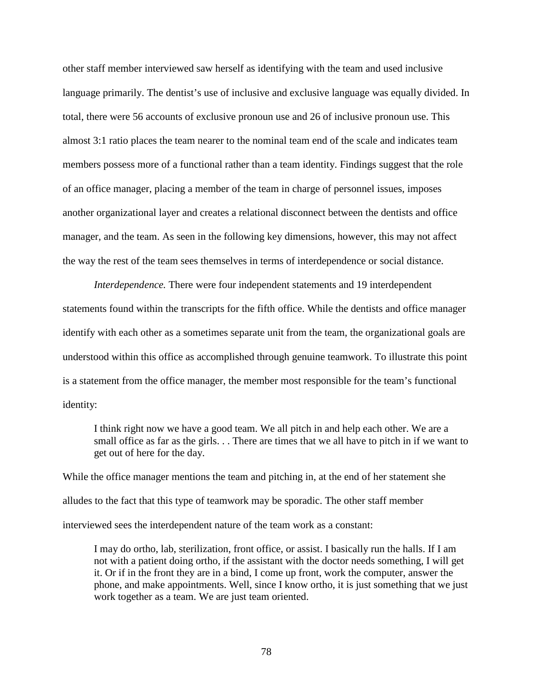other staff member interviewed saw herself as identifying with the team and used inclusive language primarily. The dentist's use of inclusive and exclusive language was equally divided. In total, there were 56 accounts of exclusive pronoun use and 26 of inclusive pronoun use. This almost 3:1 ratio places the team nearer to the nominal team end of the scale and indicates team members possess more of a functional rather than a team identity. Findings suggest that the role of an office manager, placing a member of the team in charge of personnel issues, imposes another organizational layer and creates a relational disconnect between the dentists and office manager, and the team. As seen in the following key dimensions, however, this may not affect the way the rest of the team sees themselves in terms of interdependence or social distance.

*Interdependence.* There were four independent statements and 19 interdependent statements found within the transcripts for the fifth office. While the dentists and office manager identify with each other as a sometimes separate unit from the team, the organizational goals are understood within this office as accomplished through genuine teamwork. To illustrate this point is a statement from the office manager, the member most responsible for the team's functional identity:

I think right now we have a good team. We all pitch in and help each other. We are a small office as far as the girls. . . There are times that we all have to pitch in if we want to get out of here for the day.

While the office manager mentions the team and pitching in, at the end of her statement she alludes to the fact that this type of teamwork may be sporadic. The other staff member interviewed sees the interdependent nature of the team work as a constant:

I may do ortho, lab, sterilization, front office, or assist. I basically run the halls. If I am not with a patient doing ortho, if the assistant with the doctor needs something, I will get it. Or if in the front they are in a bind, I come up front, work the computer, answer the phone, and make appointments. Well, since I know ortho, it is just something that we just work together as a team. We are just team oriented.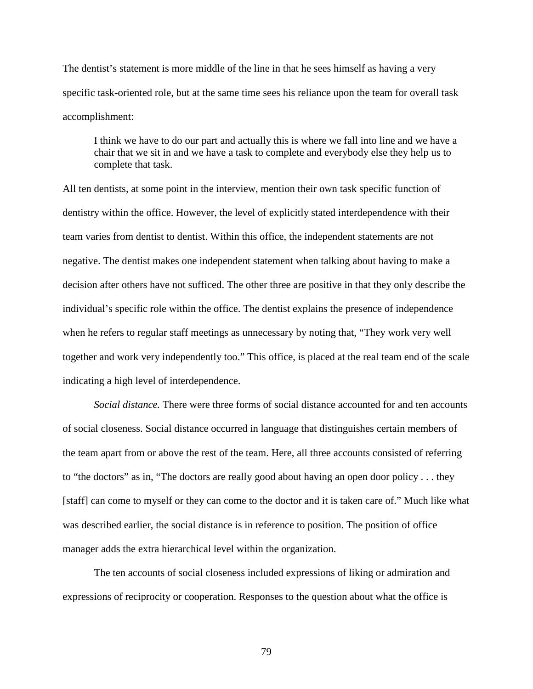The dentist's statement is more middle of the line in that he sees himself as having a very specific task-oriented role, but at the same time sees his reliance upon the team for overall task accomplishment:

I think we have to do our part and actually this is where we fall into line and we have a chair that we sit in and we have a task to complete and everybody else they help us to complete that task.

All ten dentists, at some point in the interview, mention their own task specific function of dentistry within the office. However, the level of explicitly stated interdependence with their team varies from dentist to dentist. Within this office, the independent statements are not negative. The dentist makes one independent statement when talking about having to make a decision after others have not sufficed. The other three are positive in that they only describe the individual's specific role within the office. The dentist explains the presence of independence when he refers to regular staff meetings as unnecessary by noting that, "They work very well together and work very independently too." This office, is placed at the real team end of the scale indicating a high level of interdependence.

*Social distance.* There were three forms of social distance accounted for and ten accounts of social closeness. Social distance occurred in language that distinguishes certain members of the team apart from or above the rest of the team. Here, all three accounts consisted of referring to "the doctors" as in, "The doctors are really good about having an open door policy . . . they [staff] can come to myself or they can come to the doctor and it is taken care of." Much like what was described earlier, the social distance is in reference to position. The position of office manager adds the extra hierarchical level within the organization.

 The ten accounts of social closeness included expressions of liking or admiration and expressions of reciprocity or cooperation. Responses to the question about what the office is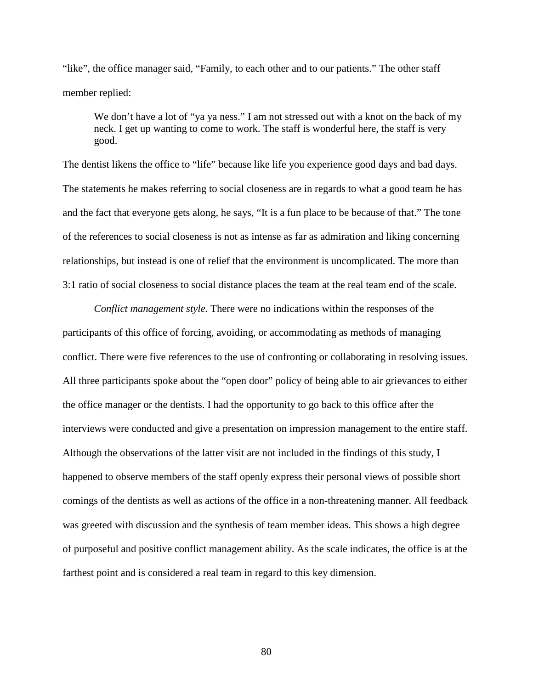"like", the office manager said, "Family, to each other and to our patients." The other staff member replied:

We don't have a lot of "ya ya ness." I am not stressed out with a knot on the back of my neck. I get up wanting to come to work. The staff is wonderful here, the staff is very good.

The dentist likens the office to "life" because like life you experience good days and bad days. The statements he makes referring to social closeness are in regards to what a good team he has and the fact that everyone gets along, he says, "It is a fun place to be because of that." The tone of the references to social closeness is not as intense as far as admiration and liking concerning relationships, but instead is one of relief that the environment is uncomplicated. The more than 3:1 ratio of social closeness to social distance places the team at the real team end of the scale.

*Conflict management style.* There were no indications within the responses of the participants of this office of forcing, avoiding, or accommodating as methods of managing conflict. There were five references to the use of confronting or collaborating in resolving issues. All three participants spoke about the "open door" policy of being able to air grievances to either the office manager or the dentists. I had the opportunity to go back to this office after the interviews were conducted and give a presentation on impression management to the entire staff. Although the observations of the latter visit are not included in the findings of this study, I happened to observe members of the staff openly express their personal views of possible short comings of the dentists as well as actions of the office in a non-threatening manner. All feedback was greeted with discussion and the synthesis of team member ideas. This shows a high degree of purposeful and positive conflict management ability. As the scale indicates, the office is at the farthest point and is considered a real team in regard to this key dimension.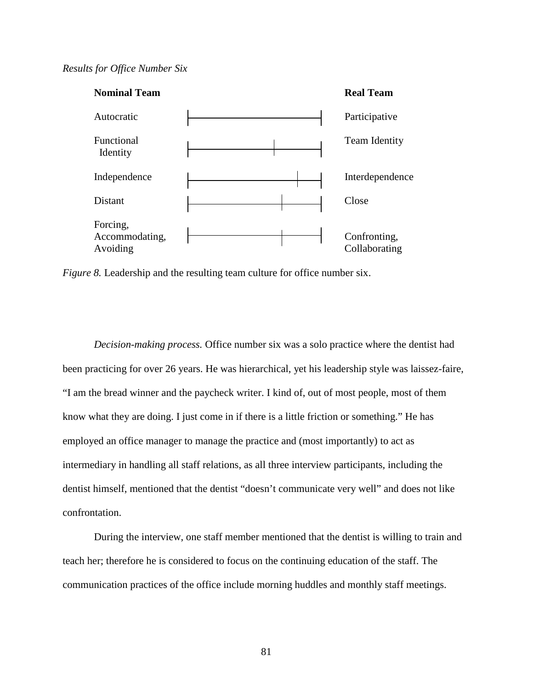## *Results for Office Number Six*



*Figure 8.* Leadership and the resulting team culture for office number six.

*Decision-making process.* Office number six was a solo practice where the dentist had been practicing for over 26 years. He was hierarchical, yet his leadership style was laissez-faire, "I am the bread winner and the paycheck writer. I kind of, out of most people, most of them know what they are doing. I just come in if there is a little friction or something." He has employed an office manager to manage the practice and (most importantly) to act as intermediary in handling all staff relations, as all three interview participants, including the dentist himself, mentioned that the dentist "doesn't communicate very well" and does not like confrontation.

During the interview, one staff member mentioned that the dentist is willing to train and teach her; therefore he is considered to focus on the continuing education of the staff. The communication practices of the office include morning huddles and monthly staff meetings.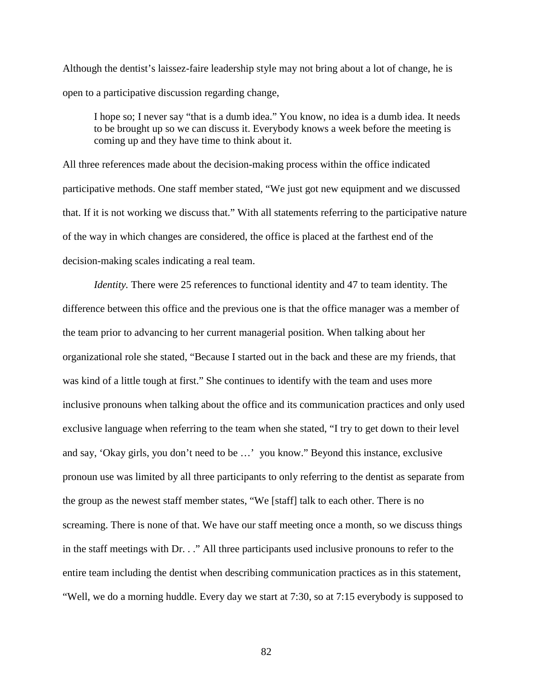Although the dentist's laissez-faire leadership style may not bring about a lot of change, he is open to a participative discussion regarding change,

I hope so; I never say "that is a dumb idea." You know, no idea is a dumb idea. It needs to be brought up so we can discuss it. Everybody knows a week before the meeting is coming up and they have time to think about it.

All three references made about the decision-making process within the office indicated participative methods. One staff member stated, "We just got new equipment and we discussed that. If it is not working we discuss that." With all statements referring to the participative nature of the way in which changes are considered, the office is placed at the farthest end of the decision-making scales indicating a real team.

*Identity*. There were 25 references to functional identity and 47 to team identity. The difference between this office and the previous one is that the office manager was a member of the team prior to advancing to her current managerial position. When talking about her organizational role she stated, "Because I started out in the back and these are my friends, that was kind of a little tough at first." She continues to identify with the team and uses more inclusive pronouns when talking about the office and its communication practices and only used exclusive language when referring to the team when she stated, "I try to get down to their level and say, 'Okay girls, you don't need to be …' you know." Beyond this instance, exclusive pronoun use was limited by all three participants to only referring to the dentist as separate from the group as the newest staff member states, "We [staff] talk to each other. There is no screaming. There is none of that. We have our staff meeting once a month, so we discuss things in the staff meetings with Dr. . ." All three participants used inclusive pronouns to refer to the entire team including the dentist when describing communication practices as in this statement, "Well, we do a morning huddle. Every day we start at 7:30, so at 7:15 everybody is supposed to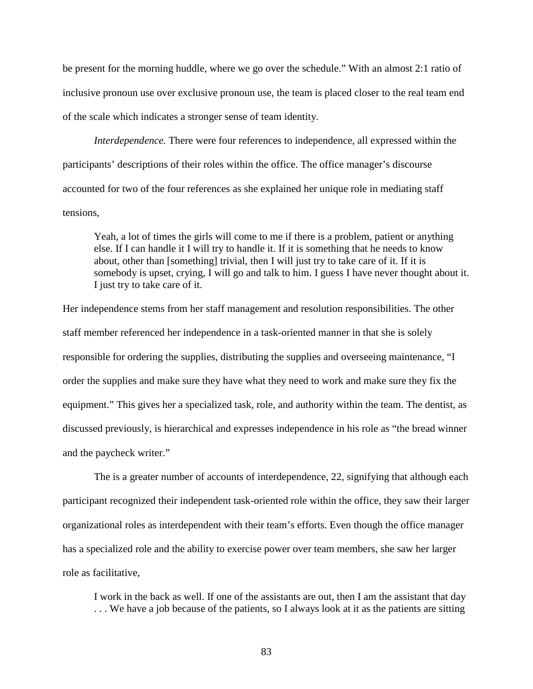be present for the morning huddle, where we go over the schedule." With an almost 2:1 ratio of inclusive pronoun use over exclusive pronoun use, the team is placed closer to the real team end of the scale which indicates a stronger sense of team identity.

*Interdependence.* There were four references to independence, all expressed within the participants' descriptions of their roles within the office. The office manager's discourse accounted for two of the four references as she explained her unique role in mediating staff tensions,

Yeah, a lot of times the girls will come to me if there is a problem, patient or anything else. If I can handle it I will try to handle it. If it is something that he needs to know about, other than [something] trivial, then I will just try to take care of it. If it is somebody is upset, crying, I will go and talk to him. I guess I have never thought about it. I just try to take care of it.

Her independence stems from her staff management and resolution responsibilities. The other staff member referenced her independence in a task-oriented manner in that she is solely responsible for ordering the supplies, distributing the supplies and overseeing maintenance, "I order the supplies and make sure they have what they need to work and make sure they fix the equipment." This gives her a specialized task, role, and authority within the team. The dentist, as discussed previously, is hierarchical and expresses independence in his role as "the bread winner and the paycheck writer."

 The is a greater number of accounts of interdependence, 22, signifying that although each participant recognized their independent task-oriented role within the office, they saw their larger organizational roles as interdependent with their team's efforts. Even though the office manager has a specialized role and the ability to exercise power over team members, she saw her larger role as facilitative,

I work in the back as well. If one of the assistants are out, then I am the assistant that day . . . We have a job because of the patients, so I always look at it as the patients are sitting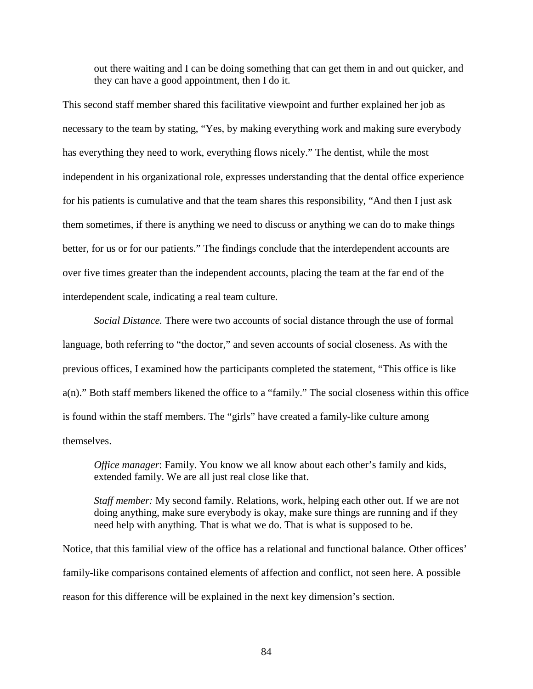out there waiting and I can be doing something that can get them in and out quicker, and they can have a good appointment, then I do it.

This second staff member shared this facilitative viewpoint and further explained her job as necessary to the team by stating, "Yes, by making everything work and making sure everybody has everything they need to work, everything flows nicely." The dentist, while the most independent in his organizational role, expresses understanding that the dental office experience for his patients is cumulative and that the team shares this responsibility, "And then I just ask them sometimes, if there is anything we need to discuss or anything we can do to make things better, for us or for our patients." The findings conclude that the interdependent accounts are over five times greater than the independent accounts, placing the team at the far end of the interdependent scale, indicating a real team culture.

*Social Distance.* There were two accounts of social distance through the use of formal language, both referring to "the doctor," and seven accounts of social closeness. As with the previous offices, I examined how the participants completed the statement, "This office is like a(n)." Both staff members likened the office to a "family." The social closeness within this office is found within the staff members. The "girls" have created a family-like culture among themselves.

*Office manager*: Family. You know we all know about each other's family and kids, extended family. We are all just real close like that.

*Staff member:* My second family. Relations, work, helping each other out. If we are not doing anything, make sure everybody is okay, make sure things are running and if they need help with anything. That is what we do. That is what is supposed to be.

Notice, that this familial view of the office has a relational and functional balance. Other offices' family-like comparisons contained elements of affection and conflict, not seen here. A possible reason for this difference will be explained in the next key dimension's section.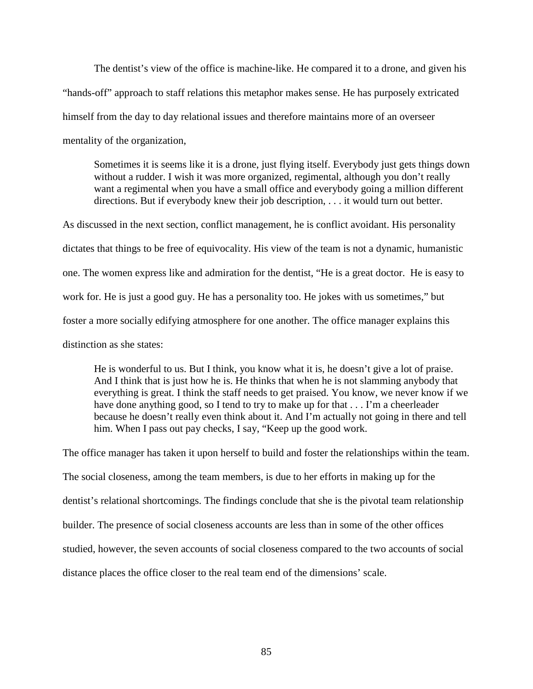The dentist's view of the office is machine-like. He compared it to a drone, and given his "hands-off" approach to staff relations this metaphor makes sense. He has purposely extricated himself from the day to day relational issues and therefore maintains more of an overseer mentality of the organization,

Sometimes it is seems like it is a drone, just flying itself. Everybody just gets things down without a rudder. I wish it was more organized, regimental, although you don't really want a regimental when you have a small office and everybody going a million different directions. But if everybody knew their job description, . . . it would turn out better.

As discussed in the next section, conflict management, he is conflict avoidant. His personality dictates that things to be free of equivocality. His view of the team is not a dynamic, humanistic one. The women express like and admiration for the dentist, "He is a great doctor. He is easy to work for. He is just a good guy. He has a personality too. He jokes with us sometimes," but foster a more socially edifying atmosphere for one another. The office manager explains this distinction as she states:

He is wonderful to us. But I think, you know what it is, he doesn't give a lot of praise. And I think that is just how he is. He thinks that when he is not slamming anybody that everything is great. I think the staff needs to get praised. You know, we never know if we have done anything good, so I tend to try to make up for that . . . I'm a cheerleader because he doesn't really even think about it. And I'm actually not going in there and tell him. When I pass out pay checks, I say, "Keep up the good work.

The office manager has taken it upon herself to build and foster the relationships within the team. The social closeness, among the team members, is due to her efforts in making up for the dentist's relational shortcomings. The findings conclude that she is the pivotal team relationship builder. The presence of social closeness accounts are less than in some of the other offices studied, however, the seven accounts of social closeness compared to the two accounts of social distance places the office closer to the real team end of the dimensions' scale.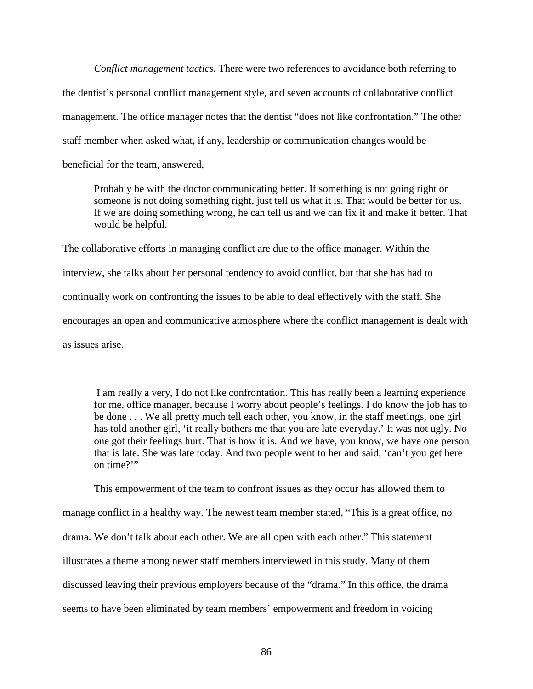*Conflict management tactics.* There were two references to avoidance both referring to the dentist's personal conflict management style, and seven accounts of collaborative conflict management. The office manager notes that the dentist "does not like confrontation." The other staff member when asked what, if any, leadership or communication changes would be beneficial for the team, answered,

Probably be with the doctor communicating better. If something is not going right or someone is not doing something right, just tell us what it is. That would be better for us. If we are doing something wrong, he can tell us and we can fix it and make it better. That would be helpful.

The collaborative efforts in managing conflict are due to the office manager. Within the interview, she talks about her personal tendency to avoid conflict, but that she has had to continually work on confronting the issues to be able to deal effectively with the staff. She encourages an open and communicative atmosphere where the conflict management is dealt with as issues arise.

I am really a very, I do not like confrontation. This has really been a learning experience for me, office manager, because I worry about people's feelings. I do know the job has to be done . . . We all pretty much tell each other, you know, in the staff meetings, one girl has told another girl, 'it really bothers me that you are late everyday.' It was not ugly. No one got their feelings hurt. That is how it is. And we have, you know, we have one person that is late. She was late today. And two people went to her and said, 'can't you get here on time?"

This empowerment of the team to confront issues as they occur has allowed them to manage conflict in a healthy way. The newest team member stated, "This is a great office, no drama. We don't talk about each other. We are all open with each other." This statement illustrates a theme among newer staff members interviewed in this study. Many of them discussed leaving their previous employers because of the "drama." In this office, the drama seems to have been eliminated by team members' empowerment and freedom in voicing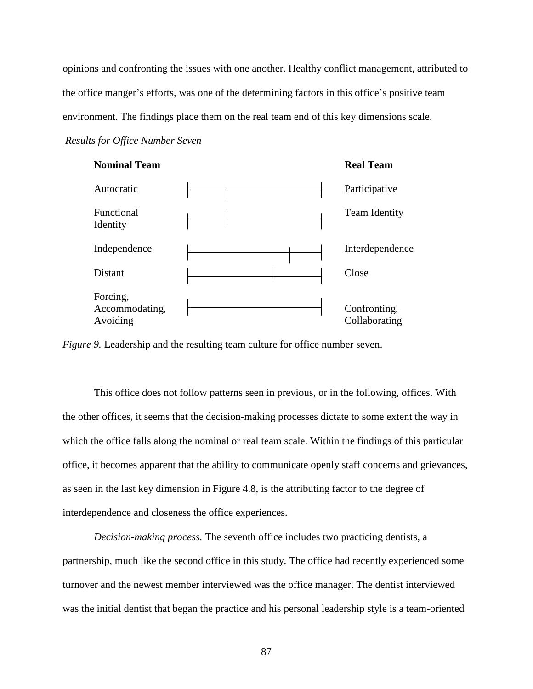opinions and confronting the issues with one another. Healthy conflict management, attributed to the office manger's efforts, was one of the determining factors in this office's positive team environment. The findings place them on the real team end of this key dimensions scale.

*Results for Office Number Seven* 



*Figure 9.* Leadership and the resulting team culture for office number seven.

 This office does not follow patterns seen in previous, or in the following, offices. With the other offices, it seems that the decision-making processes dictate to some extent the way in which the office falls along the nominal or real team scale. Within the findings of this particular office, it becomes apparent that the ability to communicate openly staff concerns and grievances, as seen in the last key dimension in Figure 4.8, is the attributing factor to the degree of interdependence and closeness the office experiences.

*Decision-making process.* The seventh office includes two practicing dentists, a partnership, much like the second office in this study. The office had recently experienced some turnover and the newest member interviewed was the office manager. The dentist interviewed was the initial dentist that began the practice and his personal leadership style is a team-oriented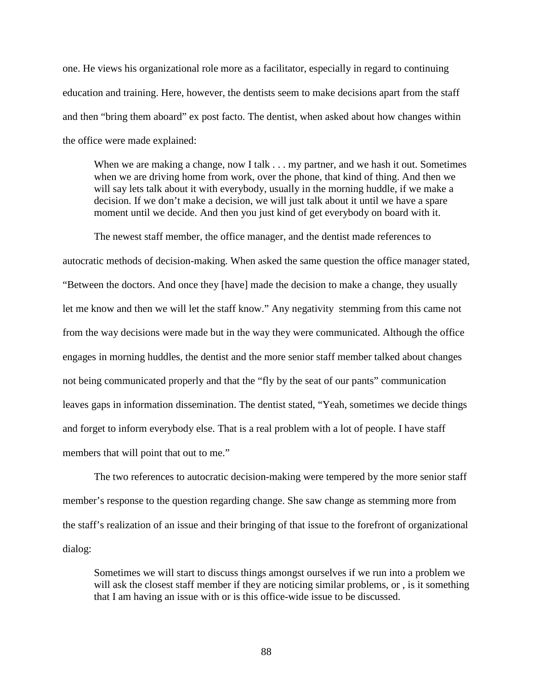one. He views his organizational role more as a facilitator, especially in regard to continuing education and training. Here, however, the dentists seem to make decisions apart from the staff and then "bring them aboard" ex post facto. The dentist, when asked about how changes within the office were made explained:

When we are making a change, now I talk . . . my partner, and we hash it out. Sometimes when we are driving home from work, over the phone, that kind of thing. And then we will say lets talk about it with everybody, usually in the morning huddle, if we make a decision. If we don't make a decision, we will just talk about it until we have a spare moment until we decide. And then you just kind of get everybody on board with it.

The newest staff member, the office manager, and the dentist made references to autocratic methods of decision-making. When asked the same question the office manager stated, "Between the doctors. And once they [have] made the decision to make a change, they usually let me know and then we will let the staff know." Any negativity stemming from this came not from the way decisions were made but in the way they were communicated. Although the office engages in morning huddles, the dentist and the more senior staff member talked about changes not being communicated properly and that the "fly by the seat of our pants" communication leaves gaps in information dissemination. The dentist stated, "Yeah, sometimes we decide things and forget to inform everybody else. That is a real problem with a lot of people. I have staff members that will point that out to me."

 The two references to autocratic decision-making were tempered by the more senior staff member's response to the question regarding change. She saw change as stemming more from the staff's realization of an issue and their bringing of that issue to the forefront of organizational dialog:

Sometimes we will start to discuss things amongst ourselves if we run into a problem we will ask the closest staff member if they are noticing similar problems, or, is it something that I am having an issue with or is this office-wide issue to be discussed.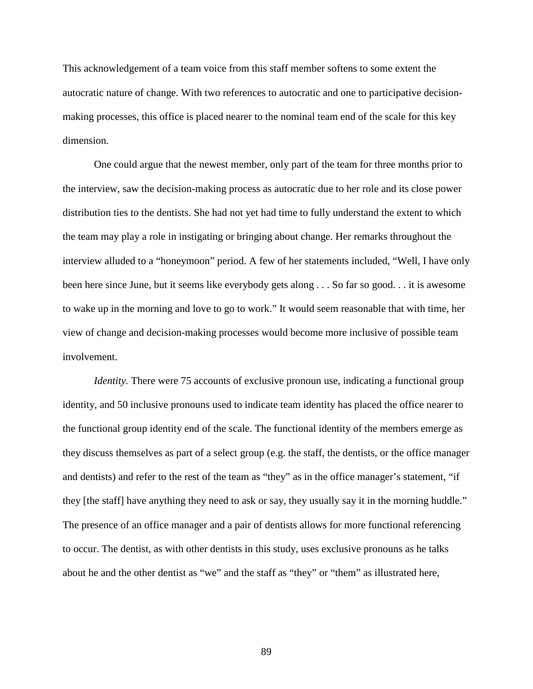This acknowledgement of a team voice from this staff member softens to some extent the autocratic nature of change. With two references to autocratic and one to participative decisionmaking processes, this office is placed nearer to the nominal team end of the scale for this key dimension.

One could argue that the newest member, only part of the team for three months prior to the interview, saw the decision-making process as autocratic due to her role and its close power distribution ties to the dentists. She had not yet had time to fully understand the extent to which the team may play a role in instigating or bringing about change. Her remarks throughout the interview alluded to a "honeymoon" period. A few of her statements included, "Well, I have only been here since June, but it seems like everybody gets along . . . So far so good. . . it is awesome to wake up in the morning and love to go to work." It would seem reasonable that with time, her view of change and decision-making processes would become more inclusive of possible team involvement.

*Identity.* There were 75 accounts of exclusive pronoun use, indicating a functional group identity, and 50 inclusive pronouns used to indicate team identity has placed the office nearer to the functional group identity end of the scale. The functional identity of the members emerge as they discuss themselves as part of a select group (e.g. the staff, the dentists, or the office manager and dentists) and refer to the rest of the team as "they" as in the office manager's statement, "if they [the staff] have anything they need to ask or say, they usually say it in the morning huddle." The presence of an office manager and a pair of dentists allows for more functional referencing to occur. The dentist, as with other dentists in this study, uses exclusive pronouns as he talks about he and the other dentist as "we" and the staff as "they" or "them" as illustrated here,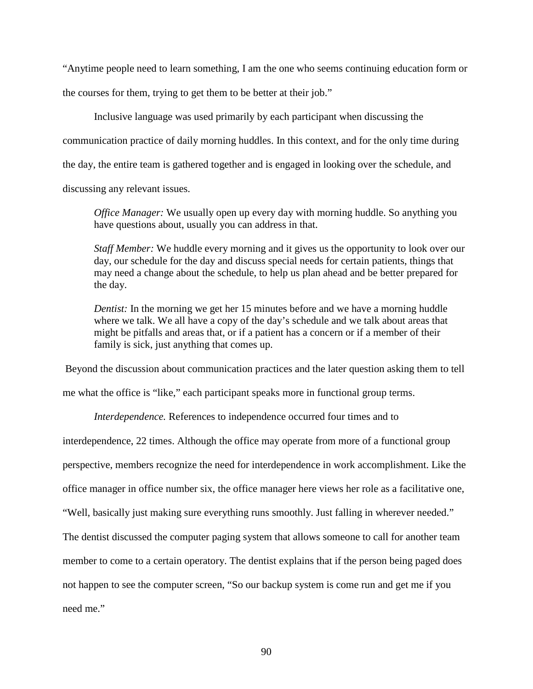"Anytime people need to learn something, I am the one who seems continuing education form or

the courses for them, trying to get them to be better at their job."

 Inclusive language was used primarily by each participant when discussing the communication practice of daily morning huddles. In this context, and for the only time during the day, the entire team is gathered together and is engaged in looking over the schedule, and discussing any relevant issues.

*Office Manager:* We usually open up every day with morning huddle. So anything you have questions about, usually you can address in that.

*Staff Member:* We huddle every morning and it gives us the opportunity to look over our day, our schedule for the day and discuss special needs for certain patients, things that may need a change about the schedule, to help us plan ahead and be better prepared for the day.

*Dentist:* In the morning we get her 15 minutes before and we have a morning huddle where we talk. We all have a copy of the day's schedule and we talk about areas that might be pitfalls and areas that, or if a patient has a concern or if a member of their family is sick, just anything that comes up.

Beyond the discussion about communication practices and the later question asking them to tell

me what the office is "like," each participant speaks more in functional group terms.

*Interdependence.* References to independence occurred four times and to

interdependence, 22 times. Although the office may operate from more of a functional group

perspective, members recognize the need for interdependence in work accomplishment. Like the

office manager in office number six, the office manager here views her role as a facilitative one,

"Well, basically just making sure everything runs smoothly. Just falling in wherever needed."

The dentist discussed the computer paging system that allows someone to call for another team

member to come to a certain operatory. The dentist explains that if the person being paged does

not happen to see the computer screen, "So our backup system is come run and get me if you

need me."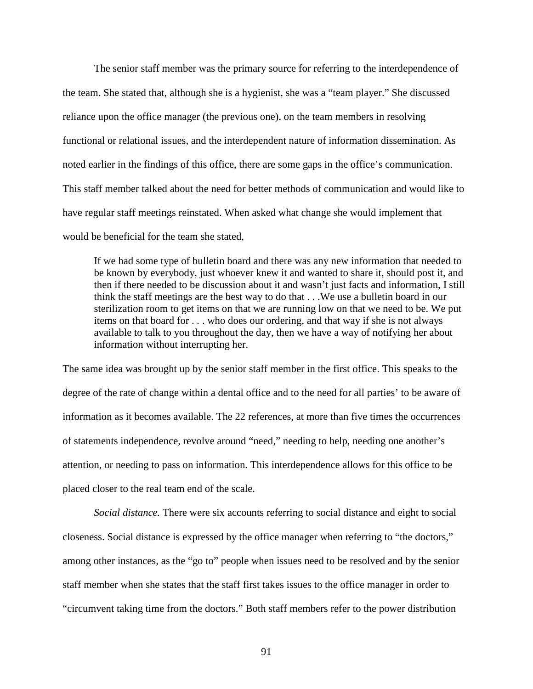The senior staff member was the primary source for referring to the interdependence of the team. She stated that, although she is a hygienist, she was a "team player." She discussed reliance upon the office manager (the previous one), on the team members in resolving functional or relational issues, and the interdependent nature of information dissemination. As noted earlier in the findings of this office, there are some gaps in the office's communication. This staff member talked about the need for better methods of communication and would like to have regular staff meetings reinstated. When asked what change she would implement that would be beneficial for the team she stated,

If we had some type of bulletin board and there was any new information that needed to be known by everybody, just whoever knew it and wanted to share it, should post it, and then if there needed to be discussion about it and wasn't just facts and information, I still think the staff meetings are the best way to do that . . .We use a bulletin board in our sterilization room to get items on that we are running low on that we need to be. We put items on that board for . . . who does our ordering, and that way if she is not always available to talk to you throughout the day, then we have a way of notifying her about information without interrupting her.

The same idea was brought up by the senior staff member in the first office. This speaks to the degree of the rate of change within a dental office and to the need for all parties' to be aware of information as it becomes available. The 22 references, at more than five times the occurrences of statements independence, revolve around "need," needing to help, needing one another's attention, or needing to pass on information. This interdependence allows for this office to be placed closer to the real team end of the scale.

*Social distance.* There were six accounts referring to social distance and eight to social closeness. Social distance is expressed by the office manager when referring to "the doctors," among other instances, as the "go to" people when issues need to be resolved and by the senior staff member when she states that the staff first takes issues to the office manager in order to "circumvent taking time from the doctors." Both staff members refer to the power distribution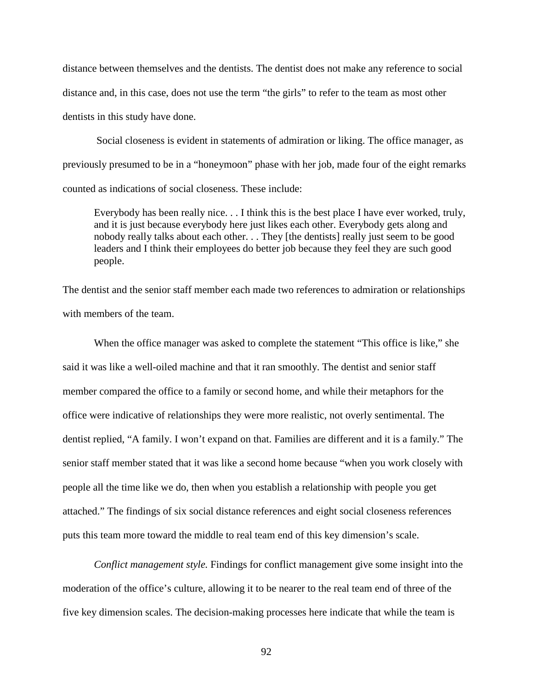distance between themselves and the dentists. The dentist does not make any reference to social distance and, in this case, does not use the term "the girls" to refer to the team as most other dentists in this study have done.

 Social closeness is evident in statements of admiration or liking. The office manager, as previously presumed to be in a "honeymoon" phase with her job, made four of the eight remarks counted as indications of social closeness. These include:

Everybody has been really nice. . . I think this is the best place I have ever worked, truly, and it is just because everybody here just likes each other. Everybody gets along and nobody really talks about each other. . . They [the dentists] really just seem to be good leaders and I think their employees do better job because they feel they are such good people.

The dentist and the senior staff member each made two references to admiration or relationships with members of the team.

When the office manager was asked to complete the statement "This office is like," she said it was like a well-oiled machine and that it ran smoothly. The dentist and senior staff member compared the office to a family or second home, and while their metaphors for the office were indicative of relationships they were more realistic, not overly sentimental. The dentist replied, "A family. I won't expand on that. Families are different and it is a family." The senior staff member stated that it was like a second home because "when you work closely with people all the time like we do, then when you establish a relationship with people you get attached." The findings of six social distance references and eight social closeness references puts this team more toward the middle to real team end of this key dimension's scale.

 *Conflict management style.* Findings for conflict management give some insight into the moderation of the office's culture, allowing it to be nearer to the real team end of three of the five key dimension scales. The decision-making processes here indicate that while the team is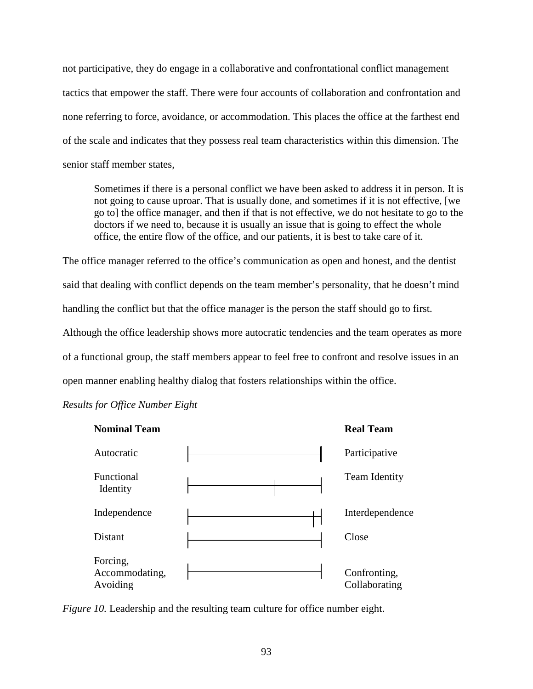not participative, they do engage in a collaborative and confrontational conflict management tactics that empower the staff. There were four accounts of collaboration and confrontation and none referring to force, avoidance, or accommodation. This places the office at the farthest end of the scale and indicates that they possess real team characteristics within this dimension. The senior staff member states,

Sometimes if there is a personal conflict we have been asked to address it in person. It is not going to cause uproar. That is usually done, and sometimes if it is not effective, [we go to] the office manager, and then if that is not effective, we do not hesitate to go to the doctors if we need to, because it is usually an issue that is going to effect the whole office, the entire flow of the office, and our patients, it is best to take care of it.

The office manager referred to the office's communication as open and honest, and the dentist said that dealing with conflict depends on the team member's personality, that he doesn't mind handling the conflict but that the office manager is the person the staff should go to first. Although the office leadership shows more autocratic tendencies and the team operates as more of a functional group, the staff members appear to feel free to confront and resolve issues in an open manner enabling healthy dialog that fosters relationships within the office.

*Results for Office Number Eight* 



*Figure 10.* Leadership and the resulting team culture for office number eight.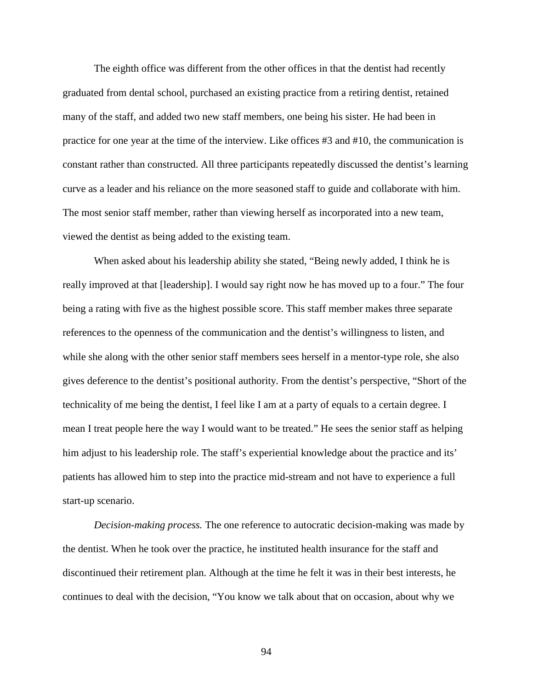The eighth office was different from the other offices in that the dentist had recently graduated from dental school, purchased an existing practice from a retiring dentist, retained many of the staff, and added two new staff members, one being his sister. He had been in practice for one year at the time of the interview. Like offices #3 and #10, the communication is constant rather than constructed. All three participants repeatedly discussed the dentist's learning curve as a leader and his reliance on the more seasoned staff to guide and collaborate with him. The most senior staff member, rather than viewing herself as incorporated into a new team, viewed the dentist as being added to the existing team.

When asked about his leadership ability she stated, "Being newly added, I think he is really improved at that [leadership]. I would say right now he has moved up to a four." The four being a rating with five as the highest possible score. This staff member makes three separate references to the openness of the communication and the dentist's willingness to listen, and while she along with the other senior staff members sees herself in a mentor-type role, she also gives deference to the dentist's positional authority. From the dentist's perspective, "Short of the technicality of me being the dentist, I feel like I am at a party of equals to a certain degree. I mean I treat people here the way I would want to be treated." He sees the senior staff as helping him adjust to his leadership role. The staff's experiential knowledge about the practice and its' patients has allowed him to step into the practice mid-stream and not have to experience a full start-up scenario.

*Decision-making process.* The one reference to autocratic decision-making was made by the dentist. When he took over the practice, he instituted health insurance for the staff and discontinued their retirement plan. Although at the time he felt it was in their best interests, he continues to deal with the decision, "You know we talk about that on occasion, about why we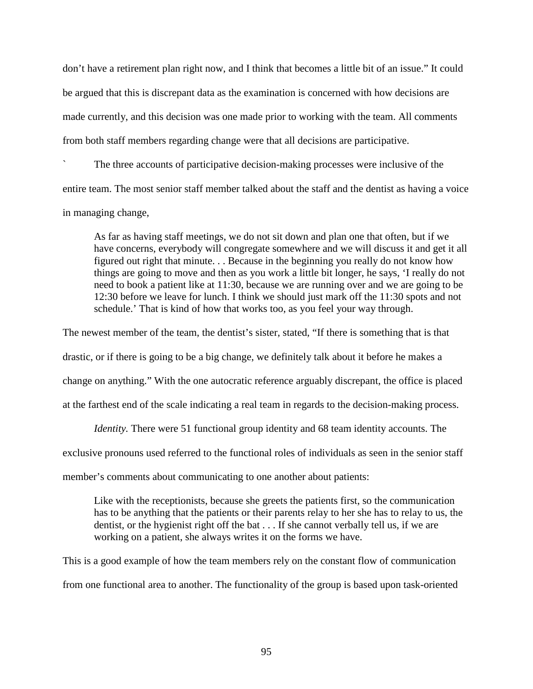don't have a retirement plan right now, and I think that becomes a little bit of an issue." It could be argued that this is discrepant data as the examination is concerned with how decisions are made currently, and this decision was one made prior to working with the team. All comments from both staff members regarding change were that all decisions are participative.

` The three accounts of participative decision-making processes were inclusive of the entire team. The most senior staff member talked about the staff and the dentist as having a voice in managing change,

As far as having staff meetings, we do not sit down and plan one that often, but if we have concerns, everybody will congregate somewhere and we will discuss it and get it all figured out right that minute. . . Because in the beginning you really do not know how things are going to move and then as you work a little bit longer, he says, 'I really do not need to book a patient like at 11:30, because we are running over and we are going to be 12:30 before we leave for lunch. I think we should just mark off the 11:30 spots and not schedule.' That is kind of how that works too, as you feel your way through.

The newest member of the team, the dentist's sister, stated, "If there is something that is that

drastic, or if there is going to be a big change, we definitely talk about it before he makes a

change on anything." With the one autocratic reference arguably discrepant, the office is placed

at the farthest end of the scale indicating a real team in regards to the decision-making process.

*Identity*. There were 51 functional group identity and 68 team identity accounts. The

exclusive pronouns used referred to the functional roles of individuals as seen in the senior staff

member's comments about communicating to one another about patients:

Like with the receptionists, because she greets the patients first, so the communication has to be anything that the patients or their parents relay to her she has to relay to us, the dentist, or the hygienist right off the bat . . . If she cannot verbally tell us, if we are working on a patient, she always writes it on the forms we have.

This is a good example of how the team members rely on the constant flow of communication from one functional area to another. The functionality of the group is based upon task-oriented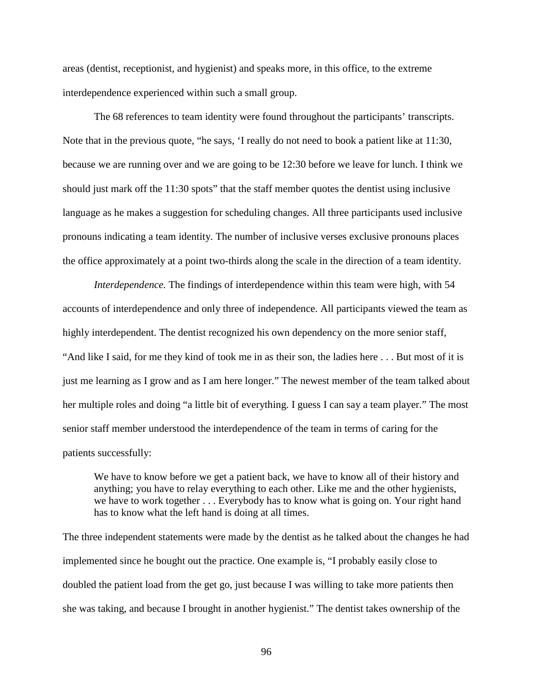areas (dentist, receptionist, and hygienist) and speaks more, in this office, to the extreme interdependence experienced within such a small group.

 The 68 references to team identity were found throughout the participants' transcripts. Note that in the previous quote, "he says, 'I really do not need to book a patient like at 11:30, because we are running over and we are going to be 12:30 before we leave for lunch. I think we should just mark off the 11:30 spots" that the staff member quotes the dentist using inclusive language as he makes a suggestion for scheduling changes. All three participants used inclusive pronouns indicating a team identity. The number of inclusive verses exclusive pronouns places the office approximately at a point two-thirds along the scale in the direction of a team identity.

*Interdependence*. The findings of interdependence within this team were high, with 54 accounts of interdependence and only three of independence. All participants viewed the team as highly interdependent. The dentist recognized his own dependency on the more senior staff, "And like I said, for me they kind of took me in as their son, the ladies here . . . But most of it is just me learning as I grow and as I am here longer." The newest member of the team talked about her multiple roles and doing "a little bit of everything. I guess I can say a team player." The most senior staff member understood the interdependence of the team in terms of caring for the patients successfully:

We have to know before we get a patient back, we have to know all of their history and anything; you have to relay everything to each other. Like me and the other hygienists, we have to work together . . . Everybody has to know what is going on. Your right hand has to know what the left hand is doing at all times.

The three independent statements were made by the dentist as he talked about the changes he had implemented since he bought out the practice. One example is, "I probably easily close to doubled the patient load from the get go, just because I was willing to take more patients then she was taking, and because I brought in another hygienist." The dentist takes ownership of the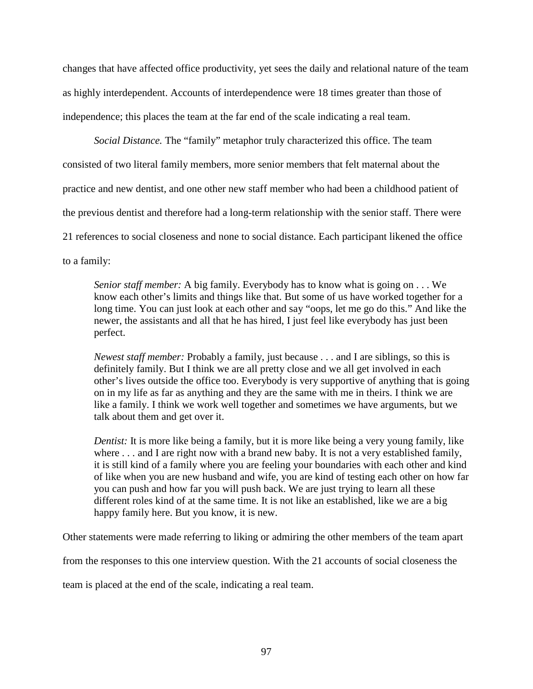changes that have affected office productivity, yet sees the daily and relational nature of the team as highly interdependent. Accounts of interdependence were 18 times greater than those of independence; this places the team at the far end of the scale indicating a real team.

*Social Distance.* The "family" metaphor truly characterized this office. The team consisted of two literal family members, more senior members that felt maternal about the practice and new dentist, and one other new staff member who had been a childhood patient of the previous dentist and therefore had a long-term relationship with the senior staff. There were 21 references to social closeness and none to social distance. Each participant likened the office to a family:

*Senior staff member:* A big family. Everybody has to know what is going on . . . We know each other's limits and things like that. But some of us have worked together for a long time. You can just look at each other and say "oops, let me go do this." And like the newer, the assistants and all that he has hired, I just feel like everybody has just been perfect.

*Newest staff member:* Probably a family, just because . . . and I are siblings, so this is definitely family. But I think we are all pretty close and we all get involved in each other's lives outside the office too. Everybody is very supportive of anything that is going on in my life as far as anything and they are the same with me in theirs. I think we are like a family. I think we work well together and sometimes we have arguments, but we talk about them and get over it.

*Dentist:* It is more like being a family, but it is more like being a very young family, like where . . . and I are right now with a brand new baby. It is not a very established family, it is still kind of a family where you are feeling your boundaries with each other and kind of like when you are new husband and wife, you are kind of testing each other on how far you can push and how far you will push back. We are just trying to learn all these different roles kind of at the same time. It is not like an established, like we are a big happy family here. But you know, it is new.

Other statements were made referring to liking or admiring the other members of the team apart

from the responses to this one interview question. With the 21 accounts of social closeness the

team is placed at the end of the scale, indicating a real team.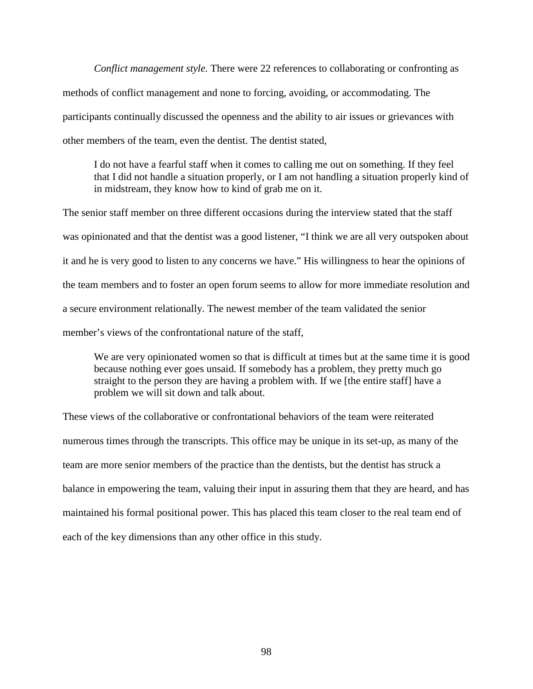*Conflict management style.* There were 22 references to collaborating or confronting as methods of conflict management and none to forcing, avoiding, or accommodating. The participants continually discussed the openness and the ability to air issues or grievances with other members of the team, even the dentist. The dentist stated,

I do not have a fearful staff when it comes to calling me out on something. If they feel that I did not handle a situation properly, or I am not handling a situation properly kind of in midstream, they know how to kind of grab me on it.

The senior staff member on three different occasions during the interview stated that the staff was opinionated and that the dentist was a good listener, "I think we are all very outspoken about it and he is very good to listen to any concerns we have." His willingness to hear the opinions of the team members and to foster an open forum seems to allow for more immediate resolution and a secure environment relationally. The newest member of the team validated the senior member's views of the confrontational nature of the staff,

We are very opinionated women so that is difficult at times but at the same time it is good because nothing ever goes unsaid. If somebody has a problem, they pretty much go straight to the person they are having a problem with. If we [the entire staff] have a problem we will sit down and talk about.

These views of the collaborative or confrontational behaviors of the team were reiterated numerous times through the transcripts. This office may be unique in its set-up, as many of the team are more senior members of the practice than the dentists, but the dentist has struck a balance in empowering the team, valuing their input in assuring them that they are heard, and has maintained his formal positional power. This has placed this team closer to the real team end of each of the key dimensions than any other office in this study.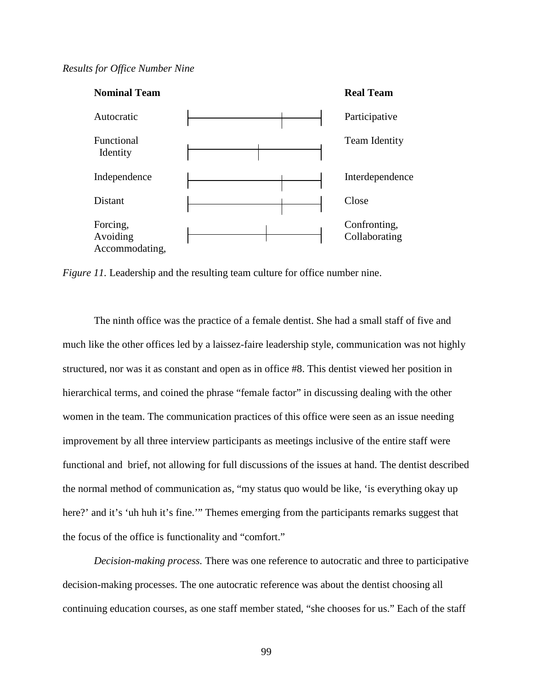## *Results for Office Number Nine*



*Figure 11.* Leadership and the resulting team culture for office number nine.

The ninth office was the practice of a female dentist. She had a small staff of five and much like the other offices led by a laissez-faire leadership style, communication was not highly structured, nor was it as constant and open as in office #8. This dentist viewed her position in hierarchical terms, and coined the phrase "female factor" in discussing dealing with the other women in the team. The communication practices of this office were seen as an issue needing improvement by all three interview participants as meetings inclusive of the entire staff were functional and brief, not allowing for full discussions of the issues at hand. The dentist described the normal method of communication as, "my status quo would be like, 'is everything okay up here?' and it's 'uh huh it's fine.'" Themes emerging from the participants remarks suggest that the focus of the office is functionality and "comfort."

*Decision-making process.* There was one reference to autocratic and three to participative decision-making processes. The one autocratic reference was about the dentist choosing all continuing education courses, as one staff member stated, "she chooses for us." Each of the staff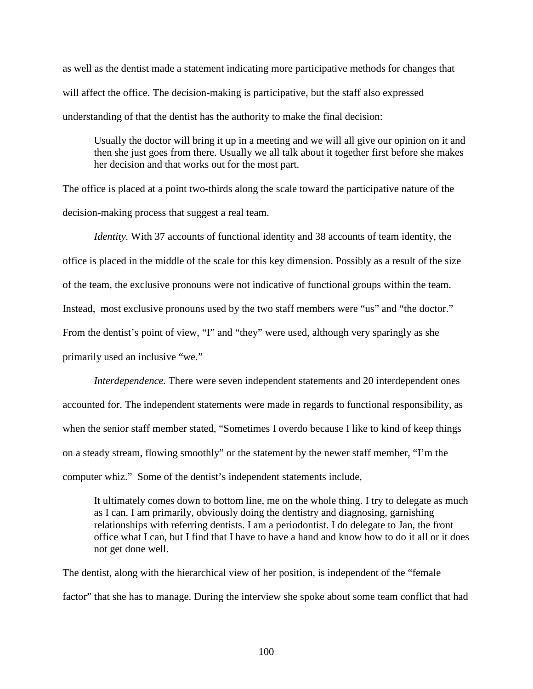as well as the dentist made a statement indicating more participative methods for changes that will affect the office. The decision-making is participative, but the staff also expressed understanding of that the dentist has the authority to make the final decision:

Usually the doctor will bring it up in a meeting and we will all give our opinion on it and then she just goes from there. Usually we all talk about it together first before she makes her decision and that works out for the most part.

The office is placed at a point two-thirds along the scale toward the participative nature of the decision-making process that suggest a real team.

*Identity*. With 37 accounts of functional identity and 38 accounts of team identity, the office is placed in the middle of the scale for this key dimension. Possibly as a result of the size of the team, the exclusive pronouns were not indicative of functional groups within the team. Instead, most exclusive pronouns used by the two staff members were "us" and "the doctor." From the dentist's point of view, "I" and "they" were used, although very sparingly as she primarily used an inclusive "we."

*Interdependence.* There were seven independent statements and 20 interdependent ones accounted for. The independent statements were made in regards to functional responsibility, as when the senior staff member stated, "Sometimes I overdo because I like to kind of keep things on a steady stream, flowing smoothly" or the statement by the newer staff member, "I'm the computer whiz." Some of the dentist's independent statements include,

It ultimately comes down to bottom line, me on the whole thing. I try to delegate as much as I can. I am primarily, obviously doing the dentistry and diagnosing, garnishing relationships with referring dentists. I am a periodontist. I do delegate to Jan, the front office what I can, but I find that I have to have a hand and know how to do it all or it does not get done well.

The dentist, along with the hierarchical view of her position, is independent of the "female factor" that she has to manage. During the interview she spoke about some team conflict that had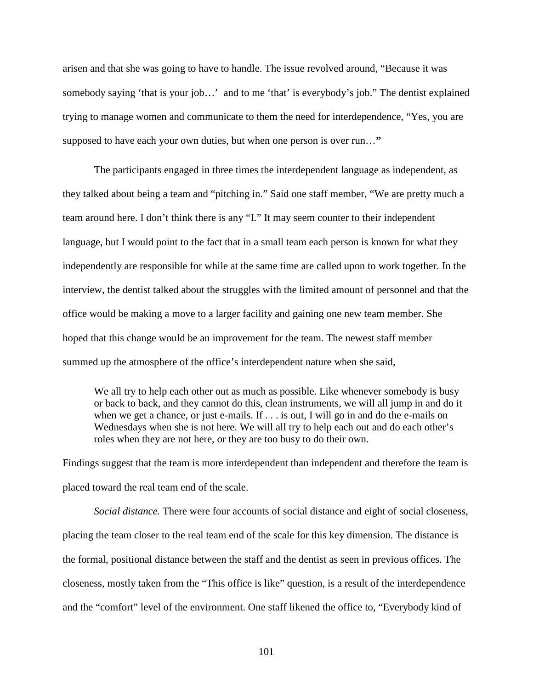arisen and that she was going to have to handle. The issue revolved around, "Because it was somebody saying 'that is your job...' and to me 'that' is everybody's job." The dentist explained trying to manage women and communicate to them the need for interdependence, "Yes, you are supposed to have each your own duties, but when one person is over run…**"**

The participants engaged in three times the interdependent language as independent, as they talked about being a team and "pitching in." Said one staff member, "We are pretty much a team around here. I don't think there is any "I." It may seem counter to their independent language, but I would point to the fact that in a small team each person is known for what they independently are responsible for while at the same time are called upon to work together. In the interview, the dentist talked about the struggles with the limited amount of personnel and that the office would be making a move to a larger facility and gaining one new team member. She hoped that this change would be an improvement for the team. The newest staff member summed up the atmosphere of the office's interdependent nature when she said,

We all try to help each other out as much as possible. Like whenever somebody is busy or back to back, and they cannot do this, clean instruments, we will all jump in and do it when we get a chance, or just e-mails. If . . . is out, I will go in and do the e-mails on Wednesdays when she is not here. We will all try to help each out and do each other's roles when they are not here, or they are too busy to do their own.

Findings suggest that the team is more interdependent than independent and therefore the team is placed toward the real team end of the scale.

*Social distance.* There were four accounts of social distance and eight of social closeness, placing the team closer to the real team end of the scale for this key dimension. The distance is the formal, positional distance between the staff and the dentist as seen in previous offices. The closeness, mostly taken from the "This office is like" question, is a result of the interdependence and the "comfort" level of the environment. One staff likened the office to, "Everybody kind of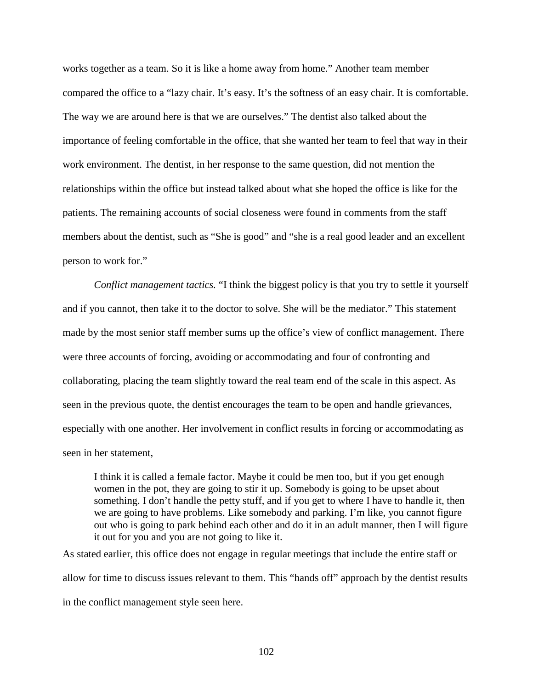works together as a team. So it is like a home away from home." Another team member compared the office to a "lazy chair. It's easy. It's the softness of an easy chair. It is comfortable. The way we are around here is that we are ourselves." The dentist also talked about the importance of feeling comfortable in the office, that she wanted her team to feel that way in their work environment. The dentist, in her response to the same question, did not mention the relationships within the office but instead talked about what she hoped the office is like for the patients. The remaining accounts of social closeness were found in comments from the staff members about the dentist, such as "She is good" and "she is a real good leader and an excellent person to work for."

*Conflict management tactics.* "I think the biggest policy is that you try to settle it yourself and if you cannot, then take it to the doctor to solve. She will be the mediator." This statement made by the most senior staff member sums up the office's view of conflict management. There were three accounts of forcing, avoiding or accommodating and four of confronting and collaborating, placing the team slightly toward the real team end of the scale in this aspect. As seen in the previous quote, the dentist encourages the team to be open and handle grievances, especially with one another. Her involvement in conflict results in forcing or accommodating as seen in her statement,

I think it is called a female factor. Maybe it could be men too, but if you get enough women in the pot, they are going to stir it up. Somebody is going to be upset about something. I don't handle the petty stuff, and if you get to where I have to handle it, then we are going to have problems. Like somebody and parking. I'm like, you cannot figure out who is going to park behind each other and do it in an adult manner, then I will figure it out for you and you are not going to like it.

As stated earlier, this office does not engage in regular meetings that include the entire staff or allow for time to discuss issues relevant to them. This "hands off" approach by the dentist results in the conflict management style seen here.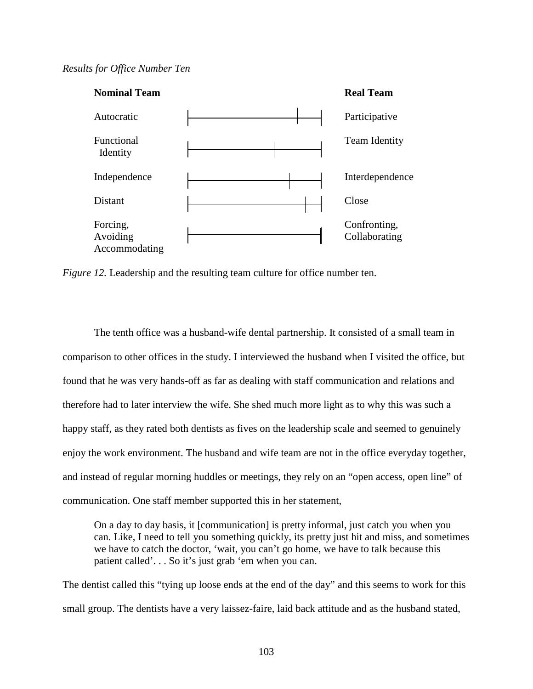## *Results for Office Number Ten*



*Figure 12.* Leadership and the resulting team culture for office number ten.

 The tenth office was a husband-wife dental partnership. It consisted of a small team in comparison to other offices in the study. I interviewed the husband when I visited the office, but found that he was very hands-off as far as dealing with staff communication and relations and therefore had to later interview the wife. She shed much more light as to why this was such a happy staff, as they rated both dentists as fives on the leadership scale and seemed to genuinely enjoy the work environment. The husband and wife team are not in the office everyday together, and instead of regular morning huddles or meetings, they rely on an "open access, open line" of communication. One staff member supported this in her statement,

On a day to day basis, it [communication] is pretty informal, just catch you when you can. Like, I need to tell you something quickly, its pretty just hit and miss, and sometimes we have to catch the doctor, 'wait, you can't go home, we have to talk because this patient called'. . . So it's just grab 'em when you can.

The dentist called this "tying up loose ends at the end of the day" and this seems to work for this small group. The dentists have a very laissez-faire, laid back attitude and as the husband stated,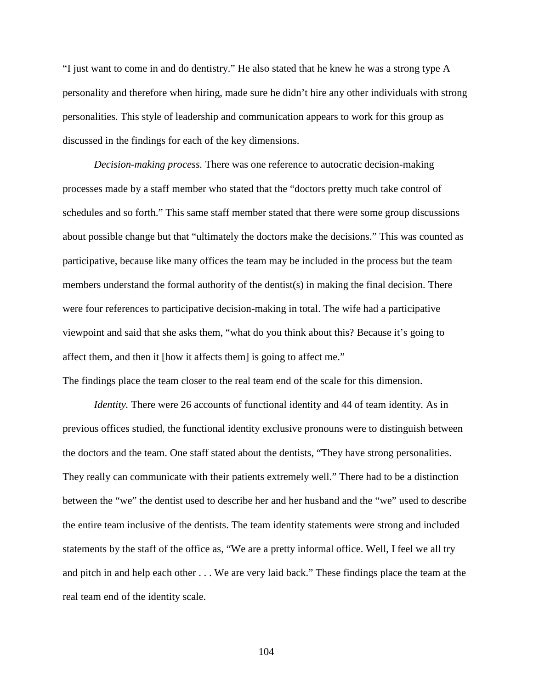"I just want to come in and do dentistry." He also stated that he knew he was a strong type A personality and therefore when hiring, made sure he didn't hire any other individuals with strong personalities. This style of leadership and communication appears to work for this group as discussed in the findings for each of the key dimensions.

*Decision-making process.* There was one reference to autocratic decision-making processes made by a staff member who stated that the "doctors pretty much take control of schedules and so forth." This same staff member stated that there were some group discussions about possible change but that "ultimately the doctors make the decisions." This was counted as participative, because like many offices the team may be included in the process but the team members understand the formal authority of the dentist(s) in making the final decision. There were four references to participative decision-making in total. The wife had a participative viewpoint and said that she asks them, "what do you think about this? Because it's going to affect them, and then it [how it affects them] is going to affect me."

The findings place the team closer to the real team end of the scale for this dimension.

*Identity*. There were 26 accounts of functional identity and 44 of team identity. As in previous offices studied, the functional identity exclusive pronouns were to distinguish between the doctors and the team. One staff stated about the dentists, "They have strong personalities. They really can communicate with their patients extremely well." There had to be a distinction between the "we" the dentist used to describe her and her husband and the "we" used to describe the entire team inclusive of the dentists. The team identity statements were strong and included statements by the staff of the office as, "We are a pretty informal office. Well, I feel we all try and pitch in and help each other . . . We are very laid back." These findings place the team at the real team end of the identity scale.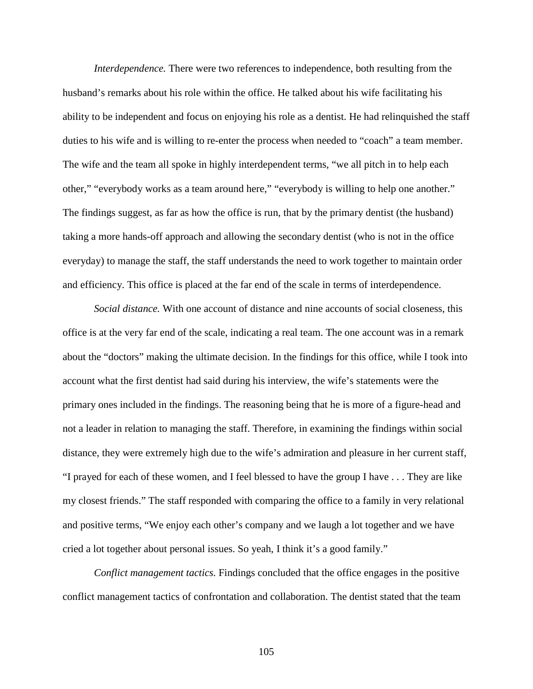*Interdependence.* There were two references to independence, both resulting from the husband's remarks about his role within the office. He talked about his wife facilitating his ability to be independent and focus on enjoying his role as a dentist. He had relinquished the staff duties to his wife and is willing to re-enter the process when needed to "coach" a team member. The wife and the team all spoke in highly interdependent terms, "we all pitch in to help each other," "everybody works as a team around here," "everybody is willing to help one another." The findings suggest, as far as how the office is run, that by the primary dentist (the husband) taking a more hands-off approach and allowing the secondary dentist (who is not in the office everyday) to manage the staff, the staff understands the need to work together to maintain order and efficiency. This office is placed at the far end of the scale in terms of interdependence.

*Social distance.* With one account of distance and nine accounts of social closeness, this office is at the very far end of the scale, indicating a real team. The one account was in a remark about the "doctors" making the ultimate decision. In the findings for this office, while I took into account what the first dentist had said during his interview, the wife's statements were the primary ones included in the findings. The reasoning being that he is more of a figure-head and not a leader in relation to managing the staff. Therefore, in examining the findings within social distance, they were extremely high due to the wife's admiration and pleasure in her current staff, "I prayed for each of these women, and I feel blessed to have the group I have . . . They are like my closest friends." The staff responded with comparing the office to a family in very relational and positive terms, "We enjoy each other's company and we laugh a lot together and we have cried a lot together about personal issues. So yeah, I think it's a good family."

*Conflict management tactics.* Findings concluded that the office engages in the positive conflict management tactics of confrontation and collaboration. The dentist stated that the team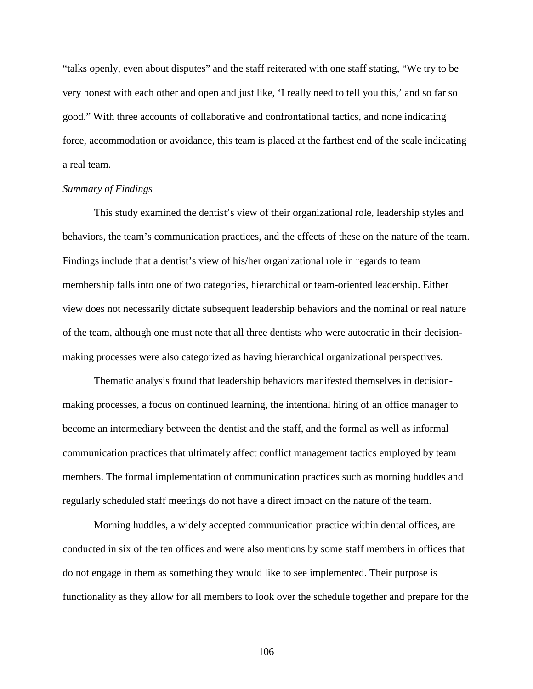"talks openly, even about disputes" and the staff reiterated with one staff stating, "We try to be very honest with each other and open and just like, 'I really need to tell you this,' and so far so good." With three accounts of collaborative and confrontational tactics, and none indicating force, accommodation or avoidance, this team is placed at the farthest end of the scale indicating a real team.

#### *Summary of Findings*

 This study examined the dentist's view of their organizational role, leadership styles and behaviors, the team's communication practices, and the effects of these on the nature of the team. Findings include that a dentist's view of his/her organizational role in regards to team membership falls into one of two categories, hierarchical or team-oriented leadership. Either view does not necessarily dictate subsequent leadership behaviors and the nominal or real nature of the team, although one must note that all three dentists who were autocratic in their decisionmaking processes were also categorized as having hierarchical organizational perspectives.

 Thematic analysis found that leadership behaviors manifested themselves in decisionmaking processes, a focus on continued learning, the intentional hiring of an office manager to become an intermediary between the dentist and the staff, and the formal as well as informal communication practices that ultimately affect conflict management tactics employed by team members. The formal implementation of communication practices such as morning huddles and regularly scheduled staff meetings do not have a direct impact on the nature of the team.

Morning huddles, a widely accepted communication practice within dental offices, are conducted in six of the ten offices and were also mentions by some staff members in offices that do not engage in them as something they would like to see implemented. Their purpose is functionality as they allow for all members to look over the schedule together and prepare for the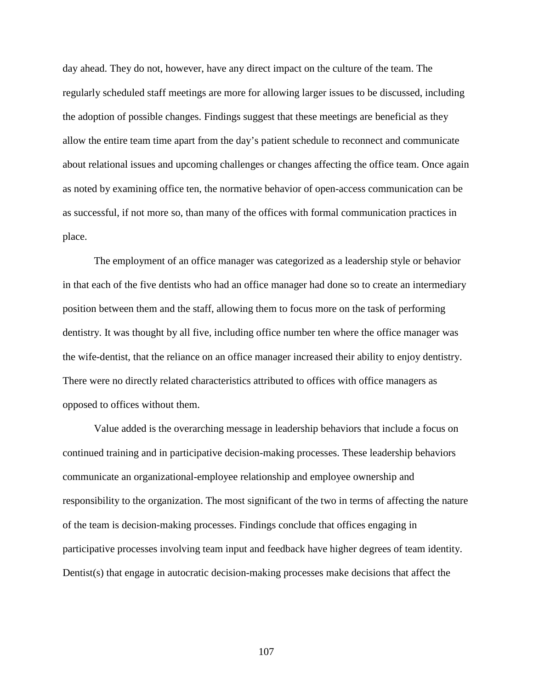day ahead. They do not, however, have any direct impact on the culture of the team. The regularly scheduled staff meetings are more for allowing larger issues to be discussed, including the adoption of possible changes. Findings suggest that these meetings are beneficial as they allow the entire team time apart from the day's patient schedule to reconnect and communicate about relational issues and upcoming challenges or changes affecting the office team. Once again as noted by examining office ten, the normative behavior of open-access communication can be as successful, if not more so, than many of the offices with formal communication practices in place.

 The employment of an office manager was categorized as a leadership style or behavior in that each of the five dentists who had an office manager had done so to create an intermediary position between them and the staff, allowing them to focus more on the task of performing dentistry. It was thought by all five, including office number ten where the office manager was the wife-dentist, that the reliance on an office manager increased their ability to enjoy dentistry. There were no directly related characteristics attributed to offices with office managers as opposed to offices without them.

 Value added is the overarching message in leadership behaviors that include a focus on continued training and in participative decision-making processes. These leadership behaviors communicate an organizational-employee relationship and employee ownership and responsibility to the organization. The most significant of the two in terms of affecting the nature of the team is decision-making processes. Findings conclude that offices engaging in participative processes involving team input and feedback have higher degrees of team identity. Dentist(s) that engage in autocratic decision-making processes make decisions that affect the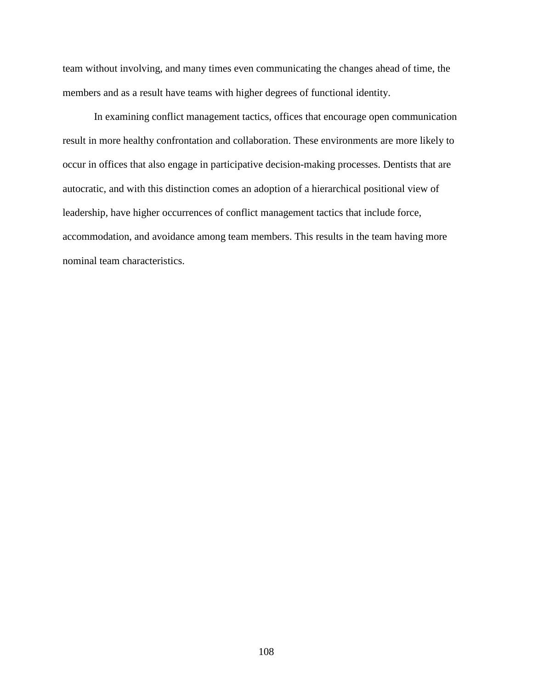team without involving, and many times even communicating the changes ahead of time, the members and as a result have teams with higher degrees of functional identity.

 In examining conflict management tactics, offices that encourage open communication result in more healthy confrontation and collaboration. These environments are more likely to occur in offices that also engage in participative decision-making processes. Dentists that are autocratic, and with this distinction comes an adoption of a hierarchical positional view of leadership, have higher occurrences of conflict management tactics that include force, accommodation, and avoidance among team members. This results in the team having more nominal team characteristics.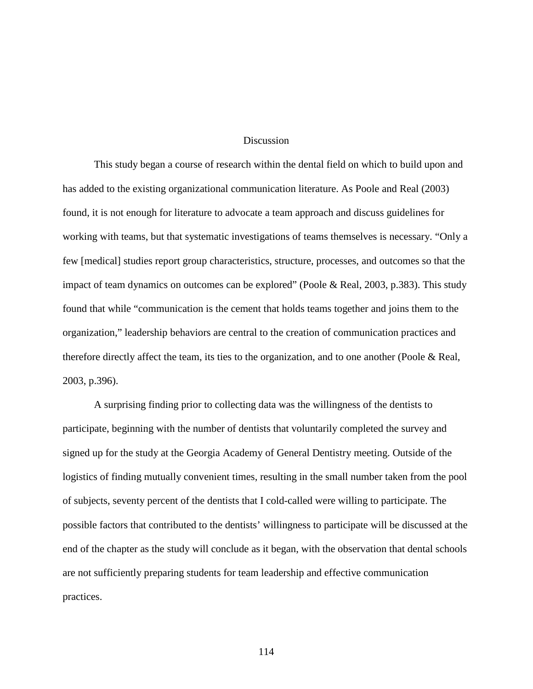#### **Discussion**

This study began a course of research within the dental field on which to build upon and has added to the existing organizational communication literature. As Poole and Real (2003) found, it is not enough for literature to advocate a team approach and discuss guidelines for working with teams, but that systematic investigations of teams themselves is necessary. "Only a few [medical] studies report group characteristics, structure, processes, and outcomes so that the impact of team dynamics on outcomes can be explored" (Poole & Real, 2003, p.383). This study found that while "communication is the cement that holds teams together and joins them to the organization," leadership behaviors are central to the creation of communication practices and therefore directly affect the team, its ties to the organization, and to one another (Poole & Real, 2003, p.396).

 A surprising finding prior to collecting data was the willingness of the dentists to participate, beginning with the number of dentists that voluntarily completed the survey and signed up for the study at the Georgia Academy of General Dentistry meeting. Outside of the logistics of finding mutually convenient times, resulting in the small number taken from the pool of subjects, seventy percent of the dentists that I cold-called were willing to participate. The possible factors that contributed to the dentists' willingness to participate will be discussed at the end of the chapter as the study will conclude as it began, with the observation that dental schools are not sufficiently preparing students for team leadership and effective communication practices.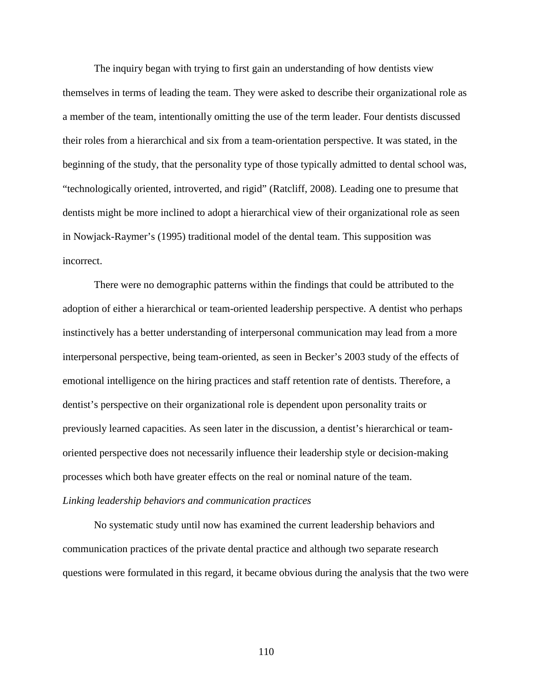The inquiry began with trying to first gain an understanding of how dentists view themselves in terms of leading the team. They were asked to describe their organizational role as a member of the team, intentionally omitting the use of the term leader. Four dentists discussed their roles from a hierarchical and six from a team-orientation perspective. It was stated, in the beginning of the study, that the personality type of those typically admitted to dental school was, "technologically oriented, introverted, and rigid" (Ratcliff, 2008). Leading one to presume that dentists might be more inclined to adopt a hierarchical view of their organizational role as seen in Nowjack-Raymer's (1995) traditional model of the dental team. This supposition was incorrect.

There were no demographic patterns within the findings that could be attributed to the adoption of either a hierarchical or team-oriented leadership perspective. A dentist who perhaps instinctively has a better understanding of interpersonal communication may lead from a more interpersonal perspective, being team-oriented, as seen in Becker's 2003 study of the effects of emotional intelligence on the hiring practices and staff retention rate of dentists. Therefore, a dentist's perspective on their organizational role is dependent upon personality traits or previously learned capacities. As seen later in the discussion, a dentist's hierarchical or teamoriented perspective does not necessarily influence their leadership style or decision-making processes which both have greater effects on the real or nominal nature of the team. *Linking leadership behaviors and communication practices* 

 No systematic study until now has examined the current leadership behaviors and communication practices of the private dental practice and although two separate research questions were formulated in this regard, it became obvious during the analysis that the two were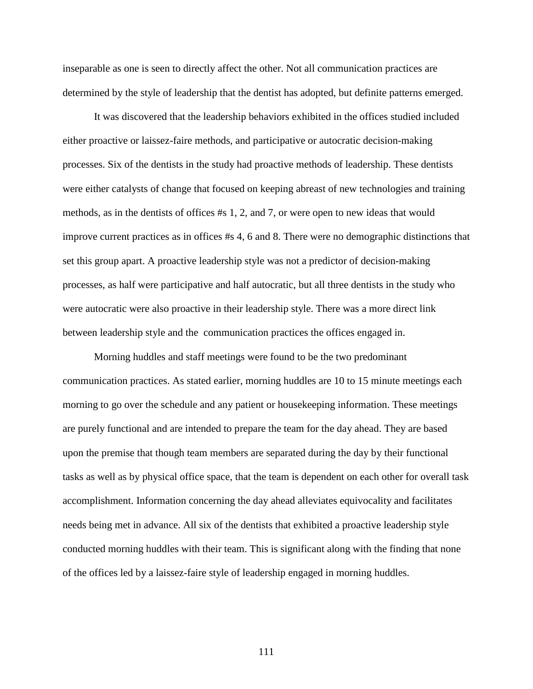inseparable as one is seen to directly affect the other. Not all communication practices are determined by the style of leadership that the dentist has adopted, but definite patterns emerged.

It was discovered that the leadership behaviors exhibited in the offices studied included either proactive or laissez-faire methods, and participative or autocratic decision-making processes. Six of the dentists in the study had proactive methods of leadership. These dentists were either catalysts of change that focused on keeping abreast of new technologies and training methods, as in the dentists of offices #s 1, 2, and 7, or were open to new ideas that would improve current practices as in offices #s 4, 6 and 8. There were no demographic distinctions that set this group apart. A proactive leadership style was not a predictor of decision-making processes, as half were participative and half autocratic, but all three dentists in the study who were autocratic were also proactive in their leadership style. There was a more direct link between leadership style and the communication practices the offices engaged in.

Morning huddles and staff meetings were found to be the two predominant communication practices. As stated earlier, morning huddles are 10 to 15 minute meetings each morning to go over the schedule and any patient or housekeeping information. These meetings are purely functional and are intended to prepare the team for the day ahead. They are based upon the premise that though team members are separated during the day by their functional tasks as well as by physical office space, that the team is dependent on each other for overall task accomplishment. Information concerning the day ahead alleviates equivocality and facilitates needs being met in advance. All six of the dentists that exhibited a proactive leadership style conducted morning huddles with their team. This is significant along with the finding that none of the offices led by a laissez-faire style of leadership engaged in morning huddles.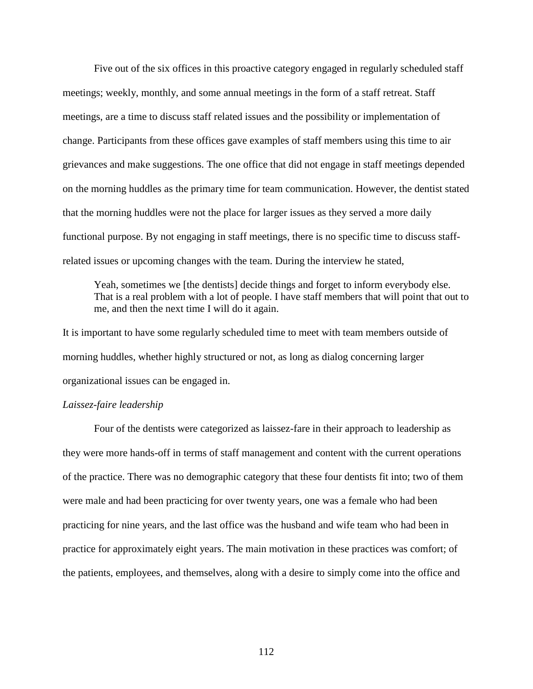Five out of the six offices in this proactive category engaged in regularly scheduled staff meetings; weekly, monthly, and some annual meetings in the form of a staff retreat. Staff meetings, are a time to discuss staff related issues and the possibility or implementation of change. Participants from these offices gave examples of staff members using this time to air grievances and make suggestions. The one office that did not engage in staff meetings depended on the morning huddles as the primary time for team communication. However, the dentist stated that the morning huddles were not the place for larger issues as they served a more daily functional purpose. By not engaging in staff meetings, there is no specific time to discuss staffrelated issues or upcoming changes with the team. During the interview he stated,

Yeah, sometimes we [the dentists] decide things and forget to inform everybody else. That is a real problem with a lot of people. I have staff members that will point that out to me, and then the next time I will do it again.

It is important to have some regularly scheduled time to meet with team members outside of morning huddles, whether highly structured or not, as long as dialog concerning larger organizational issues can be engaged in.

## *Laissez-faire leadership*

Four of the dentists were categorized as laissez-fare in their approach to leadership as they were more hands-off in terms of staff management and content with the current operations of the practice. There was no demographic category that these four dentists fit into; two of them were male and had been practicing for over twenty years, one was a female who had been practicing for nine years, and the last office was the husband and wife team who had been in practice for approximately eight years. The main motivation in these practices was comfort; of the patients, employees, and themselves, along with a desire to simply come into the office and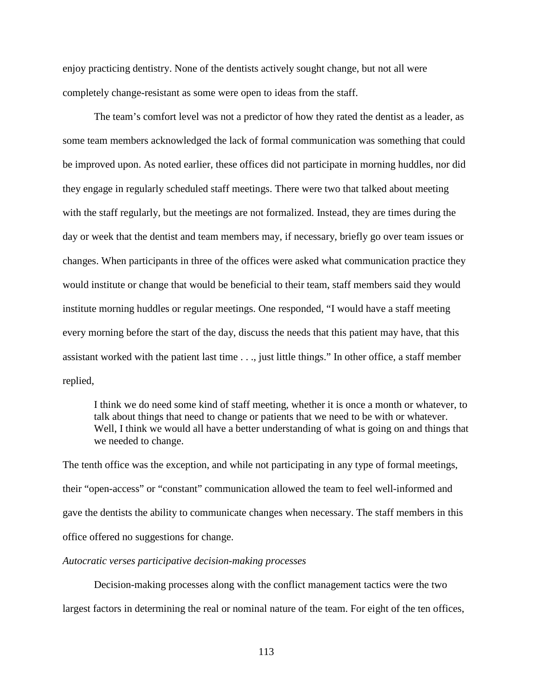enjoy practicing dentistry. None of the dentists actively sought change, but not all were completely change-resistant as some were open to ideas from the staff.

The team's comfort level was not a predictor of how they rated the dentist as a leader, as some team members acknowledged the lack of formal communication was something that could be improved upon. As noted earlier, these offices did not participate in morning huddles, nor did they engage in regularly scheduled staff meetings. There were two that talked about meeting with the staff regularly, but the meetings are not formalized. Instead, they are times during the day or week that the dentist and team members may, if necessary, briefly go over team issues or changes. When participants in three of the offices were asked what communication practice they would institute or change that would be beneficial to their team, staff members said they would institute morning huddles or regular meetings. One responded, "I would have a staff meeting every morning before the start of the day, discuss the needs that this patient may have, that this assistant worked with the patient last time . . ., just little things." In other office, a staff member replied,

I think we do need some kind of staff meeting, whether it is once a month or whatever, to talk about things that need to change or patients that we need to be with or whatever. Well, I think we would all have a better understanding of what is going on and things that we needed to change.

The tenth office was the exception, and while not participating in any type of formal meetings, their "open-access" or "constant" communication allowed the team to feel well-informed and gave the dentists the ability to communicate changes when necessary. The staff members in this office offered no suggestions for change.

## *Autocratic verses participative decision-making processes*

 Decision-making processes along with the conflict management tactics were the two largest factors in determining the real or nominal nature of the team. For eight of the ten offices,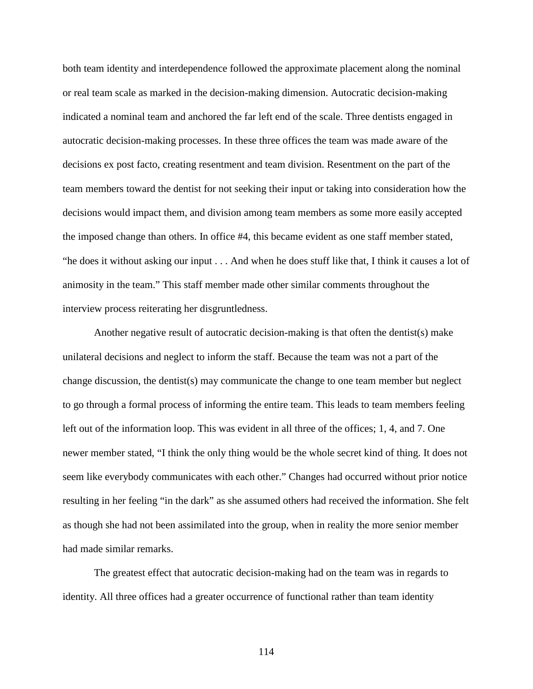both team identity and interdependence followed the approximate placement along the nominal or real team scale as marked in the decision-making dimension. Autocratic decision-making indicated a nominal team and anchored the far left end of the scale. Three dentists engaged in autocratic decision-making processes. In these three offices the team was made aware of the decisions ex post facto, creating resentment and team division. Resentment on the part of the team members toward the dentist for not seeking their input or taking into consideration how the decisions would impact them, and division among team members as some more easily accepted the imposed change than others. In office #4, this became evident as one staff member stated, "he does it without asking our input . . . And when he does stuff like that, I think it causes a lot of animosity in the team." This staff member made other similar comments throughout the interview process reiterating her disgruntledness.

 Another negative result of autocratic decision-making is that often the dentist(s) make unilateral decisions and neglect to inform the staff. Because the team was not a part of the change discussion, the dentist(s) may communicate the change to one team member but neglect to go through a formal process of informing the entire team. This leads to team members feeling left out of the information loop. This was evident in all three of the offices; 1, 4, and 7. One newer member stated, "I think the only thing would be the whole secret kind of thing. It does not seem like everybody communicates with each other." Changes had occurred without prior notice resulting in her feeling "in the dark" as she assumed others had received the information. She felt as though she had not been assimilated into the group, when in reality the more senior member had made similar remarks.

The greatest effect that autocratic decision-making had on the team was in regards to identity. All three offices had a greater occurrence of functional rather than team identity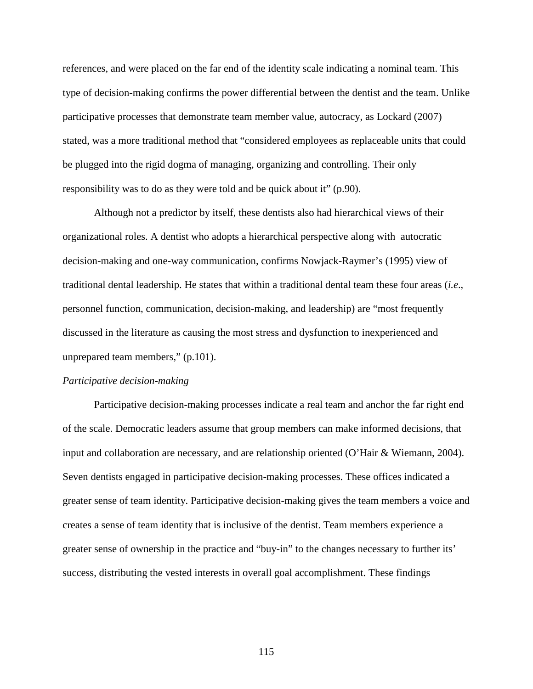references, and were placed on the far end of the identity scale indicating a nominal team. This type of decision-making confirms the power differential between the dentist and the team. Unlike participative processes that demonstrate team member value, autocracy, as Lockard (2007) stated, was a more traditional method that "considered employees as replaceable units that could be plugged into the rigid dogma of managing, organizing and controlling. Their only responsibility was to do as they were told and be quick about it" (p.90).

Although not a predictor by itself, these dentists also had hierarchical views of their organizational roles. A dentist who adopts a hierarchical perspective along with autocratic decision-making and one-way communication, confirms Nowjack-Raymer's (1995) view of traditional dental leadership. He states that within a traditional dental team these four areas (*i.e*., personnel function, communication, decision-making, and leadership) are "most frequently discussed in the literature as causing the most stress and dysfunction to inexperienced and unprepared team members," (p.101).

#### *Participative decision-making*

Participative decision-making processes indicate a real team and anchor the far right end of the scale. Democratic leaders assume that group members can make informed decisions, that input and collaboration are necessary, and are relationship oriented (O'Hair & Wiemann, 2004). Seven dentists engaged in participative decision-making processes. These offices indicated a greater sense of team identity. Participative decision-making gives the team members a voice and creates a sense of team identity that is inclusive of the dentist. Team members experience a greater sense of ownership in the practice and "buy-in" to the changes necessary to further its' success, distributing the vested interests in overall goal accomplishment. These findings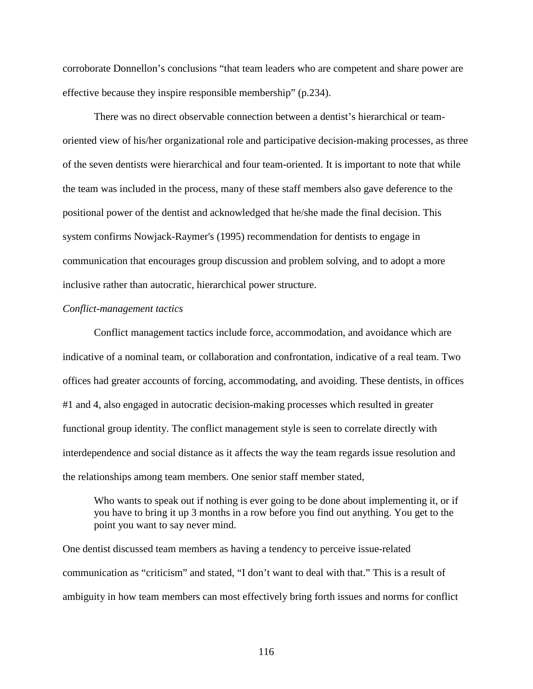corroborate Donnellon's conclusions "that team leaders who are competent and share power are effective because they inspire responsible membership" (p.234).

There was no direct observable connection between a dentist's hierarchical or teamoriented view of his/her organizational role and participative decision-making processes, as three of the seven dentists were hierarchical and four team-oriented. It is important to note that while the team was included in the process, many of these staff members also gave deference to the positional power of the dentist and acknowledged that he/she made the final decision. This system confirms Nowjack-Raymer's (1995) recommendation for dentists to engage in communication that encourages group discussion and problem solving, and to adopt a more inclusive rather than autocratic, hierarchical power structure.

#### *Conflict-management tactics*

Conflict management tactics include force, accommodation, and avoidance which are indicative of a nominal team, or collaboration and confrontation, indicative of a real team. Two offices had greater accounts of forcing, accommodating, and avoiding. These dentists, in offices #1 and 4, also engaged in autocratic decision-making processes which resulted in greater functional group identity. The conflict management style is seen to correlate directly with interdependence and social distance as it affects the way the team regards issue resolution and the relationships among team members. One senior staff member stated,

Who wants to speak out if nothing is ever going to be done about implementing it, or if you have to bring it up 3 months in a row before you find out anything. You get to the point you want to say never mind.

One dentist discussed team members as having a tendency to perceive issue-related communication as "criticism" and stated, "I don't want to deal with that." This is a result of ambiguity in how team members can most effectively bring forth issues and norms for conflict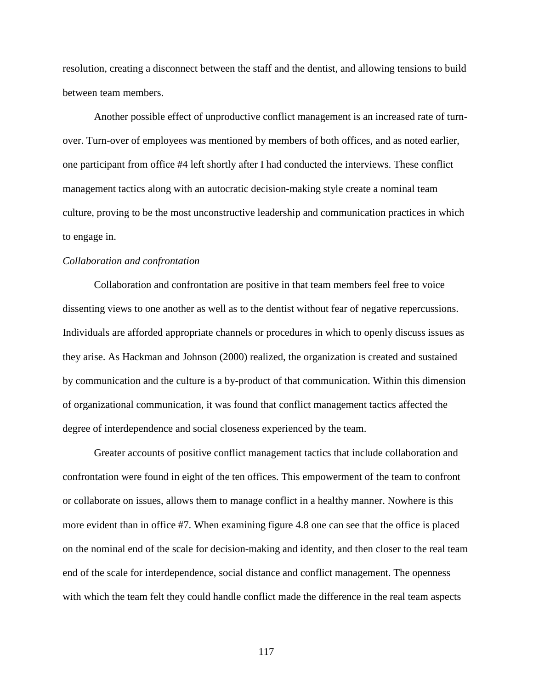resolution, creating a disconnect between the staff and the dentist, and allowing tensions to build between team members.

Another possible effect of unproductive conflict management is an increased rate of turnover. Turn-over of employees was mentioned by members of both offices, and as noted earlier, one participant from office #4 left shortly after I had conducted the interviews. These conflict management tactics along with an autocratic decision-making style create a nominal team culture, proving to be the most unconstructive leadership and communication practices in which to engage in.

#### *Collaboration and confrontation*

Collaboration and confrontation are positive in that team members feel free to voice dissenting views to one another as well as to the dentist without fear of negative repercussions. Individuals are afforded appropriate channels or procedures in which to openly discuss issues as they arise. As Hackman and Johnson (2000) realized, the organization is created and sustained by communication and the culture is a by-product of that communication. Within this dimension of organizational communication, it was found that conflict management tactics affected the degree of interdependence and social closeness experienced by the team.

Greater accounts of positive conflict management tactics that include collaboration and confrontation were found in eight of the ten offices. This empowerment of the team to confront or collaborate on issues, allows them to manage conflict in a healthy manner. Nowhere is this more evident than in office #7. When examining figure 4.8 one can see that the office is placed on the nominal end of the scale for decision-making and identity, and then closer to the real team end of the scale for interdependence, social distance and conflict management. The openness with which the team felt they could handle conflict made the difference in the real team aspects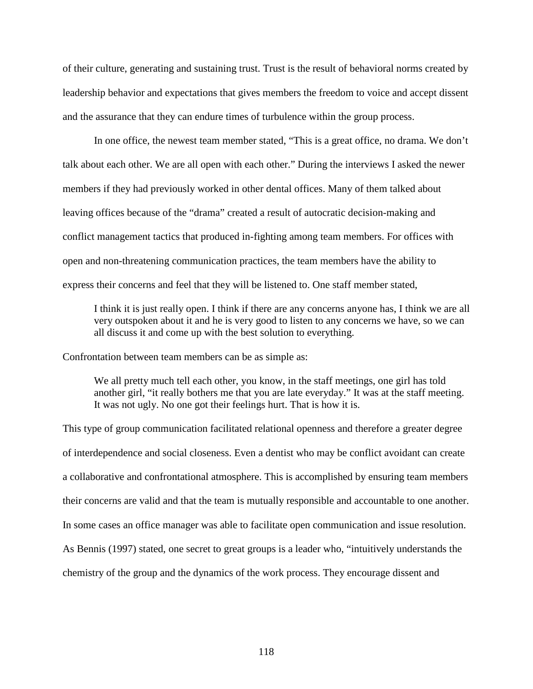of their culture, generating and sustaining trust. Trust is the result of behavioral norms created by leadership behavior and expectations that gives members the freedom to voice and accept dissent and the assurance that they can endure times of turbulence within the group process.

In one office, the newest team member stated, "This is a great office, no drama. We don't talk about each other. We are all open with each other." During the interviews I asked the newer members if they had previously worked in other dental offices. Many of them talked about leaving offices because of the "drama" created a result of autocratic decision-making and conflict management tactics that produced in-fighting among team members. For offices with open and non-threatening communication practices, the team members have the ability to express their concerns and feel that they will be listened to. One staff member stated,

I think it is just really open. I think if there are any concerns anyone has, I think we are all very outspoken about it and he is very good to listen to any concerns we have, so we can all discuss it and come up with the best solution to everything.

Confrontation between team members can be as simple as:

We all pretty much tell each other, you know, in the staff meetings, one girl has told another girl, "it really bothers me that you are late everyday." It was at the staff meeting. It was not ugly. No one got their feelings hurt. That is how it is.

This type of group communication facilitated relational openness and therefore a greater degree of interdependence and social closeness. Even a dentist who may be conflict avoidant can create a collaborative and confrontational atmosphere. This is accomplished by ensuring team members their concerns are valid and that the team is mutually responsible and accountable to one another. In some cases an office manager was able to facilitate open communication and issue resolution. As Bennis (1997) stated, one secret to great groups is a leader who, "intuitively understands the chemistry of the group and the dynamics of the work process. They encourage dissent and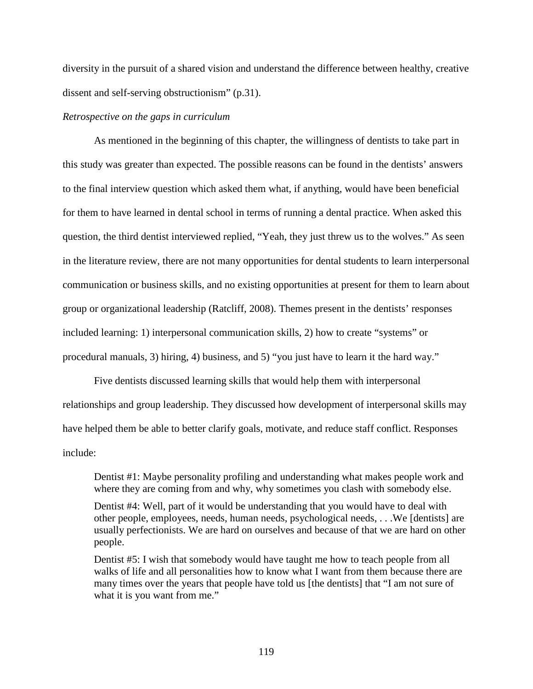diversity in the pursuit of a shared vision and understand the difference between healthy, creative dissent and self-serving obstructionism" (p.31).

## *Retrospective on the gaps in curriculum*

As mentioned in the beginning of this chapter, the willingness of dentists to take part in this study was greater than expected. The possible reasons can be found in the dentists' answers to the final interview question which asked them what, if anything, would have been beneficial for them to have learned in dental school in terms of running a dental practice. When asked this question, the third dentist interviewed replied, "Yeah, they just threw us to the wolves." As seen in the literature review, there are not many opportunities for dental students to learn interpersonal communication or business skills, and no existing opportunities at present for them to learn about group or organizational leadership (Ratcliff, 2008). Themes present in the dentists' responses included learning: 1) interpersonal communication skills, 2) how to create "systems" or procedural manuals, 3) hiring, 4) business, and 5) "you just have to learn it the hard way."

Five dentists discussed learning skills that would help them with interpersonal relationships and group leadership. They discussed how development of interpersonal skills may have helped them be able to better clarify goals, motivate, and reduce staff conflict. Responses include:

Dentist #1: Maybe personality profiling and understanding what makes people work and where they are coming from and why, why sometimes you clash with somebody else.

Dentist #4: Well, part of it would be understanding that you would have to deal with other people, employees, needs, human needs, psychological needs, . . .We [dentists] are usually perfectionists. We are hard on ourselves and because of that we are hard on other people.

Dentist #5: I wish that somebody would have taught me how to teach people from all walks of life and all personalities how to know what I want from them because there are many times over the years that people have told us [the dentists] that "I am not sure of what it is you want from me."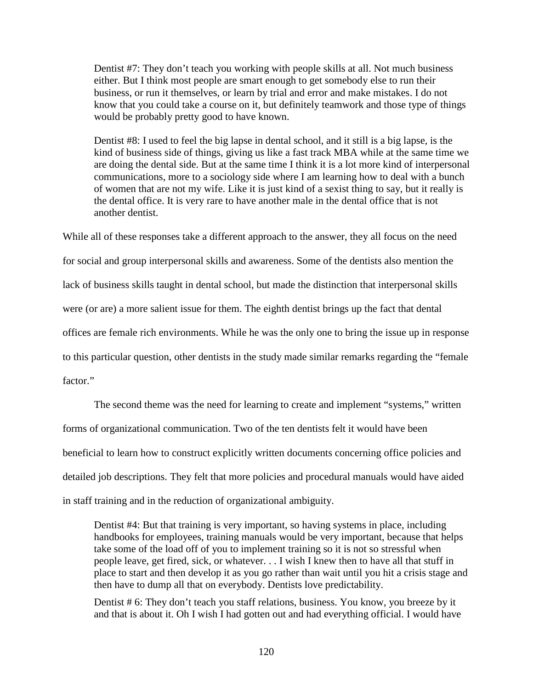Dentist #7: They don't teach you working with people skills at all. Not much business either. But I think most people are smart enough to get somebody else to run their business, or run it themselves, or learn by trial and error and make mistakes. I do not know that you could take a course on it, but definitely teamwork and those type of things would be probably pretty good to have known.

Dentist #8: I used to feel the big lapse in dental school, and it still is a big lapse, is the kind of business side of things, giving us like a fast track MBA while at the same time we are doing the dental side. But at the same time I think it is a lot more kind of interpersonal communications, more to a sociology side where I am learning how to deal with a bunch of women that are not my wife. Like it is just kind of a sexist thing to say, but it really is the dental office. It is very rare to have another male in the dental office that is not another dentist.

While all of these responses take a different approach to the answer, they all focus on the need for social and group interpersonal skills and awareness. Some of the dentists also mention the lack of business skills taught in dental school, but made the distinction that interpersonal skills were (or are) a more salient issue for them. The eighth dentist brings up the fact that dental offices are female rich environments. While he was the only one to bring the issue up in response to this particular question, other dentists in the study made similar remarks regarding the "female factor."

The second theme was the need for learning to create and implement "systems," written forms of organizational communication. Two of the ten dentists felt it would have been beneficial to learn how to construct explicitly written documents concerning office policies and detailed job descriptions. They felt that more policies and procedural manuals would have aided in staff training and in the reduction of organizational ambiguity.

Dentist #4: But that training is very important, so having systems in place, including handbooks for employees, training manuals would be very important, because that helps take some of the load off of you to implement training so it is not so stressful when people leave, get fired, sick, or whatever. . . I wish I knew then to have all that stuff in place to start and then develop it as you go rather than wait until you hit a crisis stage and then have to dump all that on everybody. Dentists love predictability.

Dentist # 6: They don't teach you staff relations, business. You know, you breeze by it and that is about it. Oh I wish I had gotten out and had everything official. I would have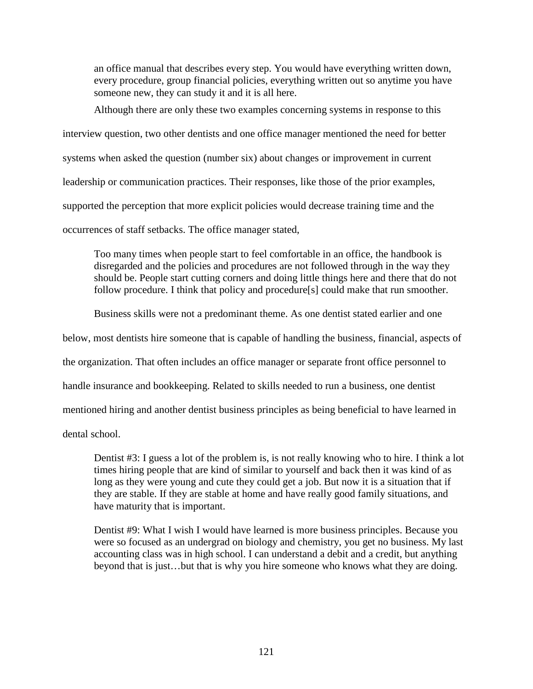an office manual that describes every step. You would have everything written down, every procedure, group financial policies, everything written out so anytime you have someone new, they can study it and it is all here.

Although there are only these two examples concerning systems in response to this interview question, two other dentists and one office manager mentioned the need for better systems when asked the question (number six) about changes or improvement in current leadership or communication practices. Their responses, like those of the prior examples, supported the perception that more explicit policies would decrease training time and the occurrences of staff setbacks. The office manager stated,

Too many times when people start to feel comfortable in an office, the handbook is disregarded and the policies and procedures are not followed through in the way they should be. People start cutting corners and doing little things here and there that do not follow procedure. I think that policy and procedure[s] could make that run smoother.

Business skills were not a predominant theme. As one dentist stated earlier and one

below, most dentists hire someone that is capable of handling the business, financial, aspects of

the organization. That often includes an office manager or separate front office personnel to

handle insurance and bookkeeping. Related to skills needed to run a business, one dentist

mentioned hiring and another dentist business principles as being beneficial to have learned in

dental school.

Dentist #3: I guess a lot of the problem is, is not really knowing who to hire. I think a lot times hiring people that are kind of similar to yourself and back then it was kind of as long as they were young and cute they could get a job. But now it is a situation that if they are stable. If they are stable at home and have really good family situations, and have maturity that is important.

Dentist #9: What I wish I would have learned is more business principles. Because you were so focused as an undergrad on biology and chemistry, you get no business. My last accounting class was in high school. I can understand a debit and a credit, but anything beyond that is just…but that is why you hire someone who knows what they are doing.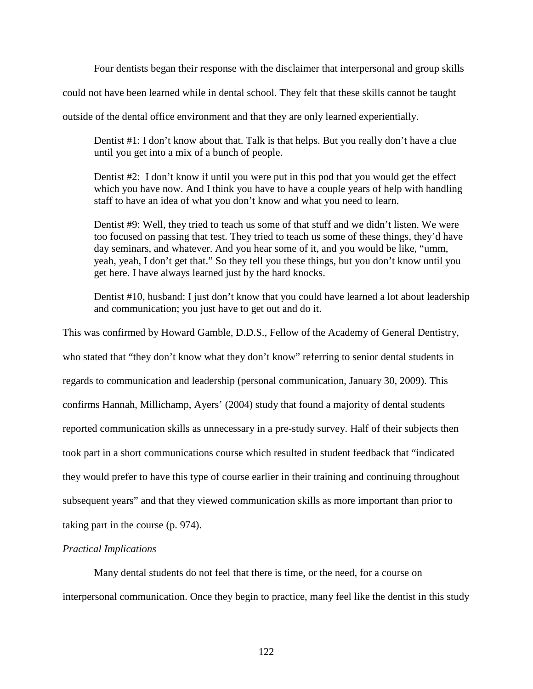Four dentists began their response with the disclaimer that interpersonal and group skills

could not have been learned while in dental school. They felt that these skills cannot be taught

outside of the dental office environment and that they are only learned experientially.

Dentist #1: I don't know about that. Talk is that helps. But you really don't have a clue until you get into a mix of a bunch of people.

Dentist #2: I don't know if until you were put in this pod that you would get the effect which you have now. And I think you have to have a couple years of help with handling staff to have an idea of what you don't know and what you need to learn.

Dentist #9: Well, they tried to teach us some of that stuff and we didn't listen. We were too focused on passing that test. They tried to teach us some of these things, they'd have day seminars, and whatever. And you hear some of it, and you would be like, "umm, yeah, yeah, I don't get that." So they tell you these things, but you don't know until you get here. I have always learned just by the hard knocks.

Dentist #10, husband: I just don't know that you could have learned a lot about leadership and communication; you just have to get out and do it.

This was confirmed by Howard Gamble, D.D.S., Fellow of the Academy of General Dentistry, who stated that "they don't know what they don't know" referring to senior dental students in regards to communication and leadership (personal communication, January 30, 2009). This confirms Hannah, Millichamp, Ayers' (2004) study that found a majority of dental students reported communication skills as unnecessary in a pre-study survey. Half of their subjects then took part in a short communications course which resulted in student feedback that "indicated they would prefer to have this type of course earlier in their training and continuing throughout subsequent years" and that they viewed communication skills as more important than prior to taking part in the course (p. 974).

# *Practical Implications*

Many dental students do not feel that there is time, or the need, for a course on interpersonal communication. Once they begin to practice, many feel like the dentist in this study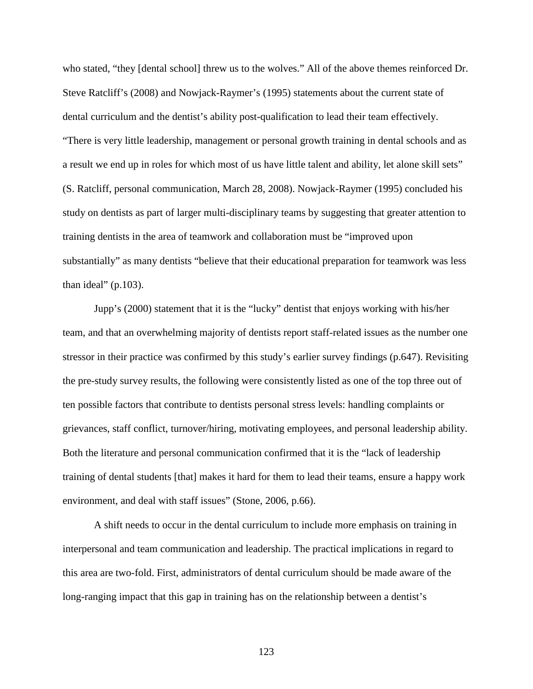who stated, "they [dental school] threw us to the wolves." All of the above themes reinforced Dr. Steve Ratcliff's (2008) and Nowjack-Raymer's (1995) statements about the current state of dental curriculum and the dentist's ability post-qualification to lead their team effectively. "There is very little leadership, management or personal growth training in dental schools and as a result we end up in roles for which most of us have little talent and ability, let alone skill sets" (S. Ratcliff, personal communication, March 28, 2008). Nowjack-Raymer (1995) concluded his study on dentists as part of larger multi-disciplinary teams by suggesting that greater attention to training dentists in the area of teamwork and collaboration must be "improved upon substantially" as many dentists "believe that their educational preparation for teamwork was less than ideal" (p.103).

Jupp's (2000) statement that it is the "lucky" dentist that enjoys working with his/her team, and that an overwhelming majority of dentists report staff-related issues as the number one stressor in their practice was confirmed by this study's earlier survey findings (p.647). Revisiting the pre-study survey results, the following were consistently listed as one of the top three out of ten possible factors that contribute to dentists personal stress levels: handling complaints or grievances, staff conflict, turnover/hiring, motivating employees, and personal leadership ability. Both the literature and personal communication confirmed that it is the "lack of leadership training of dental students [that] makes it hard for them to lead their teams, ensure a happy work environment, and deal with staff issues" (Stone, 2006, p.66).

A shift needs to occur in the dental curriculum to include more emphasis on training in interpersonal and team communication and leadership. The practical implications in regard to this area are two-fold. First, administrators of dental curriculum should be made aware of the long-ranging impact that this gap in training has on the relationship between a dentist's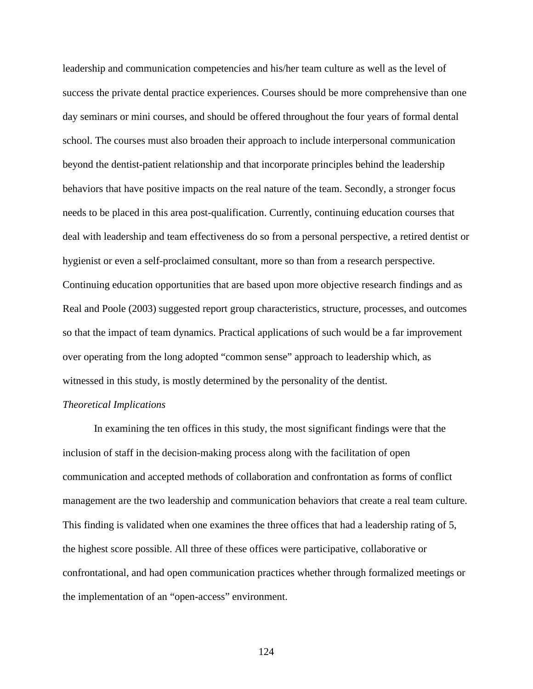leadership and communication competencies and his/her team culture as well as the level of success the private dental practice experiences. Courses should be more comprehensive than one day seminars or mini courses, and should be offered throughout the four years of formal dental school. The courses must also broaden their approach to include interpersonal communication beyond the dentist-patient relationship and that incorporate principles behind the leadership behaviors that have positive impacts on the real nature of the team. Secondly, a stronger focus needs to be placed in this area post-qualification. Currently, continuing education courses that deal with leadership and team effectiveness do so from a personal perspective, a retired dentist or hygienist or even a self-proclaimed consultant, more so than from a research perspective. Continuing education opportunities that are based upon more objective research findings and as Real and Poole (2003) suggested report group characteristics, structure, processes, and outcomes so that the impact of team dynamics. Practical applications of such would be a far improvement over operating from the long adopted "common sense" approach to leadership which, as witnessed in this study, is mostly determined by the personality of the dentist.

## *Theoretical Implications*

In examining the ten offices in this study, the most significant findings were that the inclusion of staff in the decision-making process along with the facilitation of open communication and accepted methods of collaboration and confrontation as forms of conflict management are the two leadership and communication behaviors that create a real team culture. This finding is validated when one examines the three offices that had a leadership rating of 5, the highest score possible. All three of these offices were participative, collaborative or confrontational, and had open communication practices whether through formalized meetings or the implementation of an "open-access" environment.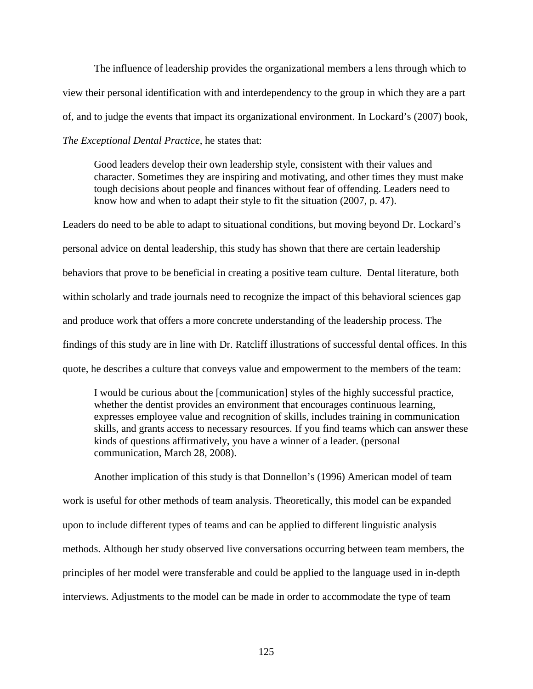The influence of leadership provides the organizational members a lens through which to view their personal identification with and interdependency to the group in which they are a part of, and to judge the events that impact its organizational environment. In Lockard's (2007) book, *The Exceptional Dental Practice*, he states that:

Good leaders develop their own leadership style, consistent with their values and character. Sometimes they are inspiring and motivating, and other times they must make tough decisions about people and finances without fear of offending. Leaders need to know how and when to adapt their style to fit the situation (2007, p. 47).

Leaders do need to be able to adapt to situational conditions, but moving beyond Dr. Lockard's personal advice on dental leadership, this study has shown that there are certain leadership behaviors that prove to be beneficial in creating a positive team culture. Dental literature, both within scholarly and trade journals need to recognize the impact of this behavioral sciences gap and produce work that offers a more concrete understanding of the leadership process. The findings of this study are in line with Dr. Ratcliff illustrations of successful dental offices. In this quote, he describes a culture that conveys value and empowerment to the members of the team:

I would be curious about the [communication] styles of the highly successful practice, whether the dentist provides an environment that encourages continuous learning, expresses employee value and recognition of skills, includes training in communication skills, and grants access to necessary resources. If you find teams which can answer these kinds of questions affirmatively, you have a winner of a leader. (personal communication, March 28, 2008).

Another implication of this study is that Donnellon's (1996) American model of team work is useful for other methods of team analysis. Theoretically, this model can be expanded upon to include different types of teams and can be applied to different linguistic analysis methods. Although her study observed live conversations occurring between team members, the principles of her model were transferable and could be applied to the language used in in-depth interviews. Adjustments to the model can be made in order to accommodate the type of team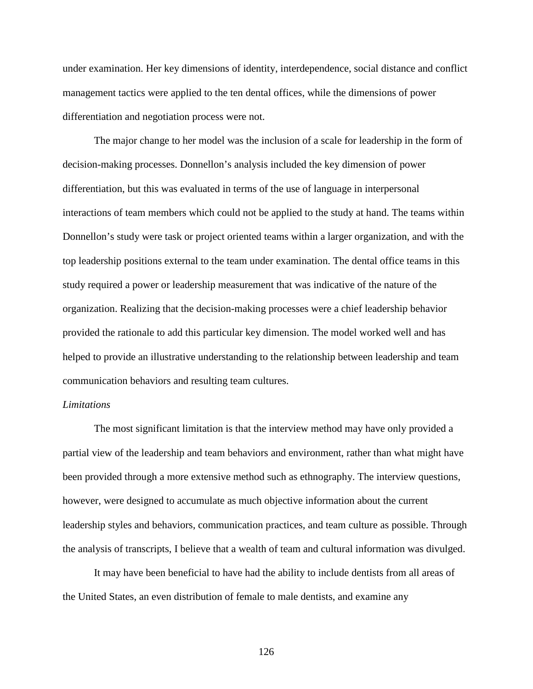under examination. Her key dimensions of identity, interdependence, social distance and conflict management tactics were applied to the ten dental offices, while the dimensions of power differentiation and negotiation process were not.

 The major change to her model was the inclusion of a scale for leadership in the form of decision-making processes. Donnellon's analysis included the key dimension of power differentiation, but this was evaluated in terms of the use of language in interpersonal interactions of team members which could not be applied to the study at hand. The teams within Donnellon's study were task or project oriented teams within a larger organization, and with the top leadership positions external to the team under examination. The dental office teams in this study required a power or leadership measurement that was indicative of the nature of the organization. Realizing that the decision-making processes were a chief leadership behavior provided the rationale to add this particular key dimension. The model worked well and has helped to provide an illustrative understanding to the relationship between leadership and team communication behaviors and resulting team cultures.

## *Limitations*

The most significant limitation is that the interview method may have only provided a partial view of the leadership and team behaviors and environment, rather than what might have been provided through a more extensive method such as ethnography. The interview questions, however, were designed to accumulate as much objective information about the current leadership styles and behaviors, communication practices, and team culture as possible. Through the analysis of transcripts, I believe that a wealth of team and cultural information was divulged.

It may have been beneficial to have had the ability to include dentists from all areas of the United States, an even distribution of female to male dentists, and examine any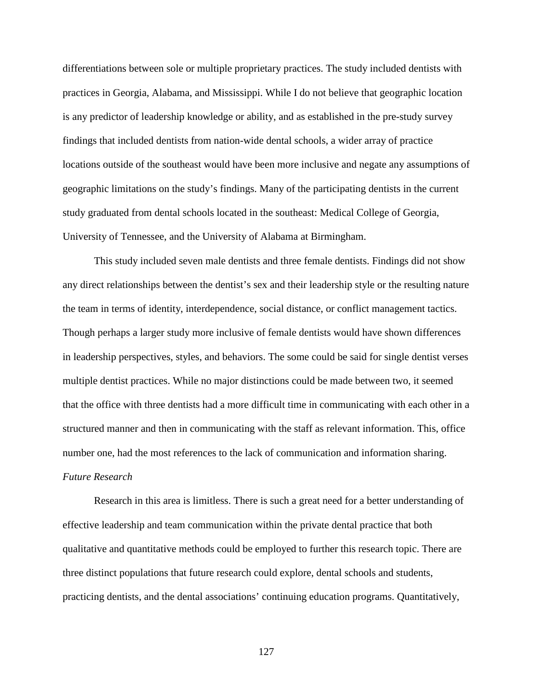differentiations between sole or multiple proprietary practices. The study included dentists with practices in Georgia, Alabama, and Mississippi. While I do not believe that geographic location is any predictor of leadership knowledge or ability, and as established in the pre-study survey findings that included dentists from nation-wide dental schools, a wider array of practice locations outside of the southeast would have been more inclusive and negate any assumptions of geographic limitations on the study's findings. Many of the participating dentists in the current study graduated from dental schools located in the southeast: Medical College of Georgia, University of Tennessee, and the University of Alabama at Birmingham.

 This study included seven male dentists and three female dentists. Findings did not show any direct relationships between the dentist's sex and their leadership style or the resulting nature the team in terms of identity, interdependence, social distance, or conflict management tactics. Though perhaps a larger study more inclusive of female dentists would have shown differences in leadership perspectives, styles, and behaviors. The some could be said for single dentist verses multiple dentist practices. While no major distinctions could be made between two, it seemed that the office with three dentists had a more difficult time in communicating with each other in a structured manner and then in communicating with the staff as relevant information. This, office number one, had the most references to the lack of communication and information sharing. *Future Research* 

 Research in this area is limitless. There is such a great need for a better understanding of effective leadership and team communication within the private dental practice that both qualitative and quantitative methods could be employed to further this research topic. There are three distinct populations that future research could explore, dental schools and students, practicing dentists, and the dental associations' continuing education programs. Quantitatively,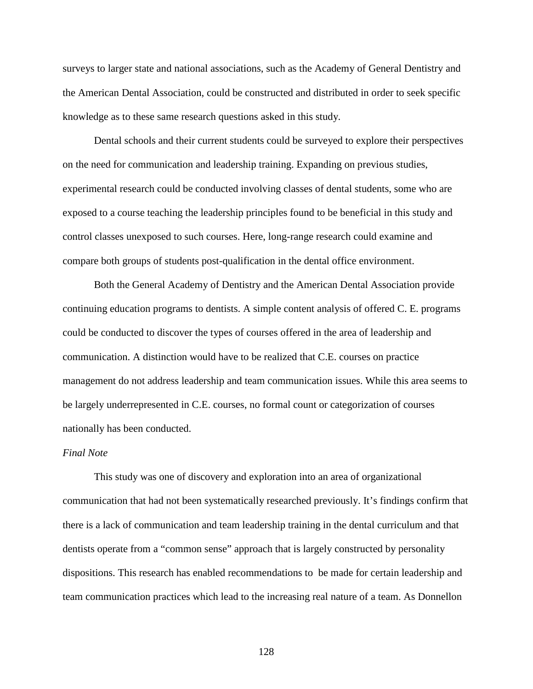surveys to larger state and national associations, such as the Academy of General Dentistry and the American Dental Association, could be constructed and distributed in order to seek specific knowledge as to these same research questions asked in this study.

Dental schools and their current students could be surveyed to explore their perspectives on the need for communication and leadership training. Expanding on previous studies, experimental research could be conducted involving classes of dental students, some who are exposed to a course teaching the leadership principles found to be beneficial in this study and control classes unexposed to such courses. Here, long-range research could examine and compare both groups of students post-qualification in the dental office environment.

Both the General Academy of Dentistry and the American Dental Association provide continuing education programs to dentists. A simple content analysis of offered C. E. programs could be conducted to discover the types of courses offered in the area of leadership and communication. A distinction would have to be realized that C.E. courses on practice management do not address leadership and team communication issues. While this area seems to be largely underrepresented in C.E. courses, no formal count or categorization of courses nationally has been conducted.

#### *Final Note*

This study was one of discovery and exploration into an area of organizational communication that had not been systematically researched previously. It's findings confirm that there is a lack of communication and team leadership training in the dental curriculum and that dentists operate from a "common sense" approach that is largely constructed by personality dispositions. This research has enabled recommendations to be made for certain leadership and team communication practices which lead to the increasing real nature of a team. As Donnellon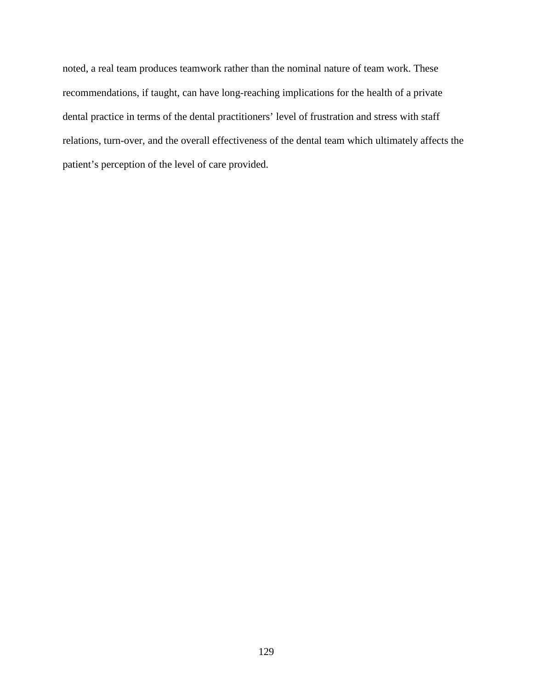noted, a real team produces teamwork rather than the nominal nature of team work. These recommendations, if taught, can have long-reaching implications for the health of a private dental practice in terms of the dental practitioners' level of frustration and stress with staff relations, turn-over, and the overall effectiveness of the dental team which ultimately affects the patient's perception of the level of care provided.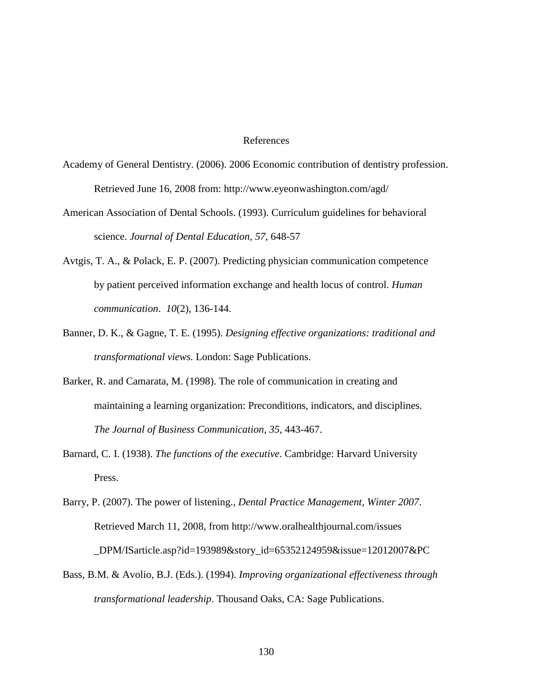#### References

- Academy of General Dentistry. (2006). 2006 Economic contribution of dentistry profession. Retrieved June 16, 2008 from: http://www.eyeonwashington.com/agd/
- American Association of Dental Schools. (1993). Curriculum guidelines for behavioral science. *Journal of Dental Education, 57*, 648-57
- Avtgis, T. A., & Polack, E. P. (2007). Predicting physician communication competence by patient perceived information exchange and health locus of control. *Human communication*. *10*(2), 136-144.
- Banner, D. K., & Gagne, T. E. (1995). *Designing effective organizations: traditional and transformational views.* London: Sage Publications.
- Barker, R. and Camarata, M. (1998). The role of communication in creating and maintaining a learning organization: Preconditions, indicators, and disciplines. *The Journal of Business Communication, 35*, 443-467.
- Barnard, C. I. (1938). *The functions of the executive*. Cambridge: Harvard University Press.
- Barry, P. (2007). The power of listening., *Dental Practice Management, Winter 2007*. Retrieved March 11, 2008, from http://www.oralhealthjournal.com/issues \_DPM/ISarticle.asp?id=193989&story\_id=65352124959&issue=12012007&PC
- Bass, B.M. & Avolio, B.J. (Eds.). (1994). *Improving organizational effectiveness through transformational leadership*. Thousand Oaks, CA: Sage Publications.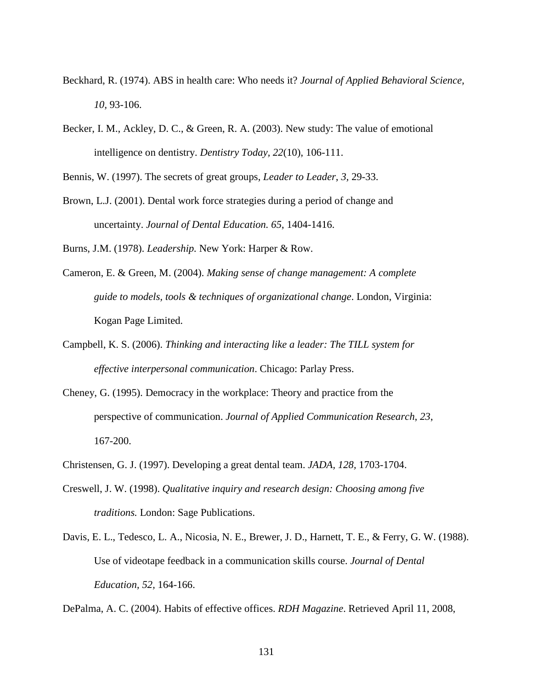- Beckhard, R. (1974). ABS in health care: Who needs it? *Journal of Applied Behavioral Science, 10,* 93-106.
- Becker, I. M., Ackley, D. C., & Green, R. A. (2003). New study: The value of emotional intelligence on dentistry. *Dentistry Today, 22*(10), 106-111.
- Bennis, W. (1997). The secrets of great groups, *Leader to Leader*, *3,* 29-33.
- Brown, L.J. (2001). Dental work force strategies during a period of change and uncertainty. *Journal of Dental Education. 65*, 1404-1416.

Burns, J.M. (1978). *Leadership.* New York: Harper & Row.

- Cameron, E. & Green, M. (2004). *Making sense of change management: A complete guide to models, tools & techniques of organizational change*. London, Virginia: Kogan Page Limited.
- Campbell, K. S. (2006). *Thinking and interacting like a leader: The TILL system for effective interpersonal communication*. Chicago: Parlay Press.
- Cheney, G. (1995). Democracy in the workplace: Theory and practice from the perspective of communication. *Journal of Applied Communication Research*, *23*, 167-200.
- Christensen, G. J. (1997). Developing a great dental team. *JADA, 128,* 1703-1704.
- Creswell, J. W. (1998). *Qualitative inquiry and research design: Choosing among five traditions.* London: Sage Publications.
- Davis, E. L., Tedesco, L. A., Nicosia, N. E., Brewer, J. D., Harnett, T. E., & Ferry, G. W. (1988). Use of videotape feedback in a communication skills course. *Journal of Dental Education, 52,* 164-166.

DePalma, A. C. (2004). Habits of effective offices. *RDH Magazine*. Retrieved April 11, 2008,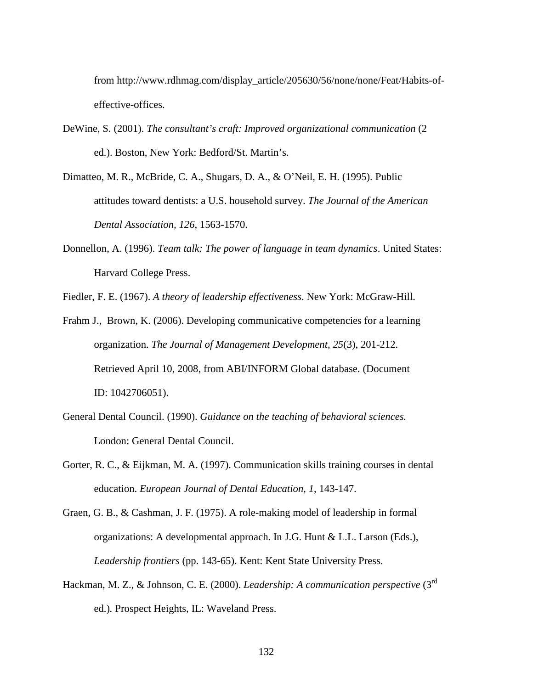from http://www.rdhmag.com/display\_article/205630/56/none/none/Feat/Habits-ofeffective-offices.

- DeWine, S. (2001). *The consultant's craft: Improved organizational communication* (2 ed.). Boston, New York: Bedford/St. Martin's.
- Dimatteo, M. R., McBride, C. A., Shugars, D. A., & O'Neil, E. H. (1995). Public attitudes toward dentists: a U.S. household survey. *The Journal of the American Dental Association, 126*, 1563-1570.
- Donnellon, A. (1996). *Team talk: The power of language in team dynamics*. United States: Harvard College Press.

Fiedler, F. E. (1967). *A theory of leadership effectiveness*. New York: McGraw-Hill.

- Frahm J., Brown, K. (2006). Developing communicative competencies for a learning organization. *The Journal of Management Development, 25*(3), 201-212. Retrieved April 10, 2008, from ABI/INFORM Global database. (Document ID: 1042706051).
- General Dental Council. (1990). *Guidance on the teaching of behavioral sciences.* London: General Dental Council.
- Gorter, R. C., & Eijkman, M. A. (1997). Communication skills training courses in dental education. *European Journal of Dental Education, 1*, 143-147.
- Graen, G. B., & Cashman, J. F. (1975). A role-making model of leadership in formal organizations: A developmental approach. In J.G. Hunt & L.L. Larson (Eds.), *Leadership frontiers* (pp. 143-65). Kent: Kent State University Press.
- Hackman, M. Z., & Johnson, C. E. (2000). *Leadership: A communication perspective* (3rd ed.)*.* Prospect Heights, IL: Waveland Press.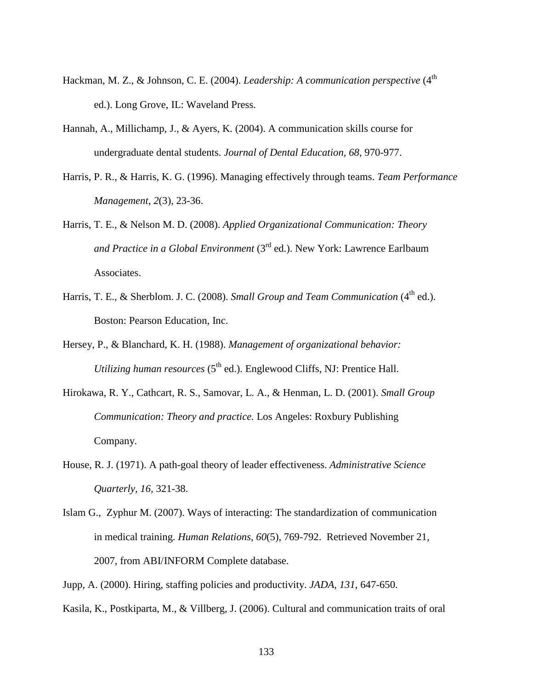- Hackman, M. Z., & Johnson, C. E. (2004). *Leadership: A communication perspective* (4<sup>th</sup> ed.). Long Grove, IL: Waveland Press.
- Hannah, A., Millichamp, J., & Ayers, K. (2004). A communication skills course for undergraduate dental students. *Journal of Dental Education, 68*, 970-977.
- Harris, P. R., & Harris, K. G. (1996). Managing effectively through teams. *Team Performance Management*, *2*(3), 23-36.
- Harris, T. E., & Nelson M. D. (2008). *Applied Organizational Communication: Theory and Practice in a Global Environment* (3rd ed.). New York: Lawrence Earlbaum Associates.
- Harris, T. E., & Sherblom. J. C. (2008). *Small Group and Team Communication* (4<sup>th</sup> ed.). Boston: Pearson Education, Inc.
- Hersey, P., & Blanchard, K. H. (1988). *Management of organizational behavior: Utilizing human resources* (5<sup>th</sup> ed.). Englewood Cliffs, NJ: Prentice Hall.
- Hirokawa, R. Y., Cathcart, R. S., Samovar, L. A., & Henman, L. D. (2001). *Small Group Communication: Theory and practice.* Los Angeles: Roxbury Publishing Company.
- House, R. J. (1971). A path-goal theory of leader effectiveness. *Administrative Science Quarterly, 16,* 321-38.
- Islam G., Zyphur M. (2007). Ways of interacting: The standardization of communication in medical training. *Human Relations*, *60*(5), 769-792. Retrieved November 21, 2007, from ABI/INFORM Complete database.
- Jupp, A. (2000). Hiring, staffing policies and productivity. *JADA, 131*, 647-650.
- Kasila, K., Postkiparta, M., & Villberg, J. (2006). Cultural and communication traits of oral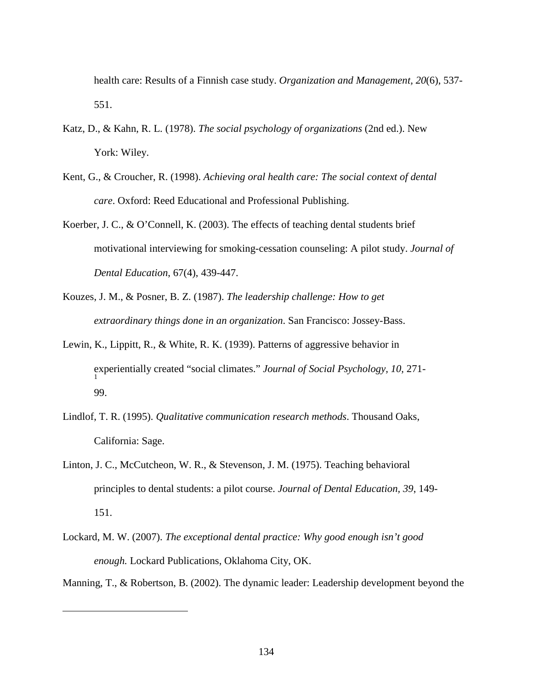health care: Results of a Finnish case study. *Organization and Management, 20*(6), 537- 551.

- Katz, D., & Kahn, R. L. (1978). *The social psychology of organizations* (2nd ed.). New York: Wiley.
- Kent, G., & Croucher, R. (1998). *Achieving oral health care: The social context of dental care*. Oxford: Reed Educational and Professional Publishing.
- Koerber, J. C., & O'Connell, K. (2003). The effects of teaching dental students brief motivational interviewing for smoking-cessation counseling: A pilot study. *Journal of Dental Education*, 67(4), 439-447.
- Kouzes, J. M., & Posner, B. Z. (1987). *The leadership challenge: How to get extraordinary things done in an organization*. San Francisco: Jossey-Bass.
- Lewin, K., Lippitt, R., & White, R. K. (1939). Patterns of aggressive behavior in experientially created "social climates." *Journal of Social Psychology, 10,* 271- 1 99.
- Lindlof, T. R. (1995). *Qualitative communication research methods*. Thousand Oaks, California: Sage.
- Linton, J. C., McCutcheon, W. R., & Stevenson, J. M. (1975). Teaching behavioral principles to dental students: a pilot course. *Journal of Dental Education, 39*, 149- 151.
- Lockard, M. W. (2007). *The exceptional dental practice: Why good enough isn't good enough.* Lockard Publications, Oklahoma City, OK.

 $\overline{a}$ 

Manning, T., & Robertson, B. (2002). The dynamic leader: Leadership development beyond the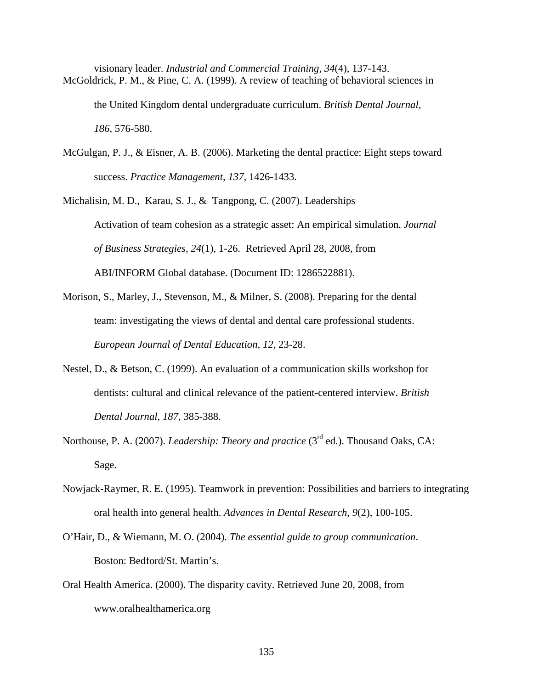visionary leader. *Industrial and Commercial Training, 34*(4), 137-143. McGoldrick, P. M., & Pine, C. A. (1999). A review of teaching of behavioral sciences in the United Kingdom dental undergraduate curriculum. *British Dental Journal,* 

*186*, 576-580.

McGulgan, P. J., & Eisner, A. B. (2006). Marketing the dental practice: Eight steps toward success. *Practice Management, 137,* 1426-1433.

Michalisin, M. D., Karau, S. J., & Tangpong, C. (2007). Leaderships Activation of team cohesion as a strategic asset: An empirical simulation. *Journal of Business Strategies, 24*(1), 1-26. Retrieved April 28, 2008, from ABI/INFORM Global database. (Document ID: 1286522881).

- Morison, S., Marley, J., Stevenson, M., & Milner, S. (2008). Preparing for the dental team: investigating the views of dental and dental care professional students. *European Journal of Dental Education, 12*, 23-28.
- Nestel, D., & Betson, C. (1999). An evaluation of a communication skills workshop for dentists: cultural and clinical relevance of the patient-centered interview. *British Dental Journal, 187*, 385-388.
- Northouse, P. A. (2007). *Leadership: Theory and practice* (3<sup>rd</sup> ed.). Thousand Oaks, CA: Sage.
- Nowjack-Raymer, R. E. (1995). Teamwork in prevention: Possibilities and barriers to integrating oral health into general health. *Advances in Dental Research, 9*(2), 100-105.
- O'Hair, D., & Wiemann, M. O. (2004). *The essential guide to group communication*. Boston: Bedford/St. Martin's.
- Oral Health America. (2000). The disparity cavity. Retrieved June 20, 2008, from www.oralhealthamerica.org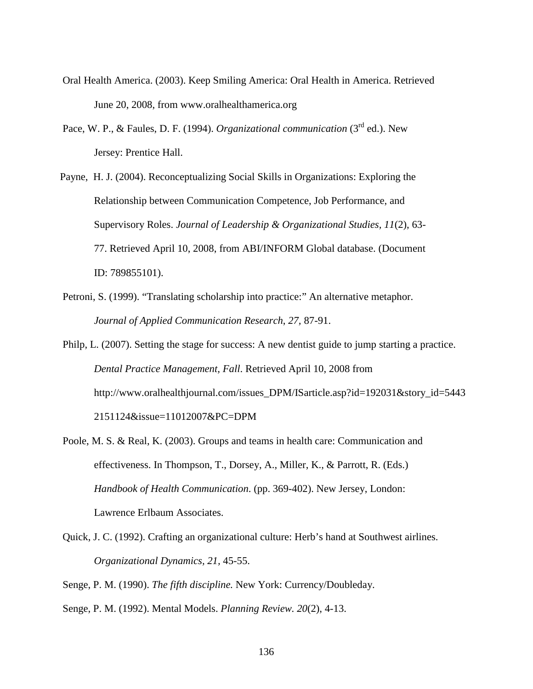- Oral Health America. (2003). Keep Smiling America: Oral Health in America. Retrieved June 20, 2008, from www.oralhealthamerica.org
- Pace, W. P., & Faules, D. F. (1994). *Organizational communication* (3<sup>rd</sup> ed.). New Jersey: Prentice Hall.
- Payne, H. J. (2004). Reconceptualizing Social Skills in Organizations: Exploring the Relationship between Communication Competence, Job Performance, and Supervisory Roles. *Journal of Leadership & Organizational Studies, 11*(2), 63- 77. Retrieved April 10, 2008, from ABI/INFORM Global database. (Document ID: 789855101).
- Petroni, S. (1999). "Translating scholarship into practice:" An alternative metaphor. *Journal of Applied Communication Research*, *27,* 87-91.
- Philp, L. (2007). Setting the stage for success: A new dentist guide to jump starting a practice. *Dental Practice Management, Fall*. Retrieved April 10, 2008 from http://www.oralhealthjournal.com/issues\_DPM/ISarticle.asp?id=192031&story\_id=5443 2151124&issue=11012007&PC=DPM
- Poole, M. S. & Real, K. (2003). Groups and teams in health care: Communication and effectiveness. In Thompson, T., Dorsey, A., Miller, K., & Parrott, R. (Eds.) *Handbook of Health Communication*. (pp. 369-402). New Jersey, London: Lawrence Erlbaum Associates.
- Quick, J. C. (1992). Crafting an organizational culture: Herb's hand at Southwest airlines. *Organizational Dynamics, 21,* 45-55.
- Senge, P. M. (1990). *The fifth discipline.* New York: Currency/Doubleday.
- Senge, P. M. (1992). Mental Models. *Planning Review. 20*(2), 4-13.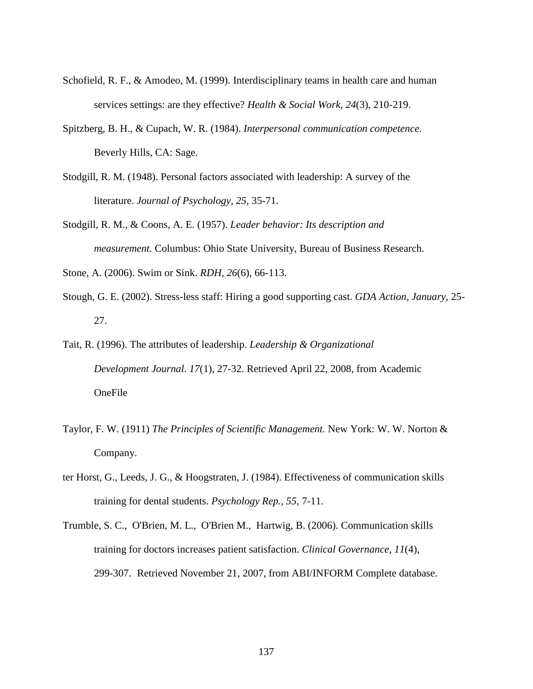- Schofield, R. F., & Amodeo, M. (1999). Interdisciplinary teams in health care and human services settings: are they effective? *Health & Social Work, 24*(3), 210-219.
- Spitzberg, B. H., & Cupach, W. R. (1984). *Interpersonal communication competence*. Beverly Hills, CA: Sage.
- Stodgill, R. M. (1948). Personal factors associated with leadership: A survey of the literature. *Journal of Psychology, 25,* 35-71.
- Stodgill, R. M., & Coons, A. E. (1957). *Leader behavior: Its description and measurement.* Columbus: Ohio State University, Bureau of Business Research.

Stone, A. (2006). Swim or Sink. *RDH, 26*(6), 66-113.

- Stough, G. E. (2002). Stress-less staff: Hiring a good supporting cast. *GDA Action, January*, 25- 27.
- Tait, R. (1996). The attributes of leadership. *Leadership & Organizational Development Journal*. *17*(1), 27-32. Retrieved April 22, 2008, from Academic OneFile
- Taylor, F. W. (1911) *The Principles of Scientific Management.* New York: W. W. Norton & Company.
- ter Horst, G., Leeds, J. G., & Hoogstraten, J. (1984). Effectiveness of communication skills training for dental students. *Psychology Rep., 55,* 7-11.
- Trumble, S. C., O'Brien, M. L., O'Brien M., Hartwig, B. (2006). Communication skills training for doctors increases patient satisfaction. *Clinical Governance*, *11*(4), 299-307. Retrieved November 21, 2007, from ABI/INFORM Complete database.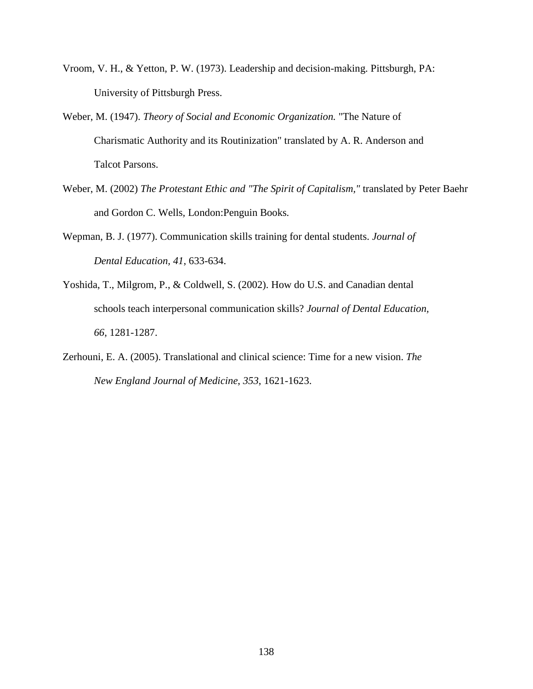- Vroom, V. H., & Yetton, P. W. (1973). Leadership and decision-making. Pittsburgh, PA: University of Pittsburgh Press.
- Weber, M. (1947). *Theory of Social and Economic Organization.* "The Nature of Charismatic Authority and its Routinization" translated by A. R. Anderson and Talcot Parsons.
- Weber, M. (2002) *The Protestant Ethic and "The Spirit of Capitalism,"* translated by Peter Baehr and Gordon C. Wells*,* London:Penguin Books*.*
- Wepman, B. J. (1977). Communication skills training for dental students. *Journal of Dental Education, 41*, 633-634.
- Yoshida, T., Milgrom, P., & Coldwell, S. (2002). How do U.S. and Canadian dental schools teach interpersonal communication skills? *Journal of Dental Education, 66*, 1281-1287.
- Zerhouni, E. A. (2005). Translational and clinical science: Time for a new vision. *The New England Journal of Medicine*, *353*, 1621-1623.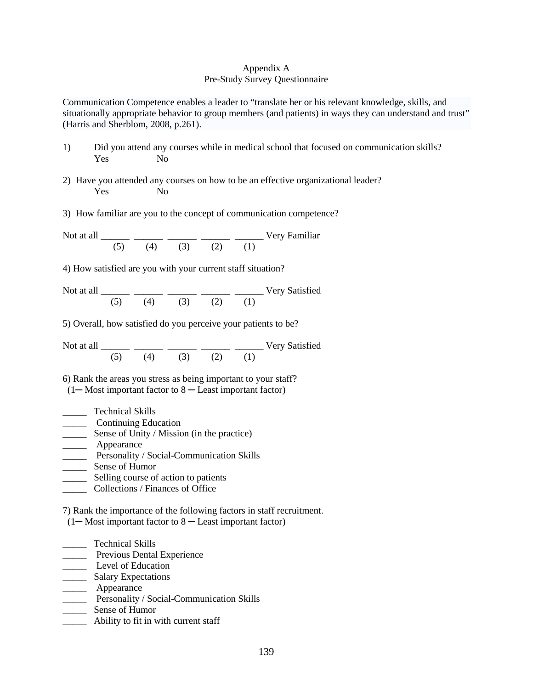## Appendix A Pre-Study Survey Questionnaire

Communication Competence enables a leader to "translate her or his relevant knowledge, skills, and situationally appropriate behavior to group members (and patients) in ways they can understand and trust" (Harris and Sherblom, 2008, p.261).

- 1) Did you attend any courses while in medical school that focused on communication skills? Yes No
- 2) Have you attended any courses on how to be an effective organizational leader? Yes No
- 3) How familiar are you to the concept of communication competence?

Not at all \_\_\_\_\_\_ \_\_\_\_\_\_ \_\_\_\_\_\_ \_\_\_\_\_\_ \_\_\_\_\_\_ Very Familiar (5) (4) (3) (2) (1)

4) How satisfied are you with your current staff situation?

Not at all \_\_\_\_\_\_\_ \_\_\_\_\_\_ \_\_\_\_\_\_ \_\_\_\_\_\_ \_\_\_\_\_\_ Very Satisfied  $(5)$   $(4)$   $(3)$   $(2)$   $(1)$ 

5) Overall, how satisfied do you perceive your patients to be?

Not at all \_\_\_\_\_\_\_ \_\_\_\_\_\_ \_\_\_\_\_\_ \_\_\_\_\_\_ \_\_\_\_\_\_ Very Satisfied (5) (4) (3) (2) (1)

6) Rank the areas you stress as being important to your staff?  $(1 - Most important factor to 8 - Least important factor)$ 

- \_\_\_\_\_ Technical Skills
- \_\_\_\_\_ Continuing Education
- **Sense of Unity / Mission (in the practice)**
- \_\_\_\_\_\_\_ Appearance
- **Personality / Social-Communication Skills**
- \_\_\_\_\_ Sense of Humor
- \_\_\_\_\_ Selling course of action to patients
- \_\_\_\_\_ Collections / Finances of Office

7) Rank the importance of the following factors in staff recruitment.

 $(1 - Most important factor to 8 - Least important factor)$ 

- \_\_\_\_\_ Technical Skills
- **EXPERIENCE PREVIOUS Dental Experience**
- Level of Education
- \_\_\_\_\_\_\_ Salary Expectations
- \_\_\_\_\_\_\_ Appearance
- **EXECUTE:** Personality / Social-Communication Skills
- \_\_\_\_\_ Sense of Humor
- \_\_\_\_\_ Ability to fit in with current staff